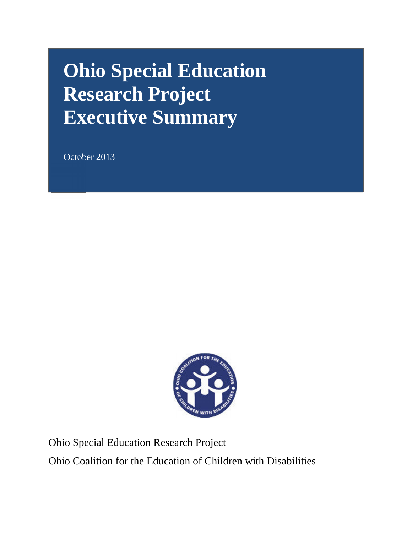# **Ohio Special Education Research Project Executive Summary**

October 2013



Ohio Special Education Research Project Ohio Coalition for the Education of Children with Disabilities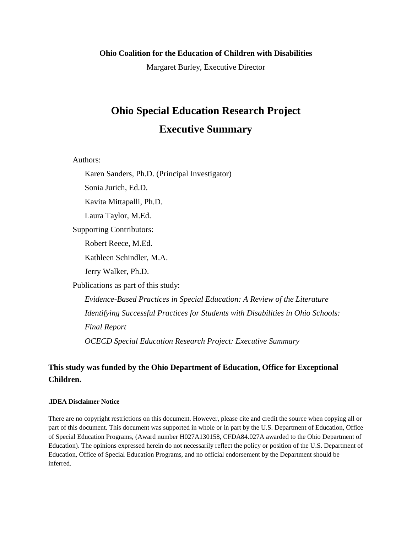#### **Ohio Coalition for the Education of Children with Disabilities**

Margaret Burley, Executive Director

# **Ohio Special Education Research Project Executive Summary**

Authors:

Karen Sanders, Ph.D. (Principal Investigator)

Sonia Jurich, Ed.D.

Kavita Mittapalli, Ph.D.

Laura Taylor, M.Ed.

Supporting Contributors:

Robert Reece, M.Ed.

Kathleen Schindler, M.A.

Jerry Walker, Ph.D.

Publications as part of this study:

*Evidence-Based Practices in Special Education: A Review of the Literature Identifying Successful Practices for Students with Disabilities in Ohio Schools: Final Report OCECD Special Education Research Project: Executive Summary* 

## **This study was funded by the Ohio Department of Education, Office for Exceptional Children.**

#### **.IDEA Disclaimer Notice**

There are no copyright restrictions on this document. However, please cite and credit the source when copying all or part of this document. This document was supported in whole or in part by the U.S. Department of Education, Office of Special Education Programs, (Award number H027A130158, CFDA84.027A awarded to the Ohio Department of Education). The opinions expressed herein do not necessarily reflect the policy or position of the U.S. Department of Education, Office of Special Education Programs, and no official endorsement by the Department should be inferred.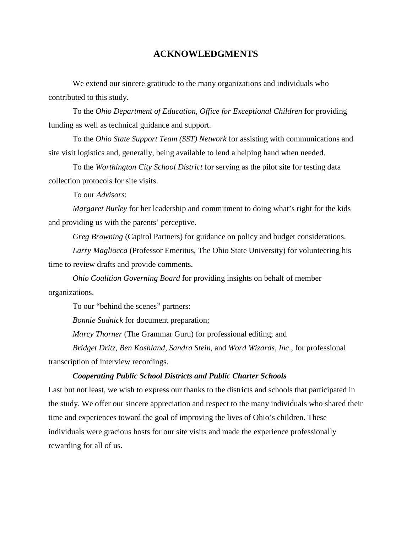#### **ACKNOWLEDGMENTS**

We extend our sincere gratitude to the many organizations and individuals who contributed to this study.

To the *Ohio Department of Education, Office for Exceptional Children* for providing funding as well as technical guidance and support.

To the *Ohio State Support Team (SST) Network* for assisting with communications and site visit logistics and, generally, being available to lend a helping hand when needed.

To the *Worthington City School District* for serving as the pilot site for testing data collection protocols for site visits.

To our *Advisors*:

*Margaret Burley* for her leadership and commitment to doing what's right for the kids and providing us with the parents' perceptive.

*Greg Browning* (Capitol Partners) for guidance on policy and budget considerations.

*Larry Magliocca* (Professor Emeritus, The Ohio State University) for volunteering his time to review drafts and provide comments.

*Ohio Coalition Governing Board* for providing insights on behalf of member organizations.

To our "behind the scenes" partners:

*Bonnie Sudnick* for document preparation;

*Marcy Thorner* (The Grammar Guru) for professional editing; and

*Bridget Dritz, Ben Koshland*, *Sandra Stein*, and *Word Wizards, Inc*., for professional transcription of interview recordings.

#### *Cooperating Public School Districts and Public Charter Schools*

Last but not least, we wish to express our thanks to the districts and schools that participated in the study. We offer our sincere appreciation and respect to the many individuals who shared their time and experiences toward the goal of improving the lives of Ohio's children. These individuals were gracious hosts for our site visits and made the experience professionally rewarding for all of us.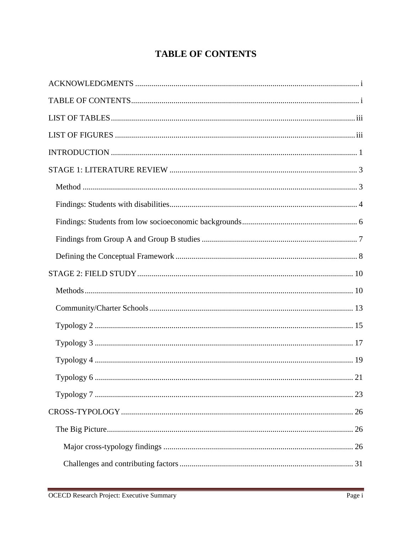# **TABLE OF CONTENTS**

| 21 |
|----|
|    |
|    |
|    |
|    |
|    |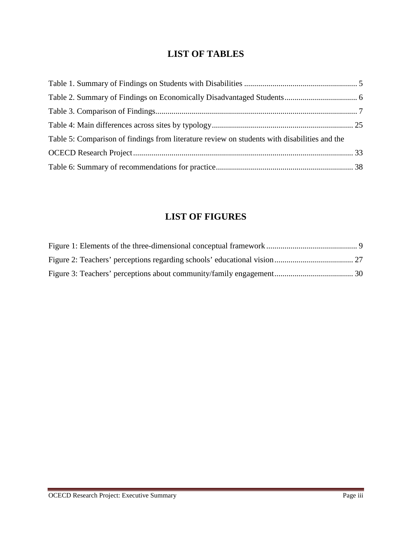# **LIST OF TABLES**

| Table 5: Comparison of findings from literature review on students with disabilities and the |  |
|----------------------------------------------------------------------------------------------|--|
|                                                                                              |  |
|                                                                                              |  |

# **LIST OF FIGURES**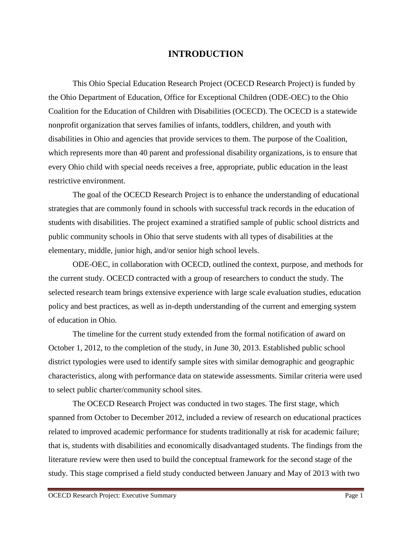# **INTRODUCTION**

This Ohio Special Education Research Project (OCECD Research Project) is funded by the Ohio Department of Education, Office for Exceptional Children (ODE-OEC) to the Ohio Coalition for the Education of Children with Disabilities (OCECD). The OCECD is a statewide nonprofit organization that serves families of infants, toddlers, children, and youth with disabilities in Ohio and agencies that provide services to them. The purpose of the Coalition, which represents more than 40 parent and professional disability organizations, is to ensure that every Ohio child with special needs receives a free, appropriate, public education in the least restrictive environment.

The goal of the OCECD Research Project is to enhance the understanding of educational strategies that are commonly found in schools with successful track records in the education of students with disabilities. The project examined a stratified sample of public school districts and public community schools in Ohio that serve students with all types of disabilities at the elementary, middle, junior high, and/or senior high school levels.

ODE-OEC, in collaboration with OCECD, outlined the context, purpose, and methods for the current study. OCECD contracted with a group of researchers to conduct the study. The selected research team brings extensive experience with large scale evaluation studies, education policy and best practices, as well as in-depth understanding of the current and emerging system of education in Ohio.

The timeline for the current study extended from the formal notification of award on October 1, 2012, to the completion of the study, in June 30, 2013. Established public school district typologies were used to identify sample sites with similar demographic and geographic characteristics, along with performance data on statewide assessments. Similar criteria were used to select public charter/community school sites.

The OCECD Research Project was conducted in two stages. The first stage, which spanned from October to December 2012, included a review of research on educational practices related to improved academic performance for students traditionally at risk for academic failure; that is, students with disabilities and economically disadvantaged students. The findings from the literature review were then used to build the conceptual framework for the second stage of the study. This stage comprised a field study conducted between January and May of 2013 with two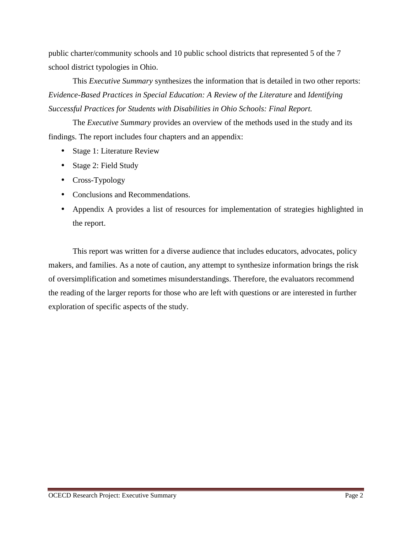public charter/community schools and 10 public school districts that represented 5 of the 7 school district typologies in Ohio.

This *Executive Summary* synthesizes the information that is detailed in two other reports: *Evidence-Based Practices in Special Education: A Review of the Literature* and *Identifying Successful Practices for Students with Disabilities in Ohio Schools: Final Report.* 

The *Executive Summary* provides an overview of the methods used in the study and its findings. The report includes four chapters and an appendix:

- Stage 1: Literature Review
- Stage 2: Field Study
- Cross-Typology
- Conclusions and Recommendations.
- Appendix A provides a list of resources for implementation of strategies highlighted in the report.

This report was written for a diverse audience that includes educators, advocates, policy makers, and families. As a note of caution, any attempt to synthesize information brings the risk of oversimplification and sometimes misunderstandings. Therefore, the evaluators recommend the reading of the larger reports for those who are left with questions or are interested in further exploration of specific aspects of the study.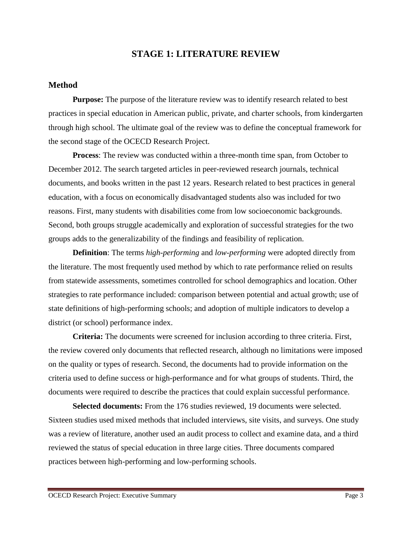# **STAGE 1: LITERATURE REVIEW**

#### **Method**

**Purpose:** The purpose of the literature review was to identify research related to best practices in special education in American public, private, and charter schools, from kindergarten through high school. The ultimate goal of the review was to define the conceptual framework for the second stage of the OCECD Research Project.

**Process**: The review was conducted within a three-month time span, from October to December 2012. The search targeted articles in peer-reviewed research journals, technical documents, and books written in the past 12 years. Research related to best practices in general education, with a focus on economically disadvantaged students also was included for two reasons. First, many students with disabilities come from low socioeconomic backgrounds. Second, both groups struggle academically and exploration of successful strategies for the two groups adds to the generalizability of the findings and feasibility of replication.

**Definition**: The terms *high-performing* and *low-performing* were adopted directly from the literature. The most frequently used method by which to rate performance relied on results from statewide assessments, sometimes controlled for school demographics and location. Other strategies to rate performance included: comparison between potential and actual growth; use of state definitions of high-performing schools; and adoption of multiple indicators to develop a district (or school) performance index.

**Criteria:** The documents were screened for inclusion according to three criteria. First, the review covered only documents that reflected research, although no limitations were imposed on the quality or types of research. Second, the documents had to provide information on the criteria used to define success or high-performance and for what groups of students. Third, the documents were required to describe the practices that could explain successful performance.

**Selected documents:** From the 176 studies reviewed, 19 documents were selected. Sixteen studies used mixed methods that included interviews, site visits, and surveys. One study was a review of literature, another used an audit process to collect and examine data, and a third reviewed the status of special education in three large cities. Three documents compared practices between high-performing and low-performing schools.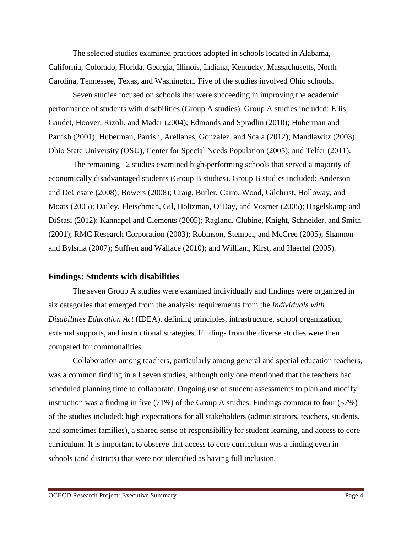The selected studies examined practices adopted in schools located in Alabama, California, Colorado, Florida, Georgia, Illinois, Indiana, Kentucky, Massachusetts, North Carolina, Tennessee, Texas, and Washington. Five of the studies involved Ohio schools.

Seven studies focused on schools that were succeeding in improving the academic performance of students with disabilities (Group A studies). Group A studies included: Ellis, Gaudet, Hoover, Rizoli, and Mader (2004); Edmonds and Spradlin (2010); Huberman and Parrish (2001); Huberman, Parrish, Arellanes, Gonzalez, and Scala (2012); Mandlawitz (2003); Ohio State University (OSU), Center for Special Needs Population (2005); and Telfer (2011).

 The remaining 12 studies examined high-performing schools that served a majority of economically disadvantaged students (Group B studies). Group B studies included: Anderson and DeCesare (2008); Bowers (2008); Craig, Butler, Cairo, Wood, Gilchrist, Holloway, and Moats (2005); Dailey, Fleischman, Gil, Holtzman, O'Day, and Vosmer (2005); Hagelskamp and DiStasi (2012); Kannapel and Clements (2005); Ragland, Clubine, Knight, Schneider, and Smith (2001); RMC Research Corporation (2003); Robinson, Stempel, and McCree (2005); Shannon and Bylsma (2007); Suffren and Wallace (2010); and William, Kirst, and Haertel (2005).

#### **Findings: Students with disabilities**

The seven Group A studies were examined individually and findings were organized in six categories that emerged from the analysis: requirements from the *Individuals with Disabilities Education Act* (IDEA), defining principles, infrastructure, school organization, external supports, and instructional strategies. Findings from the diverse studies were then compared for commonalities.

Collaboration among teachers, particularly among general and special education teachers, was a common finding in all seven studies, although only one mentioned that the teachers had scheduled planning time to collaborate. Ongoing use of student assessments to plan and modify instruction was a finding in five (71%) of the Group A studies. Findings common to four (57%) of the studies included: high expectations for all stakeholders (administrators, teachers, students, and sometimes families), a shared sense of responsibility for student learning, and access to core curriculum. It is important to observe that access to core curriculum was a finding even in schools (and districts) that were not identified as having full inclusion.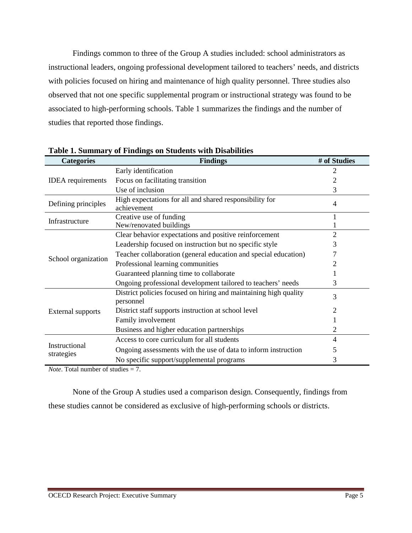Findings common to three of the Group A studies included: school administrators as instructional leaders, ongoing professional development tailored to teachers' needs, and districts with policies focused on hiring and maintenance of high quality personnel. Three studies also observed that not one specific supplemental program or instructional strategy was found to be associated to high-performing schools. Table 1 summarizes the findings and the number of studies that reported those findings.

| <b>Categories</b>           | <b>Findings</b>                                                               | # of Studies |
|-----------------------------|-------------------------------------------------------------------------------|--------------|
|                             | Early identification                                                          | 2            |
| <b>IDEA</b> requirements    | Focus on facilitating transition                                              |              |
|                             | Use of inclusion                                                              | 3            |
| Defining principles         | High expectations for all and shared responsibility for                       | 4            |
|                             | achievement                                                                   |              |
| Infrastructure              | Creative use of funding                                                       |              |
|                             | New/renovated buildings                                                       |              |
|                             | Clear behavior expectations and positive reinforcement                        | 2            |
|                             | Leadership focused on instruction but no specific style                       | 3            |
|                             | Teacher collaboration (general education and special education)               |              |
| School organization         | Professional learning communities                                             |              |
|                             | Guaranteed planning time to collaborate                                       |              |
|                             | Ongoing professional development tailored to teachers' needs                  | 3            |
|                             | District policies focused on hiring and maintaining high quality<br>personnel | 3            |
| <b>External supports</b>    | District staff supports instruction at school level                           |              |
|                             | Family involvement                                                            |              |
|                             | Business and higher education partnerships                                    | 2            |
|                             | Access to core curriculum for all students                                    | 4            |
| Instructional<br>strategies | Ongoing assessments with the use of data to inform instruction                | 5            |
|                             | No specific support/supplemental programs                                     | 3            |

**Table 1. Summary of Findings on Students with Disabilities** 

*Note*. Total number of studies = 7.

None of the Group A studies used a comparison design. Consequently, findings from these studies cannot be considered as exclusive of high-performing schools or districts.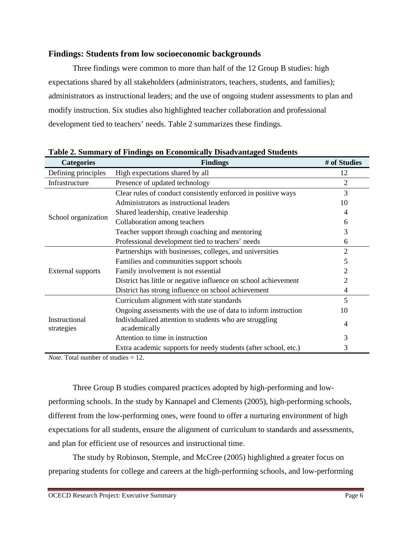#### **Findings: Students from low socioeconomic backgrounds**

Three findings were common to more than half of the 12 Group B studies: high expectations shared by all stakeholders (administrators, teachers, students, and families); administrators as instructional leaders; and the use of ongoing student assessments to plan and modify instruction. Six studies also highlighted teacher collaboration and professional development tied to teachers' needs. Table 2 summarizes these findings.

| <b>Categories</b>           | <b>Findings</b>                                                         | # of Studies |
|-----------------------------|-------------------------------------------------------------------------|--------------|
| Defining principles         | High expectations shared by all                                         | 12           |
| Infrastructure              | Presence of updated technology                                          | 2            |
|                             | Clear rules of conduct consistently enforced in positive ways           | 3            |
|                             | Administrators as instructional leaders                                 | 10           |
| School organization         | Shared leadership, creative leadership                                  | 4            |
|                             | Collaboration among teachers                                            | 6            |
|                             | Teacher support through coaching and mentoring                          | 3            |
|                             | Professional development tied to teachers' needs                        | 6            |
|                             | Partnerships with businesses, colleges, and universities                | 2            |
|                             | Families and communities support schools                                | 5            |
| External supports           | Family involvement is not essential                                     |              |
|                             | District has little or negative influence on school achievement         | 2            |
|                             | District has strong influence on school achievement                     | 4            |
|                             | Curriculum alignment with state standards                               | 5            |
|                             | Ongoing assessments with the use of data to inform instruction          | 10           |
| Instructional<br>strategies | Individualized attention to students who are struggling<br>academically | 4            |
|                             | Attention to time in instruction                                        | 3            |
|                             | Extra academic supports for needy students (after school, etc.)         | 3            |

**Table 2. Summary of Findings on Economically Disadvantaged Students** 

*Note*. Total number of studies = 12.

Three Group B studies compared practices adopted by high-performing and lowperforming schools. In the study by Kannapel and Clements (2005), high-performing schools, different from the low-performing ones, were found to offer a nurturing environment of high expectations for all students, ensure the alignment of curriculum to standards and assessments, and plan for efficient use of resources and instructional time.

The study by Robinson, Stemple, and McCree (2005) highlighted a greater focus on preparing students for college and careers at the high-performing schools, and low-performing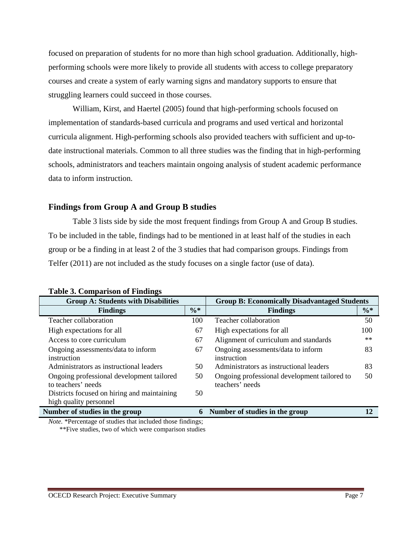focused on preparation of students for no more than high school graduation. Additionally, highperforming schools were more likely to provide all students with access to college preparatory courses and create a system of early warning signs and mandatory supports to ensure that struggling learners could succeed in those courses.

William, Kirst, and Haertel (2005) found that high-performing schools focused on implementation of standards-based curricula and programs and used vertical and horizontal curricula alignment. High-performing schools also provided teachers with sufficient and up-todate instructional materials. Common to all three studies was the finding that in high-performing schools, administrators and teachers maintain ongoing analysis of student academic performance data to inform instruction.

#### **Findings from Group A and Group B studies**

Table 3 lists side by side the most frequent findings from Group A and Group B studies. To be included in the table, findings had to be mentioned in at least half of the studies in each group or be a finding in at least 2 of the 3 studies that had comparison groups. Findings from Telfer (2011) are not included as the study focuses on a single factor (use of data).

| <b>Group A: Students with Disabilities</b>  | <b>Group B: Economically Disadvantaged Students</b> |                                              |        |  |  |
|---------------------------------------------|-----------------------------------------------------|----------------------------------------------|--------|--|--|
| <b>Findings</b>                             | $\frac{0}{6}$ *                                     | <b>Findings</b>                              | $\% *$ |  |  |
| Teacher collaboration                       | 100                                                 | Teacher collaboration                        | 50     |  |  |
| High expectations for all                   | 67                                                  | High expectations for all                    | 100    |  |  |
| Access to core curriculum                   | 67                                                  | Alignment of curriculum and standards        | $**$   |  |  |
| Ongoing assessments/data to inform          | 67                                                  | Ongoing assessments/data to inform           | 83     |  |  |
| instruction                                 |                                                     | instruction                                  |        |  |  |
| Administrators as instructional leaders     | 50                                                  | Administrators as instructional leaders      | 83     |  |  |
| Ongoing professional development tailored   | 50                                                  | Ongoing professional development tailored to | 50     |  |  |
| to teachers' needs                          |                                                     | teachers' needs                              |        |  |  |
| Districts focused on hiring and maintaining | 50                                                  |                                              |        |  |  |
| high quality personnel                      |                                                     |                                              |        |  |  |
| Number of studies in the group              | 6                                                   | Number of studies in the group               | 12     |  |  |

*Note.* \*Percentage of studies that included those findings; \*\*Five studies, two of which were comparison studies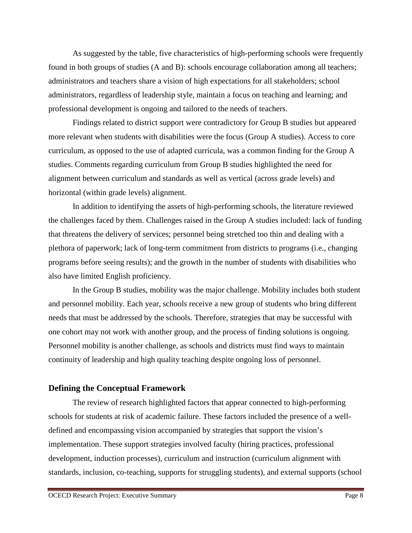As suggested by the table, five characteristics of high-performing schools were frequently found in both groups of studies (A and B): schools encourage collaboration among all teachers; administrators and teachers share a vision of high expectations for all stakeholders; school administrators, regardless of leadership style, maintain a focus on teaching and learning; and professional development is ongoing and tailored to the needs of teachers.

Findings related to district support were contradictory for Group B studies but appeared more relevant when students with disabilities were the focus (Group A studies). Access to core curriculum, as opposed to the use of adapted curricula, was a common finding for the Group A studies. Comments regarding curriculum from Group B studies highlighted the need for alignment between curriculum and standards as well as vertical (across grade levels) and horizontal (within grade levels) alignment.

 In addition to identifying the assets of high-performing schools, the literature reviewed the challenges faced by them. Challenges raised in the Group A studies included: lack of funding that threatens the delivery of services; personnel being stretched too thin and dealing with a plethora of paperwork; lack of long-term commitment from districts to programs (i.e., changing programs before seeing results); and the growth in the number of students with disabilities who also have limited English proficiency.

In the Group B studies, mobility was the major challenge. Mobility includes both student and personnel mobility. Each year, schools receive a new group of students who bring different needs that must be addressed by the schools. Therefore, strategies that may be successful with one cohort may not work with another group, and the process of finding solutions is ongoing. Personnel mobility is another challenge, as schools and districts must find ways to maintain continuity of leadership and high quality teaching despite ongoing loss of personnel.

#### **Defining the Conceptual Framework**

The review of research highlighted factors that appear connected to high-performing schools for students at risk of academic failure. These factors included the presence of a welldefined and encompassing vision accompanied by strategies that support the vision's implementation. These support strategies involved faculty (hiring practices, professional development, induction processes), curriculum and instruction (curriculum alignment with standards, inclusion, co-teaching, supports for struggling students), and external supports (school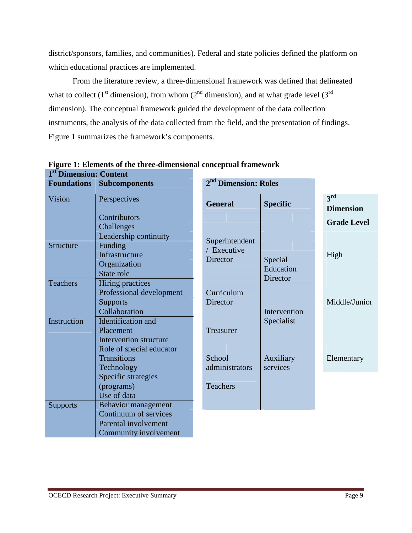district/sponsors, families, and communities). Federal and state policies defined the platform on which educational practices are implemented.

From the literature review, a three-dimensional framework was defined that delineated what to collect (1<sup>st</sup> dimension), from whom ( $2<sup>nd</sup>$  dimension), and at what grade level (3<sup>rd</sup>) dimension). The conceptual framework guided the development of the data collection instruments, the analysis of the data collected from the field, and the presentation of findings. Figure 1 summarizes the framework's components.

|                  | <b>Foundations Subcomponents</b>              | 2 <sup>nd</sup> Dimension: Roles |                            |                                     |
|------------------|-----------------------------------------------|----------------------------------|----------------------------|-------------------------------------|
| Vision           | Perspectives                                  | <b>General</b>                   | <b>Specific</b>            | 3 <sup>rd</sup><br><b>Dimension</b> |
|                  | Contributors<br>Challenges                    |                                  |                            | <b>Grade Level</b>                  |
|                  | Leadership continuity                         | Superintendent                   |                            |                                     |
| <b>Structure</b> | Funding<br>Infrastructure                     | / Executive<br>Director          |                            | High                                |
|                  | Organization<br>State role                    |                                  | Special<br>Education       |                                     |
| <b>Teachers</b>  | <b>Hiring practices</b>                       |                                  | Director                   |                                     |
|                  | Professional development<br><b>Supports</b>   | Curriculum<br>Director           |                            | Middle/Junior                       |
| Instruction      | Collaboration<br>Identification and           |                                  | Intervention<br>Specialist |                                     |
|                  | Placement<br>Intervention structure           | Treasurer                        |                            |                                     |
|                  | Role of special educator                      |                                  |                            |                                     |
|                  | <b>Transitions</b><br>Technology              | School<br>administrators         | Auxiliary<br>services      | Elementary                          |
|                  | Specific strategies<br>(programs)             | <b>Teachers</b>                  |                            |                                     |
|                  | Use of data                                   |                                  |                            |                                     |
| <b>Supports</b>  | Behavior management<br>Continuum of services  |                                  |                            |                                     |
|                  | Parental involvement<br>Community involvement |                                  |                            |                                     |

| Figure 1: Elements of the three-dimensional conceptual framework |  |
|------------------------------------------------------------------|--|
| 1 <sup>st</sup> Dimension: Content                               |  |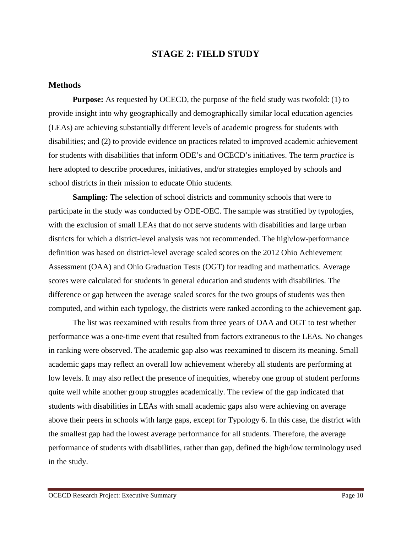## **STAGE 2: FIELD STUDY**

#### **Methods**

**Purpose:** As requested by OCECD, the purpose of the field study was twofold: (1) to provide insight into why geographically and demographically similar local education agencies (LEAs) are achieving substantially different levels of academic progress for students with disabilities; and (2) to provide evidence on practices related to improved academic achievement for students with disabilities that inform ODE's and OCECD's initiatives. The term *practice* is here adopted to describe procedures, initiatives, and/or strategies employed by schools and school districts in their mission to educate Ohio students.

**Sampling:** The selection of school districts and community schools that were to participate in the study was conducted by ODE-OEC. The sample was stratified by typologies, with the exclusion of small LEAs that do not serve students with disabilities and large urban districts for which a district-level analysis was not recommended. The high/low-performance definition was based on district-level average scaled scores on the 2012 Ohio Achievement Assessment (OAA) and Ohio Graduation Tests (OGT) for reading and mathematics. Average scores were calculated for students in general education and students with disabilities. The difference or gap between the average scaled scores for the two groups of students was then computed, and within each typology, the districts were ranked according to the achievement gap.

The list was reexamined with results from three years of OAA and OGT to test whether performance was a one-time event that resulted from factors extraneous to the LEAs. No changes in ranking were observed. The academic gap also was reexamined to discern its meaning. Small academic gaps may reflect an overall low achievement whereby all students are performing at low levels. It may also reflect the presence of inequities, whereby one group of student performs quite well while another group struggles academically. The review of the gap indicated that students with disabilities in LEAs with small academic gaps also were achieving on average above their peers in schools with large gaps, except for Typology 6. In this case, the district with the smallest gap had the lowest average performance for all students. Therefore, the average performance of students with disabilities, rather than gap, defined the high/low terminology used in the study.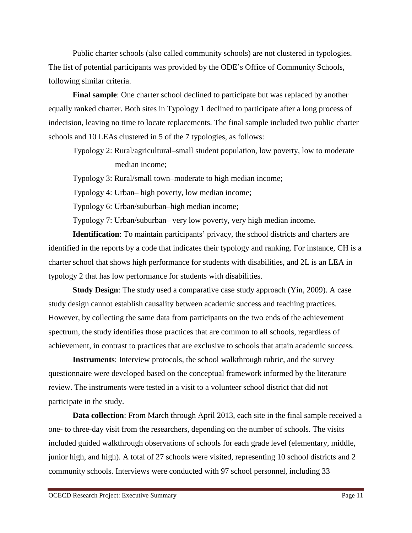Public charter schools (also called community schools) are not clustered in typologies. The list of potential participants was provided by the ODE's Office of Community Schools, following similar criteria.

**Final sample**: One charter school declined to participate but was replaced by another equally ranked charter. Both sites in Typology 1 declined to participate after a long process of indecision, leaving no time to locate replacements. The final sample included two public charter schools and 10 LEAs clustered in 5 of the 7 typologies, as follows:

Typology 2: Rural/agricultural–small student population, low poverty, low to moderate median income;

Typology 3: Rural/small town–moderate to high median income;

Typology 4: Urban– high poverty, low median income;

Typology 6: Urban/suburban–high median income;

Typology 7: Urban/suburban– very low poverty, very high median income.

**Identification**: To maintain participants' privacy, the school districts and charters are identified in the reports by a code that indicates their typology and ranking. For instance, CH is a charter school that shows high performance for students with disabilities, and 2L is an LEA in typology 2 that has low performance for students with disabilities.

**Study Design**: The study used a comparative case study approach (Yin, 2009). A case study design cannot establish causality between academic success and teaching practices. However, by collecting the same data from participants on the two ends of the achievement spectrum, the study identifies those practices that are common to all schools, regardless of achievement, in contrast to practices that are exclusive to schools that attain academic success.

**Instruments**: Interview protocols, the school walkthrough rubric, and the survey questionnaire were developed based on the conceptual framework informed by the literature review. The instruments were tested in a visit to a volunteer school district that did not participate in the study.

**Data collection**: From March through April 2013, each site in the final sample received a one- to three-day visit from the researchers, depending on the number of schools. The visits included guided walkthrough observations of schools for each grade level (elementary, middle, junior high, and high). A total of 27 schools were visited, representing 10 school districts and 2 community schools. Interviews were conducted with 97 school personnel, including 33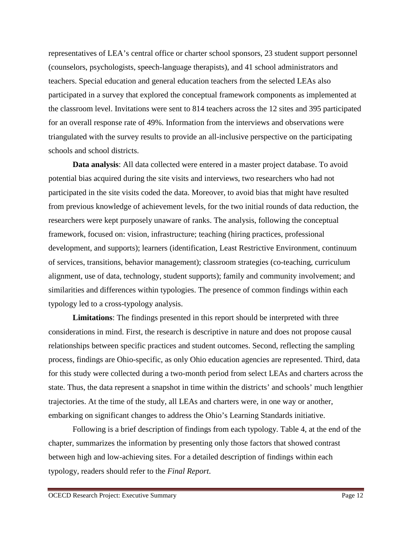representatives of LEA's central office or charter school sponsors, 23 student support personnel (counselors, psychologists, speech-language therapists), and 41 school administrators and teachers. Special education and general education teachers from the selected LEAs also participated in a survey that explored the conceptual framework components as implemented at the classroom level. Invitations were sent to 814 teachers across the 12 sites and 395 participated for an overall response rate of 49%. Information from the interviews and observations were triangulated with the survey results to provide an all-inclusive perspective on the participating schools and school districts.

**Data analysis**: All data collected were entered in a master project database. To avoid potential bias acquired during the site visits and interviews, two researchers who had not participated in the site visits coded the data. Moreover, to avoid bias that might have resulted from previous knowledge of achievement levels, for the two initial rounds of data reduction, the researchers were kept purposely unaware of ranks. The analysis, following the conceptual framework, focused on: vision, infrastructure; teaching (hiring practices, professional development, and supports); learners (identification, Least Restrictive Environment, continuum of services, transitions, behavior management); classroom strategies (co-teaching, curriculum alignment, use of data, technology, student supports); family and community involvement; and similarities and differences within typologies. The presence of common findings within each typology led to a cross-typology analysis.

**Limitations**: The findings presented in this report should be interpreted with three considerations in mind. First, the research is descriptive in nature and does not propose causal relationships between specific practices and student outcomes. Second, reflecting the sampling process, findings are Ohio-specific, as only Ohio education agencies are represented. Third, data for this study were collected during a two-month period from select LEAs and charters across the state. Thus, the data represent a snapshot in time within the districts' and schools' much lengthier trajectories. At the time of the study, all LEAs and charters were, in one way or another, embarking on significant changes to address the Ohio's Learning Standards initiative.

Following is a brief description of findings from each typology. Table 4, at the end of the chapter, summarizes the information by presenting only those factors that showed contrast between high and low-achieving sites. For a detailed description of findings within each typology, readers should refer to the *Final Report*.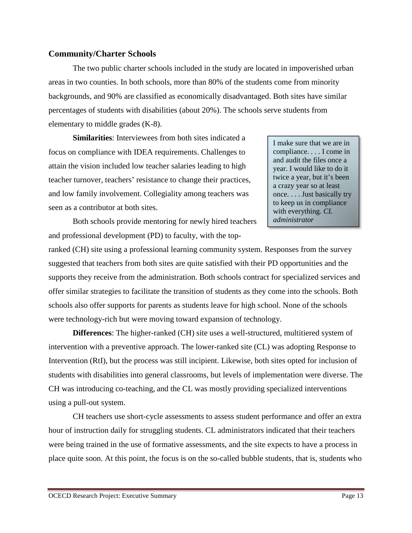#### **Community/Charter Schools**

The two public charter schools included in the study are located in impoverished urban areas in two counties. In both schools, more than 80% of the students come from minority backgrounds, and 90% are classified as economically disadvantaged. Both sites have similar percentages of students with disabilities (about 20%). The schools serve students from elementary to middle grades (K-8).

**Similarities**: Interviewees from both sites indicated a focus on compliance with IDEA requirements. Challenges to attain the vision included low teacher salaries leading to high teacher turnover, teachers' resistance to change their practices, and low family involvement. Collegiality among teachers was seen as a contributor at both sites.

I make sure that we are in compliance. . . . I come in and audit the files once a year. I would like to do it twice a year, but it's been a crazy year so at least once. . . . Just basically try to keep us in compliance with everything. *CL administrator*

Both schools provide mentoring for newly hired teachers and professional development (PD) to faculty, with the top-

ranked (CH) site using a professional learning community system. Responses from the survey suggested that teachers from both sites are quite satisfied with their PD opportunities and the supports they receive from the administration. Both schools contract for specialized services and offer similar strategies to facilitate the transition of students as they come into the schools. Both schools also offer supports for parents as students leave for high school. None of the schools were technology-rich but were moving toward expansion of technology.

**Differences**: The higher-ranked (CH) site uses a well-structured, multitiered system of intervention with a preventive approach. The lower-ranked site (CL) was adopting Response to Intervention (RtI), but the process was still incipient. Likewise, both sites opted for inclusion of students with disabilities into general classrooms, but levels of implementation were diverse. The CH was introducing co-teaching, and the CL was mostly providing specialized interventions using a pull-out system.

CH teachers use short-cycle assessments to assess student performance and offer an extra hour of instruction daily for struggling students. CL administrators indicated that their teachers were being trained in the use of formative assessments, and the site expects to have a process in place quite soon. At this point, the focus is on the so-called bubble students, that is, students who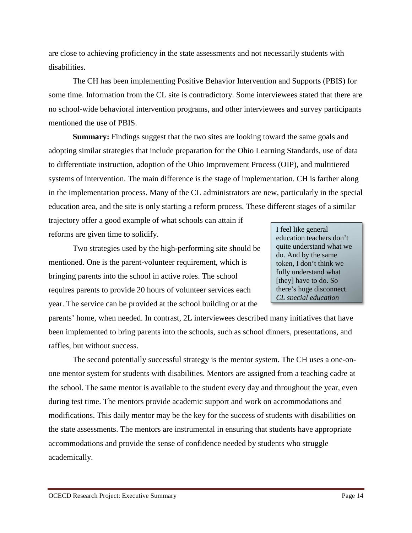are close to achieving proficiency in the state assessments and not necessarily students with disabilities.

The CH has been implementing Positive Behavior Intervention and Supports (PBIS) for some time. Information from the CL site is contradictory. Some interviewees stated that there are no school-wide behavioral intervention programs, and other interviewees and survey participants mentioned the use of PBIS.

**Summary:** Findings suggest that the two sites are looking toward the same goals and adopting similar strategies that include preparation for the Ohio Learning Standards, use of data to differentiate instruction, adoption of the Ohio Improvement Process (OIP), and multitiered systems of intervention. The main difference is the stage of implementation. CH is farther along in the implementation process. Many of the CL administrators are new, particularly in the special education area, and the site is only starting a reform process. These different stages of a similar

trajectory offer a good example of what schools can attain if reforms are given time to solidify.

Two strategies used by the high-performing site should be mentioned. One is the parent-volunteer requirement, which is bringing parents into the school in active roles. The school requires parents to provide 20 hours of volunteer services each year. The service can be provided at the school building or at the

I feel like general education teachers don't quite understand what we do. And by the same token, I don't think we fully understand what [they] have to do. So there's huge disconnect. *CL special education* 

parents' home, when needed. In contrast, 2L interviewees described many initiatives that have been implemented to bring parents into the schools, such as school dinners, presentations, and raffles, but without success.

The second potentially successful strategy is the mentor system. The CH uses a one-onone mentor system for students with disabilities. Mentors are assigned from a teaching cadre at the school. The same mentor is available to the student every day and throughout the year, even during test time. The mentors provide academic support and work on accommodations and modifications. This daily mentor may be the key for the success of students with disabilities on the state assessments. The mentors are instrumental in ensuring that students have appropriate accommodations and provide the sense of confidence needed by students who struggle academically.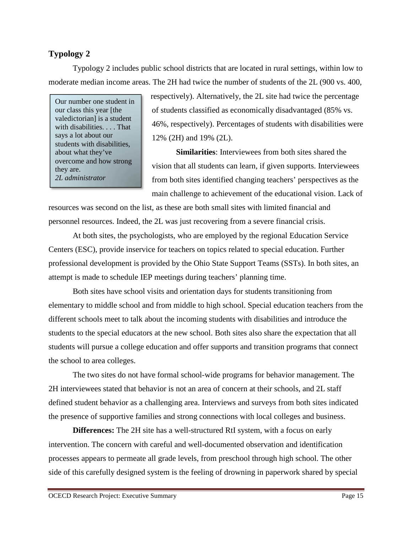# **Typology 2**

Typology 2 includes public school districts that are located in rural settings, within low to moderate median income areas. The 2H had twice the number of students of the 2L (900 vs. 400,

Our number one student in our class this year [the valedictorian] is a student with disabilities. . . . That says a lot about our students with disabilities, about what they've overcome and how strong they are. *2L administrator* 

respectively). Alternatively, the 2L site had twice the percentage of students classified as economically disadvantaged (85% vs. 46%, respectively). Percentages of students with disabilities were 12% (2H) and 19% (2L).

**Similarities**: Interviewees from both sites shared the vision that all students can learn, if given supports. Interviewees from both sites identified changing teachers' perspectives as the main challenge to achievement of the educational vision. Lack of

resources was second on the list, as these are both small sites with limited financial and personnel resources. Indeed, the 2L was just recovering from a severe financial crisis.

At both sites, the psychologists, who are employed by the regional Education Service Centers (ESC), provide inservice for teachers on topics related to special education. Further professional development is provided by the Ohio State Support Teams (SSTs). In both sites, an attempt is made to schedule IEP meetings during teachers' planning time.

Both sites have school visits and orientation days for students transitioning from elementary to middle school and from middle to high school. Special education teachers from the different schools meet to talk about the incoming students with disabilities and introduce the students to the special educators at the new school. Both sites also share the expectation that all students will pursue a college education and offer supports and transition programs that connect the school to area colleges.

The two sites do not have formal school-wide programs for behavior management. The 2H interviewees stated that behavior is not an area of concern at their schools, and 2L staff defined student behavior as a challenging area. Interviews and surveys from both sites indicated the presence of supportive families and strong connections with local colleges and business.

**Differences:** The 2H site has a well-structured RtI system, with a focus on early intervention. The concern with careful and well-documented observation and identification processes appears to permeate all grade levels, from preschool through high school. The other side of this carefully designed system is the feeling of drowning in paperwork shared by special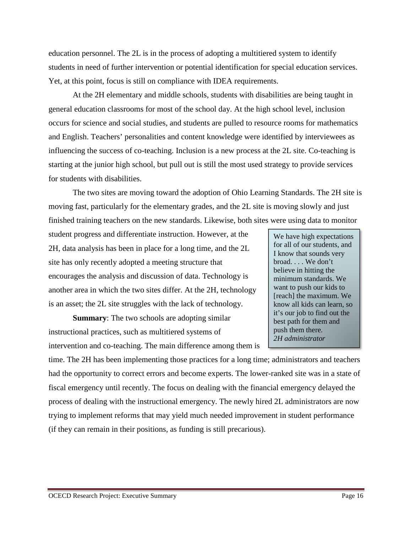education personnel. The 2L is in the process of adopting a multitiered system to identify students in need of further intervention or potential identification for special education services. Yet, at this point, focus is still on compliance with IDEA requirements.

At the 2H elementary and middle schools, students with disabilities are being taught in general education classrooms for most of the school day. At the high school level, inclusion occurs for science and social studies, and students are pulled to resource rooms for mathematics and English. Teachers' personalities and content knowledge were identified by interviewees as influencing the success of co-teaching. Inclusion is a new process at the 2L site. Co-teaching is starting at the junior high school, but pull out is still the most used strategy to provide services for students with disabilities.

The two sites are moving toward the adoption of Ohio Learning Standards. The 2H site is moving fast, particularly for the elementary grades, and the 2L site is moving slowly and just finished training teachers on the new standards. Likewise, both sites were using data to monitor

student progress and differentiate instruction. However, at the 2H, data analysis has been in place for a long time, and the 2L site has only recently adopted a meeting structure that encourages the analysis and discussion of data. Technology is another area in which the two sites differ. At the 2H, technology is an asset; the 2L site struggles with the lack of technology.

**Summary**: The two schools are adopting similar instructional practices, such as multitiered systems of intervention and co-teaching. The main difference among them is

We have high expectations for all of our students, and I know that sounds very broad. . . . We don't believe in hitting the minimum standards. We want to push our kids to [reach] the maximum. We know all kids can learn, so it's our job to find out the best path for them and push them there. *2H administrator* 

time. The 2H has been implementing those practices for a long time; administrators and teachers had the opportunity to correct errors and become experts. The lower-ranked site was in a state of fiscal emergency until recently. The focus on dealing with the financial emergency delayed the process of dealing with the instructional emergency. The newly hired 2L administrators are now trying to implement reforms that may yield much needed improvement in student performance (if they can remain in their positions, as funding is still precarious).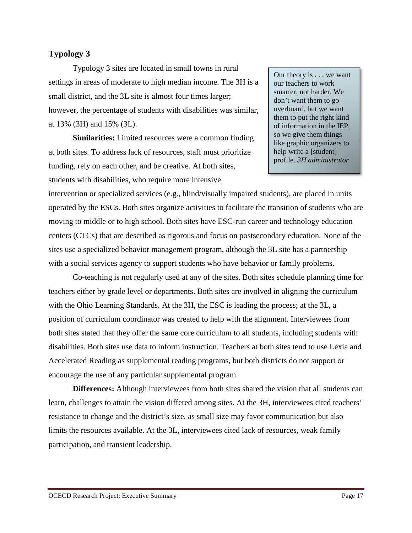## **Typology 3**

Typology 3 sites are located in small towns in rural settings in areas of moderate to high median income. The 3H is a small district, and the 3L site is almost four times larger; however, the percentage of students with disabilities was similar, at 13% (3H) and 15% (3L).

**Similarities:** Limited resources were a common finding at both sites. To address lack of resources, staff must prioritize funding, rely on each other, and be creative. At both sites, students with disabilities, who require more intensive

Our theory is . . . we want our teachers to work smarter, not harder. We don't want them to go overboard, but we want them to put the right kind of information in the IEP, so we give them things like graphic organizers to help write a [student] profile. *3H administrator* 

intervention or specialized services (e.g., blind/visually impaired students), are placed in units operated by the ESCs. Both sites organize activities to facilitate the transition of students who are moving to middle or to high school. Both sites have ESC-run career and technology education centers (CTCs) that are described as rigorous and focus on postsecondary education. None of the sites use a specialized behavior management program, although the 3L site has a partnership with a social services agency to support students who have behavior or family problems.

Co-teaching is not regularly used at any of the sites. Both sites schedule planning time for teachers either by grade level or departments. Both sites are involved in aligning the curriculum with the Ohio Learning Standards. At the 3H, the ESC is leading the process; at the 3L, a position of curriculum coordinator was created to help with the alignment. Interviewees from both sites stated that they offer the same core curriculum to all students, including students with disabilities. Both sites use data to inform instruction. Teachers at both sites tend to use Lexia and Accelerated Reading as supplemental reading programs, but both districts do not support or encourage the use of any particular supplemental program.

**Differences:** Although interviewees from both sites shared the vision that all students can learn, challenges to attain the vision differed among sites. At the 3H, interviewees cited teachers' resistance to change and the district's size, as small size may favor communication but also limits the resources available. At the 3L, interviewees cited lack of resources, weak family participation, and transient leadership.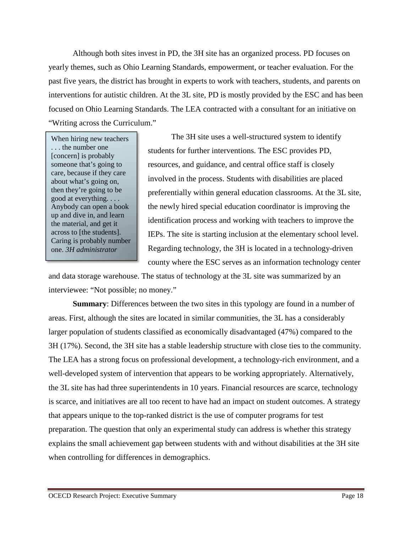Although both sites invest in PD, the 3H site has an organized process. PD focuses on yearly themes, such as Ohio Learning Standards, empowerment, or teacher evaluation. For the past five years, the district has brought in experts to work with teachers, students, and parents on interventions for autistic children. At the 3L site, PD is mostly provided by the ESC and has been focused on Ohio Learning Standards. The LEA contracted with a consultant for an initiative on "Writing across the Curriculum."

When hiring new teachers . . . the number one [concern] is probably someone that's going to care, because if they care about what's going on, then they're going to be good at everything. . . . Anybody can open a book up and dive in, and learn the material, and get it across to [the students]. Caring is probably number one. *3H administrator*

The 3H site uses a well-structured system to identify students for further interventions. The ESC provides PD, resources, and guidance, and central office staff is closely involved in the process. Students with disabilities are placed preferentially within general education classrooms. At the 3L site, the newly hired special education coordinator is improving the identification process and working with teachers to improve the IEPs. The site is starting inclusion at the elementary school level. Regarding technology, the 3H is located in a technology-driven county where the ESC serves as an information technology center

and data storage warehouse. The status of technology at the 3L site was summarized by an interviewee: "Not possible; no money."

**Summary**: Differences between the two sites in this typology are found in a number of areas. First, although the sites are located in similar communities, the 3L has a considerably larger population of students classified as economically disadvantaged (47%) compared to the 3H (17%). Second, the 3H site has a stable leadership structure with close ties to the community. The LEA has a strong focus on professional development, a technology-rich environment, and a well-developed system of intervention that appears to be working appropriately. Alternatively, the 3L site has had three superintendents in 10 years. Financial resources are scarce, technology is scarce, and initiatives are all too recent to have had an impact on student outcomes. A strategy that appears unique to the top-ranked district is the use of computer programs for test preparation. The question that only an experimental study can address is whether this strategy explains the small achievement gap between students with and without disabilities at the 3H site when controlling for differences in demographics.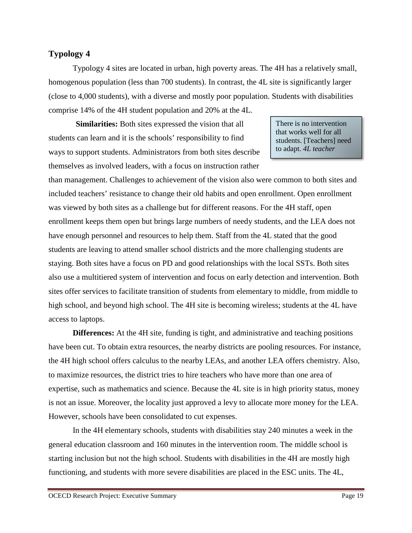## **Typology 4**

Typology 4 sites are located in urban, high poverty areas. The 4H has a relatively small, homogenous population (less than 700 students). In contrast, the 4L site is significantly larger (close to 4,000 students), with a diverse and mostly poor population. Students with disabilities comprise 14% of the 4H student population and 20% at the 4L.

 **Similarities:** Both sites expressed the vision that all students can learn and it is the schools' responsibility to find ways to support students. Administrators from both sites describe themselves as involved leaders, with a focus on instruction rather

There is no intervention that works well for all students. [Teachers] need to adapt. *4L teacher* 

than management. Challenges to achievement of the vision also were common to both sites and included teachers' resistance to change their old habits and open enrollment. Open enrollment was viewed by both sites as a challenge but for different reasons. For the 4H staff, open enrollment keeps them open but brings large numbers of needy students, and the LEA does not have enough personnel and resources to help them. Staff from the 4L stated that the good students are leaving to attend smaller school districts and the more challenging students are staying. Both sites have a focus on PD and good relationships with the local SSTs. Both sites also use a multitiered system of intervention and focus on early detection and intervention. Both sites offer services to facilitate transition of students from elementary to middle, from middle to high school, and beyond high school. The 4H site is becoming wireless; students at the 4L have access to laptops.

**Differences:** At the 4H site, funding is tight, and administrative and teaching positions have been cut. To obtain extra resources, the nearby districts are pooling resources. For instance, the 4H high school offers calculus to the nearby LEAs, and another LEA offers chemistry. Also, to maximize resources, the district tries to hire teachers who have more than one area of expertise, such as mathematics and science. Because the 4L site is in high priority status, money is not an issue. Moreover, the locality just approved a levy to allocate more money for the LEA. However, schools have been consolidated to cut expenses.

In the 4H elementary schools, students with disabilities stay 240 minutes a week in the general education classroom and 160 minutes in the intervention room. The middle school is starting inclusion but not the high school. Students with disabilities in the 4H are mostly high functioning, and students with more severe disabilities are placed in the ESC units. The 4L,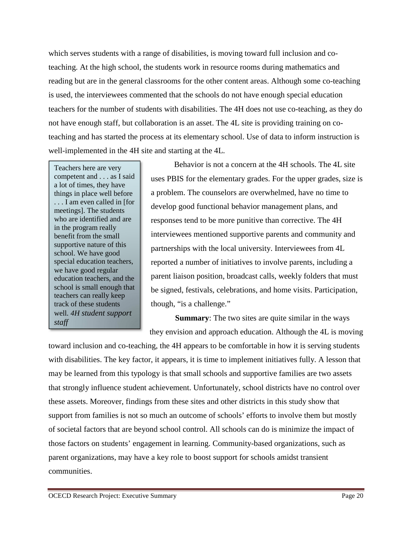which serves students with a range of disabilities, is moving toward full inclusion and coteaching. At the high school, the students work in resource rooms during mathematics and reading but are in the general classrooms for the other content areas. Although some co-teaching is used, the interviewees commented that the schools do not have enough special education teachers for the number of students with disabilities. The 4H does not use co-teaching, as they do not have enough staff, but collaboration is an asset. The 4L site is providing training on coteaching and has started the process at its elementary school. Use of data to inform instruction is well-implemented in the 4H site and starting at the 4L.

Teachers here are very competent and . . . as I said a lot of times, they have things in place well before . . . I am even called in [for meetings]. The students who are identified and are in the program really benefit from the small supportive nature of this school. We have good special education teachers, we have good regular education teachers, and the school is small enough that teachers can really keep track of these students well*. 4H student support staff*

Behavior is not a concern at the 4H schools. The 4L site uses PBIS for the elementary grades. For the upper grades, size is a problem. The counselors are overwhelmed, have no time to develop good functional behavior management plans, and responses tend to be more punitive than corrective. The 4H interviewees mentioned supportive parents and community and partnerships with the local university. Interviewees from 4L reported a number of initiatives to involve parents, including a parent liaison position, broadcast calls, weekly folders that must be signed, festivals, celebrations, and home visits. Participation, though, "is a challenge."

**Summary**: The two sites are quite similar in the ways they envision and approach education. Although the 4L is moving

toward inclusion and co-teaching, the 4H appears to be comfortable in how it is serving students with disabilities. The key factor, it appears, it is time to implement initiatives fully. A lesson that may be learned from this typology is that small schools and supportive families are two assets that strongly influence student achievement. Unfortunately, school districts have no control over these assets. Moreover, findings from these sites and other districts in this study show that support from families is not so much an outcome of schools' efforts to involve them but mostly of societal factors that are beyond school control. All schools can do is minimize the impact of those factors on students' engagement in learning. Community-based organizations, such as parent organizations, may have a key role to boost support for schools amidst transient communities.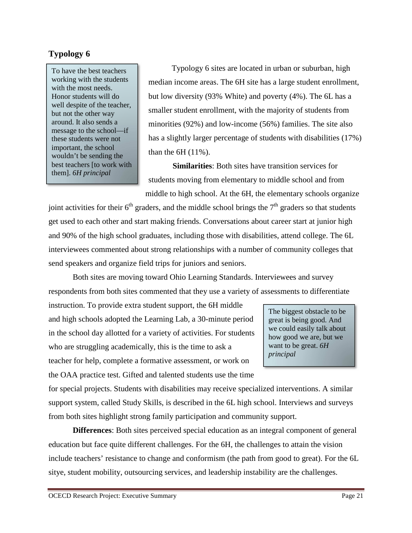# **Typology 6**

To have the best teachers working with the students with the most needs. Honor students will do well despite of the teacher, but not the other way around. It also sends a message to the school—if these students were not important, the school wouldn't be sending the best teachers [to work with them]. *6H principal* 

Typology 6 sites are located in urban or suburban, high median income areas. The 6H site has a large student enrollment, but low diversity (93% White) and poverty (4%). The 6L has a smaller student enrollment, with the majority of students from minorities (92%) and low-income (56%) families. The site also has a slightly larger percentage of students with disabilities (17%) than the 6H (11%).

**Similarities**: Both sites have transition services for students moving from elementary to middle school and from middle to high school. At the 6H, the elementary schools organize

joint activities for their  $6<sup>th</sup>$  graders, and the middle school brings the  $7<sup>th</sup>$  graders so that students get used to each other and start making friends. Conversations about career start at junior high and 90% of the high school graduates, including those with disabilities, attend college. The 6L interviewees commented about strong relationships with a number of community colleges that send speakers and organize field trips for juniors and seniors.

Both sites are moving toward Ohio Learning Standards. Interviewees and survey respondents from both sites commented that they use a variety of assessments to differentiate

instruction. To provide extra student support, the 6H middle and high schools adopted the Learning Lab, a 30-minute period in the school day allotted for a variety of activities. For students who are struggling academically, this is the time to ask a teacher for help, complete a formative assessment, or work on the OAA practice test. Gifted and talented students use the time

The biggest obstacle to be great is being good. And we could easily talk about how good we are, but we want to be great. *6H principal* 

for special projects. Students with disabilities may receive specialized interventions. A similar support system, called Study Skills, is described in the 6L high school. Interviews and surveys from both sites highlight strong family participation and community support.

**Differences**: Both sites perceived special education as an integral component of general education but face quite different challenges. For the 6H, the challenges to attain the vision include teachers' resistance to change and conformism (the path from good to great). For the 6L sitye, student mobility, outsourcing services, and leadership instability are the challenges.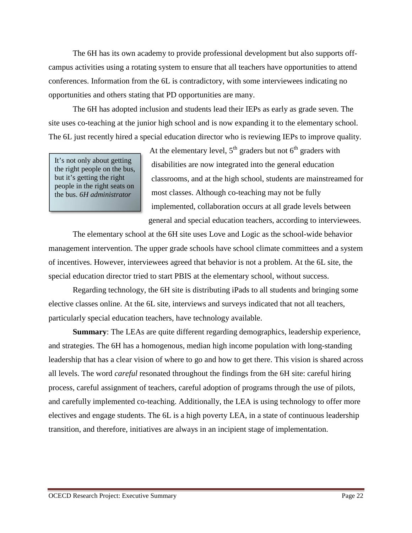The 6H has its own academy to provide professional development but also supports offcampus activities using a rotating system to ensure that all teachers have opportunities to attend conferences. Information from the 6L is contradictory, with some interviewees indicating no opportunities and others stating that PD opportunities are many.

The 6H has adopted inclusion and students lead their IEPs as early as grade seven. The site uses co-teaching at the junior high school and is now expanding it to the elementary school. The 6L just recently hired a special education director who is reviewing IEPs to improve quality.

It's not only about getting the right people on the bus, but it's getting the right people in the right seats on the bus. *6H administrator*

At the elementary level,  $5<sup>th</sup>$  graders but not  $6<sup>th</sup>$  graders with disabilities are now integrated into the general education classrooms, and at the high school, students are mainstreamed for most classes. Although co-teaching may not be fully implemented, collaboration occurs at all grade levels between general and special education teachers, according to interviewees.

The elementary school at the 6H site uses Love and Logic as the school-wide behavior management intervention. The upper grade schools have school climate committees and a system of incentives. However, interviewees agreed that behavior is not a problem. At the 6L site, the special education director tried to start PBIS at the elementary school, without success.

Regarding technology, the 6H site is distributing iPads to all students and bringing some elective classes online. At the 6L site, interviews and surveys indicated that not all teachers, particularly special education teachers, have technology available.

**Summary**: The LEAs are quite different regarding demographics, leadership experience, and strategies. The 6H has a homogenous, median high income population with long-standing leadership that has a clear vision of where to go and how to get there. This vision is shared across all levels. The word *careful* resonated throughout the findings from the 6H site: careful hiring process, careful assignment of teachers, careful adoption of programs through the use of pilots, and carefully implemented co-teaching. Additionally, the LEA is using technology to offer more electives and engage students. The 6L is a high poverty LEA, in a state of continuous leadership transition, and therefore, initiatives are always in an incipient stage of implementation.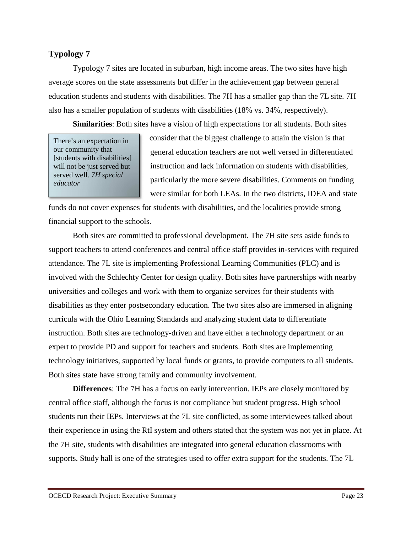# **Typology 7**

Typology 7 sites are located in suburban, high income areas. The two sites have high average scores on the state assessments but differ in the achievement gap between general education students and students with disabilities. The 7H has a smaller gap than the 7L site. 7H also has a smaller population of students with disabilities (18% vs. 34%, respectively).

**Similarities**: Both sites have a vision of high expectations for all students. Both sites

There's an expectation in our community that [students with disabilities] will not be just served but served well. *7H special educator* 

consider that the biggest challenge to attain the vision is that general education teachers are not well versed in differentiated instruction and lack information on students with disabilities, particularly the more severe disabilities. Comments on funding were similar for both LEAs. In the two districts, IDEA and state

funds do not cover expenses for students with disabilities, and the localities provide strong financial support to the schools.

Both sites are committed to professional development. The 7H site sets aside funds to support teachers to attend conferences and central office staff provides in-services with required attendance. The 7L site is implementing Professional Learning Communities (PLC) and is involved with the Schlechty Center for design quality. Both sites have partnerships with nearby universities and colleges and work with them to organize services for their students with disabilities as they enter postsecondary education. The two sites also are immersed in aligning curricula with the Ohio Learning Standards and analyzing student data to differentiate instruction. Both sites are technology-driven and have either a technology department or an expert to provide PD and support for teachers and students. Both sites are implementing technology initiatives, supported by local funds or grants, to provide computers to all students. Both sites state have strong family and community involvement.

**Differences**: The 7H has a focus on early intervention. IEPs are closely monitored by central office staff, although the focus is not compliance but student progress. High school students run their IEPs. Interviews at the 7L site conflicted, as some interviewees talked about their experience in using the RtI system and others stated that the system was not yet in place. At the 7H site, students with disabilities are integrated into general education classrooms with supports. Study hall is one of the strategies used to offer extra support for the students. The 7L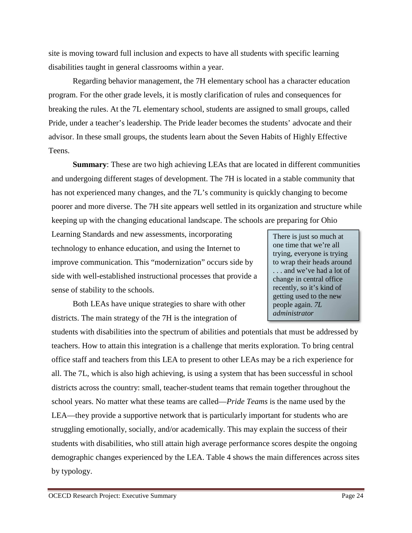site is moving toward full inclusion and expects to have all students with specific learning disabilities taught in general classrooms within a year.

Regarding behavior management, the 7H elementary school has a character education program. For the other grade levels, it is mostly clarification of rules and consequences for breaking the rules. At the 7L elementary school, students are assigned to small groups, called Pride, under a teacher's leadership. The Pride leader becomes the students' advocate and their advisor. In these small groups, the students learn about the Seven Habits of Highly Effective Teens.

**Summary**: These are two high achieving LEAs that are located in different communities and undergoing different stages of development. The 7H is located in a stable community that has not experienced many changes, and the 7L's community is quickly changing to become poorer and more diverse. The 7H site appears well settled in its organization and structure while keeping up with the changing educational landscape. The schools are preparing for Ohio

Learning Standards and new assessments, incorporating technology to enhance education, and using the Internet to improve communication. This "modernization" occurs side by side with well-established instructional processes that provide a sense of stability to the schools.

Both LEAs have unique strategies to share with other districts. The main strategy of the 7H is the integration of

students with disabilities into the spectrum of abilities and potentials that must be addressed by teachers. How to attain this integration is a challenge that merits exploration. To bring central office staff and teachers from this LEA to present to other LEAs may be a rich experience for all. The 7L, which is also high achieving, is using a system that has been successful in school districts across the country: small, teacher-student teams that remain together throughout the school years. No matter what these teams are called—*Pride Teams* is the name used by the LEA—they provide a supportive network that is particularly important for students who are struggling emotionally, socially, and/or academically. This may explain the success of their students with disabilities, who still attain high average performance scores despite the ongoing demographic changes experienced by the LEA. Table 4 shows the main differences across sites by typology.

There is just so much at one time that we're all trying, everyone is trying to wrap their heads around . . . and we've had a lot of change in central office recently, so it's kind of getting used to the new people again. *7L administrator*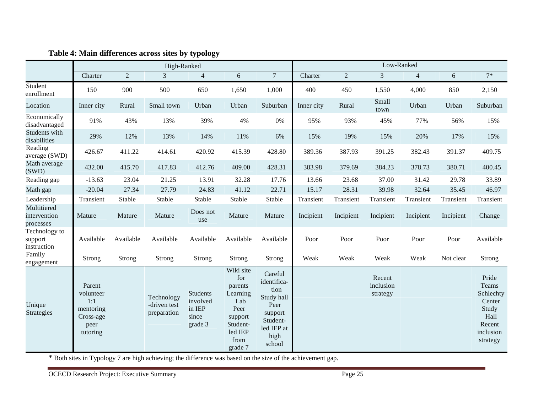|                                          | High-Ranked                                                              |                |                                           |                                                    |                                                                                                             | Low-Ranked                                                                                                  |            |                |                                 |                |           |                                                                                           |
|------------------------------------------|--------------------------------------------------------------------------|----------------|-------------------------------------------|----------------------------------------------------|-------------------------------------------------------------------------------------------------------------|-------------------------------------------------------------------------------------------------------------|------------|----------------|---------------------------------|----------------|-----------|-------------------------------------------------------------------------------------------|
|                                          | Charter                                                                  | $\overline{2}$ | 3                                         | $\overline{4}$                                     | $\sqrt{6}$                                                                                                  | $\overline{7}$                                                                                              | Charter    | $\overline{2}$ | 3                               | $\overline{4}$ | 6         | $7*$                                                                                      |
| Student<br>enrollment                    | 150                                                                      | 900            | 500                                       | 650                                                | 1,650                                                                                                       | 1,000                                                                                                       | 400        | 450            | 1,550                           | 4,000          | 850       | 2,150                                                                                     |
| Location                                 | Inner city                                                               | Rural          | Small town                                | Urban                                              | Urban                                                                                                       | Suburban                                                                                                    | Inner city | Rural          | Small<br>town                   | Urban          | Urban     | Suburban                                                                                  |
| Economically<br>disadvantaged            | 91%                                                                      | 43%            | 13%                                       | 39%                                                | 4%                                                                                                          | 0%                                                                                                          | 95%        | 93%            | 45%                             | 77%            | 56%       | 15%                                                                                       |
| Students with<br>disabilities            | 29%                                                                      | 12%            | 13%                                       | 14%                                                | 11%                                                                                                         | 6%                                                                                                          | 15%        | 19%            | 15%                             | 20%            | 17%       | 15%                                                                                       |
| Reading<br>average (SWD)                 | 426.67                                                                   | 411.22         | 414.61                                    | 420.92                                             | 415.39                                                                                                      | 428.80                                                                                                      | 389.36     | 387.93         | 391.25                          | 382.43         | 391.37    | 409.75                                                                                    |
| Math average<br>(SWD)                    | 432.00                                                                   | 415.70         | 417.83                                    | 412.76                                             | 409.00                                                                                                      | 428.31                                                                                                      | 383.98     | 379.69         | 384.23                          | 378.73         | 380.71    | 400.45                                                                                    |
| Reading gap                              | $-13.63$                                                                 | 23.04          | 21.25                                     | 13.91                                              | 32.28                                                                                                       | 17.76                                                                                                       | 13.66      | 23.68          | 37.00                           | 31.42          | 29.78     | 33.89                                                                                     |
| Math gap                                 | $-20.04$                                                                 | 27.34          | 27.79                                     | 24.83                                              | 41.12                                                                                                       | 22.71                                                                                                       | 15.17      | 28.31          | 39.98                           | 32.64          | 35.45     | 46.97                                                                                     |
| Leadership                               | Transient                                                                | Stable         | Stable                                    | Stable                                             | Stable                                                                                                      | Stable                                                                                                      | Transient  | Transient      | Transient                       | Transient      | Transient | Transient                                                                                 |
| Multitiered<br>intervention<br>processes | Mature                                                                   | Mature         | Mature                                    | Does not<br>use                                    | Mature                                                                                                      | Mature                                                                                                      | Incipient  | Incipient      | Incipient                       | Incipient      | Incipient | Change                                                                                    |
| Technology to<br>support<br>instruction  | Available                                                                | Available      | Available                                 | Available                                          | Available                                                                                                   | Available                                                                                                   | Poor       | Poor           | Poor                            | Poor           | Poor      | Available                                                                                 |
| Family<br>engagement                     | Strong                                                                   | Strong         | Strong                                    | Strong                                             | Strong                                                                                                      | Strong                                                                                                      | Weak       | Weak           | Weak                            | Weak           | Not clear | Strong                                                                                    |
| Unique<br><b>Strategies</b>              | Parent<br>volunteer<br>1:1<br>mentoring<br>Cross-age<br>peer<br>tutoring |                | Technology<br>-driven test<br>preparation | Students<br>involved<br>in IEP<br>since<br>grade 3 | Wiki site<br>for<br>parents<br>Learning<br>Lab<br>Peer<br>support<br>Student-<br>led IEP<br>from<br>grade 7 | Careful<br>identifica-<br>tion<br>Study hall<br>Peer<br>support<br>Student-<br>led IEP at<br>high<br>school |            |                | Recent<br>inclusion<br>strategy |                |           | Pride<br>Teams<br>Schlechty<br>Center<br>Study<br>Hall<br>Recent<br>inclusion<br>strategy |

## **Table 4: Main differences across sites by typology**

\* Both sites in Typology 7 are high achieving; the difference was based on the size of the achievement gap.

OCECD Research Project: Executive Summary Page 25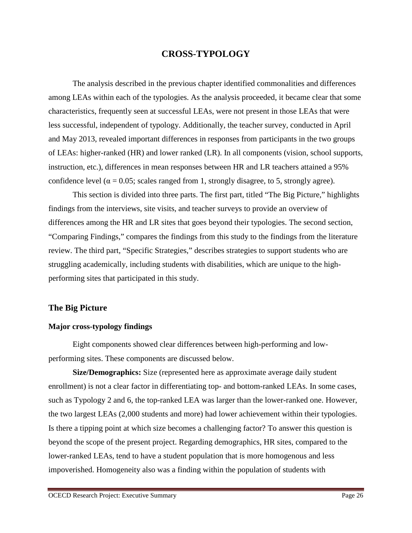## **CROSS-TYPOLOGY**

The analysis described in the previous chapter identified commonalities and differences among LEAs within each of the typologies. As the analysis proceeded, it became clear that some characteristics, frequently seen at successful LEAs, were not present in those LEAs that were less successful, independent of typology. Additionally, the teacher survey, conducted in April and May 2013, revealed important differences in responses from participants in the two groups of LEAs: higher-ranked (HR) and lower ranked (LR). In all components (vision, school supports, instruction, etc.), differences in mean responses between HR and LR teachers attained a 95% confidence level ( $\alpha = 0.05$ ; scales ranged from 1, strongly disagree, to 5, strongly agree).

This section is divided into three parts. The first part, titled "The Big Picture," highlights findings from the interviews, site visits, and teacher surveys to provide an overview of differences among the HR and LR sites that goes beyond their typologies. The second section, "Comparing Findings," compares the findings from this study to the findings from the literature review. The third part, "Specific Strategies," describes strategies to support students who are struggling academically, including students with disabilities, which are unique to the highperforming sites that participated in this study.

#### **The Big Picture**

#### **Major cross-typology findings**

 Eight components showed clear differences between high-performing and lowperforming sites. These components are discussed below.

**Size/Demographics:** Size (represented here as approximate average daily student enrollment) is not a clear factor in differentiating top- and bottom-ranked LEAs. In some cases, such as Typology 2 and 6, the top-ranked LEA was larger than the lower-ranked one. However, the two largest LEAs (2,000 students and more) had lower achievement within their typologies. Is there a tipping point at which size becomes a challenging factor? To answer this question is beyond the scope of the present project. Regarding demographics, HR sites, compared to the lower-ranked LEAs, tend to have a student population that is more homogenous and less impoverished. Homogeneity also was a finding within the population of students with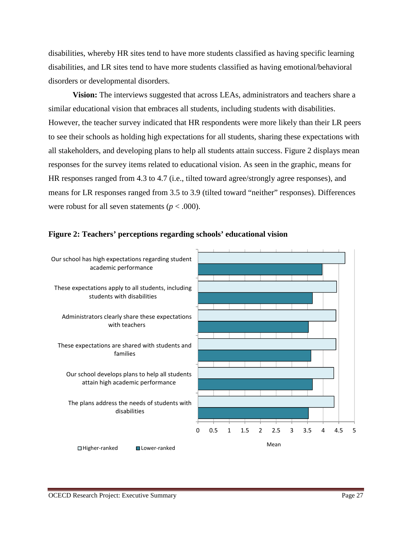disabilities, whereby HR sites tend to have more students classified as having specific learning disabilities, and LR sites tend to have more students classified as having emotional/behavioral disorders or developmental disorders.

**Vision:** The interviews suggested that across LEAs, administrators and teachers share a similar educational vision that embraces all students, including students with disabilities. However, the teacher survey indicated that HR respondents were more likely than their LR peers to see their schools as holding high expectations for all students, sharing these expectations with all stakeholders, and developing plans to help all students attain success. Figure 2 displays mean responses for the survey items related to educational vision. As seen in the graphic, means for HR responses ranged from 4.3 to 4.7 (i.e., tilted toward agree/strongly agree responses), and means for LR responses ranged from 3.5 to 3.9 (tilted toward "neither" responses). Differences were robust for all seven statements ( $p < .000$ ).



#### **Figure 2: Teachers' perceptions regarding schools' educational vision**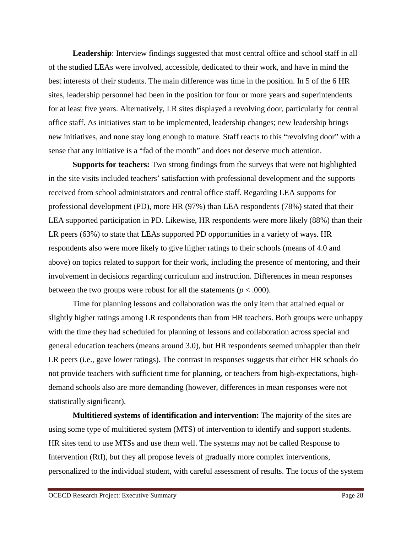**Leadership**: Interview findings suggested that most central office and school staff in all of the studied LEAs were involved, accessible, dedicated to their work, and have in mind the best interests of their students. The main difference was time in the position. In 5 of the 6 HR sites, leadership personnel had been in the position for four or more years and superintendents for at least five years. Alternatively, LR sites displayed a revolving door, particularly for central office staff. As initiatives start to be implemented, leadership changes; new leadership brings new initiatives, and none stay long enough to mature. Staff reacts to this "revolving door" with a sense that any initiative is a "fad of the month" and does not deserve much attention.

**Supports for teachers:** Two strong findings from the surveys that were not highlighted in the site visits included teachers' satisfaction with professional development and the supports received from school administrators and central office staff. Regarding LEA supports for professional development (PD), more HR (97%) than LEA respondents (78%) stated that their LEA supported participation in PD. Likewise, HR respondents were more likely (88%) than their LR peers (63%) to state that LEAs supported PD opportunities in a variety of ways. HR respondents also were more likely to give higher ratings to their schools (means of 4.0 and above) on topics related to support for their work, including the presence of mentoring, and their involvement in decisions regarding curriculum and instruction. Differences in mean responses between the two groups were robust for all the statements ( $p < .000$ ).

Time for planning lessons and collaboration was the only item that attained equal or slightly higher ratings among LR respondents than from HR teachers. Both groups were unhappy with the time they had scheduled for planning of lessons and collaboration across special and general education teachers (means around 3.0), but HR respondents seemed unhappier than their LR peers (i.e., gave lower ratings). The contrast in responses suggests that either HR schools do not provide teachers with sufficient time for planning, or teachers from high-expectations, highdemand schools also are more demanding (however, differences in mean responses were not statistically significant).

**Multitiered systems of identification and intervention:** The majority of the sites are using some type of multitiered system (MTS) of intervention to identify and support students. HR sites tend to use MTSs and use them well. The systems may not be called Response to Intervention (RtI), but they all propose levels of gradually more complex interventions, personalized to the individual student, with careful assessment of results. The focus of the system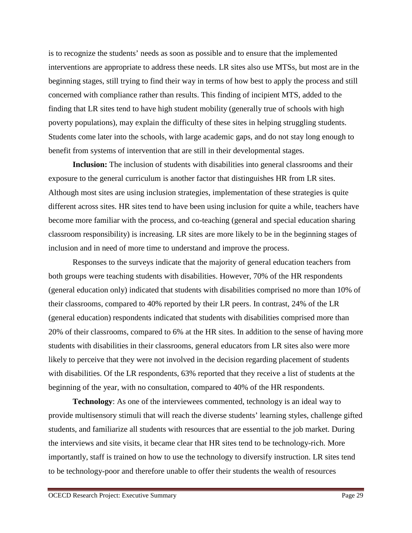is to recognize the students' needs as soon as possible and to ensure that the implemented interventions are appropriate to address these needs. LR sites also use MTSs, but most are in the beginning stages, still trying to find their way in terms of how best to apply the process and still concerned with compliance rather than results. This finding of incipient MTS, added to the finding that LR sites tend to have high student mobility (generally true of schools with high poverty populations), may explain the difficulty of these sites in helping struggling students. Students come later into the schools, with large academic gaps, and do not stay long enough to benefit from systems of intervention that are still in their developmental stages.

**Inclusion:** The inclusion of students with disabilities into general classrooms and their exposure to the general curriculum is another factor that distinguishes HR from LR sites. Although most sites are using inclusion strategies, implementation of these strategies is quite different across sites. HR sites tend to have been using inclusion for quite a while, teachers have become more familiar with the process, and co-teaching (general and special education sharing classroom responsibility) is increasing. LR sites are more likely to be in the beginning stages of inclusion and in need of more time to understand and improve the process.

Responses to the surveys indicate that the majority of general education teachers from both groups were teaching students with disabilities. However, 70% of the HR respondents (general education only) indicated that students with disabilities comprised no more than 10% of their classrooms, compared to 40% reported by their LR peers. In contrast, 24% of the LR (general education) respondents indicated that students with disabilities comprised more than 20% of their classrooms, compared to 6% at the HR sites. In addition to the sense of having more students with disabilities in their classrooms, general educators from LR sites also were more likely to perceive that they were not involved in the decision regarding placement of students with disabilities. Of the LR respondents, 63% reported that they receive a list of students at the beginning of the year, with no consultation, compared to 40% of the HR respondents.

**Technology**: As one of the interviewees commented, technology is an ideal way to provide multisensory stimuli that will reach the diverse students' learning styles, challenge gifted students, and familiarize all students with resources that are essential to the job market. During the interviews and site visits, it became clear that HR sites tend to be technology-rich. More importantly, staff is trained on how to use the technology to diversify instruction. LR sites tend to be technology-poor and therefore unable to offer their students the wealth of resources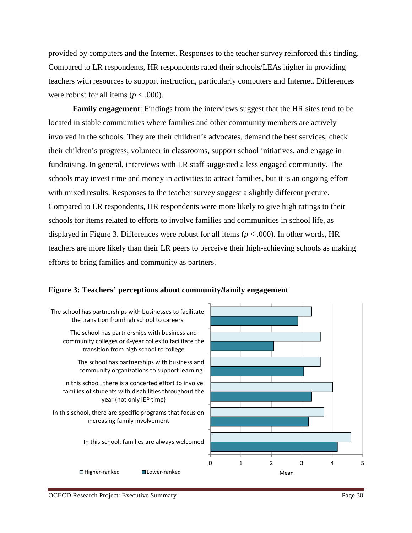provided by computers and the Internet. Responses to the teacher survey reinforced this finding. Compared to LR respondents, HR respondents rated their schools/LEAs higher in providing teachers with resources to support instruction, particularly computers and Internet. Differences were robust for all items ( $p < .000$ ).

**Family engagement**: Findings from the interviews suggest that the HR sites tend to be located in stable communities where families and other community members are actively involved in the schools. They are their children's advocates, demand the best services, check their children's progress, volunteer in classrooms, support school initiatives, and engage in fundraising. In general, interviews with LR staff suggested a less engaged community. The schools may invest time and money in activities to attract families, but it is an ongoing effort with mixed results. Responses to the teacher survey suggest a slightly different picture. Compared to LR respondents, HR respondents were more likely to give high ratings to their schools for items related to efforts to involve families and communities in school life, as displayed in Figure 3. Differences were robust for all items (*p* < .000). In other words, HR teachers are more likely than their LR peers to perceive their high-achieving schools as making efforts to bring families and community as partners.

#### **Figure 3: Teachers' perceptions about community/family engagement**

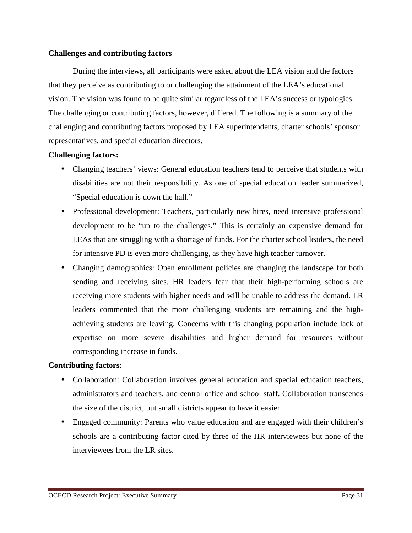## **Challenges and contributing factors**

During the interviews, all participants were asked about the LEA vision and the factors that they perceive as contributing to or challenging the attainment of the LEA's educational vision. The vision was found to be quite similar regardless of the LEA's success or typologies. The challenging or contributing factors, however, differed. The following is a summary of the challenging and contributing factors proposed by LEA superintendents, charter schools' sponsor representatives, and special education directors.

# **Challenging factors:**

- Changing teachers' views: General education teachers tend to perceive that students with disabilities are not their responsibility. As one of special education leader summarized, "Special education is down the hall."
- Professional development: Teachers, particularly new hires, need intensive professional development to be "up to the challenges." This is certainly an expensive demand for LEAs that are struggling with a shortage of funds. For the charter school leaders, the need for intensive PD is even more challenging, as they have high teacher turnover.
- Changing demographics: Open enrollment policies are changing the landscape for both sending and receiving sites. HR leaders fear that their high-performing schools are receiving more students with higher needs and will be unable to address the demand. LR leaders commented that the more challenging students are remaining and the highachieving students are leaving. Concerns with this changing population include lack of expertise on more severe disabilities and higher demand for resources without corresponding increase in funds.

# **Contributing factors**:

- Collaboration: Collaboration involves general education and special education teachers, administrators and teachers, and central office and school staff. Collaboration transcends the size of the district, but small districts appear to have it easier.
- Engaged community: Parents who value education and are engaged with their children's schools are a contributing factor cited by three of the HR interviewees but none of the interviewees from the LR sites.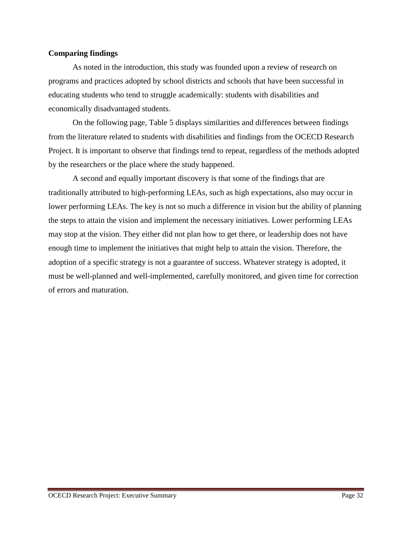## **Comparing findings**

As noted in the introduction, this study was founded upon a review of research on programs and practices adopted by school districts and schools that have been successful in educating students who tend to struggle academically: students with disabilities and economically disadvantaged students.

On the following page, Table 5 displays similarities and differences between findings from the literature related to students with disabilities and findings from the OCECD Research Project. It is important to observe that findings tend to repeat, regardless of the methods adopted by the researchers or the place where the study happened.

A second and equally important discovery is that some of the findings that are traditionally attributed to high-performing LEAs, such as high expectations, also may occur in lower performing LEAs. The key is not so much a difference in vision but the ability of planning the steps to attain the vision and implement the necessary initiatives. Lower performing LEAs may stop at the vision. They either did not plan how to get there, or leadership does not have enough time to implement the initiatives that might help to attain the vision. Therefore, the adoption of a specific strategy is not a guarantee of success. Whatever strategy is adopted, it must be well-planned and well-implemented, carefully monitored, and given time for correction of errors and maturation.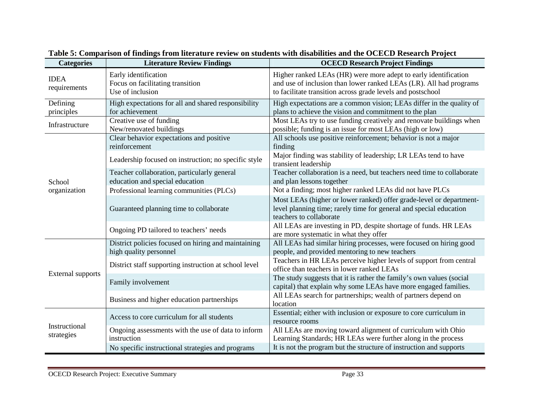| <b>Categories</b>           | <b>Literature Review Findings</b>                                                                   | <b>OCECD Research Project Findings</b>                                                                                                                                                               |
|-----------------------------|-----------------------------------------------------------------------------------------------------|------------------------------------------------------------------------------------------------------------------------------------------------------------------------------------------------------|
| <b>IDEA</b><br>requirements | Early identification<br>Focus on facilitating transition<br>Use of inclusion                        | Higher ranked LEAs (HR) were more adept to early identification<br>and use of inclusion than lower ranked LEAs (LR). All had programs<br>to facilitate transition across grade levels and postschool |
| Defining<br>principles      | High expectations for all and shared responsibility<br>for achievement                              | High expectations are a common vision; LEAs differ in the quality of<br>plans to achieve the vision and commitment to the plan                                                                       |
| Infrastructure              | Creative use of funding<br>New/renovated buildings                                                  | Most LEAs try to use funding creatively and renovate buildings when<br>possible; funding is an issue for most LEAs (high or low)                                                                     |
| School<br>organization      | Clear behavior expectations and positive<br>reinforcement                                           | All schools use positive reinforcement; behavior is not a major<br>finding<br>Major finding was stability of leadership; LR LEAs tend to have                                                        |
|                             | Leadership focused on instruction; no specific style<br>Teacher collaboration, particularly general | transient leadership<br>Teacher collaboration is a need, but teachers need time to collaborate                                                                                                       |
|                             | education and special education                                                                     | and plan lessons together                                                                                                                                                                            |
|                             | Professional learning communities (PLCs)                                                            | Not a finding; most higher ranked LEAs did not have PLCs                                                                                                                                             |
|                             | Guaranteed planning time to collaborate                                                             | Most LEAs (higher or lower ranked) offer grade-level or department-<br>level planning time; rarely time for general and special education<br>teachers to collaborate                                 |
|                             | Ongoing PD tailored to teachers' needs                                                              | All LEAs are investing in PD, despite shortage of funds. HR LEAs<br>are more systematic in what they offer                                                                                           |
| <b>External supports</b>    | District policies focused on hiring and maintaining<br>high quality personnel                       | All LEAs had similar hiring processes, were focused on hiring good<br>people, and provided mentoring to new teachers                                                                                 |
|                             | District staff supporting instruction at school level                                               | Teachers in HR LEAs perceive higher levels of support from central<br>office than teachers in lower ranked LEAs                                                                                      |
|                             | Family involvement                                                                                  | The study suggests that it is rather the family's own values (social<br>capital) that explain why some LEAs have more engaged families.                                                              |
|                             | Business and higher education partnerships                                                          | All LEAs search for partnerships; wealth of partners depend on<br>location                                                                                                                           |
| Instructional<br>strategies | Access to core curriculum for all students                                                          | Essential; either with inclusion or exposure to core curriculum in<br>resource rooms                                                                                                                 |
|                             | Ongoing assessments with the use of data to inform<br>instruction                                   | All LEAs are moving toward alignment of curriculum with Ohio<br>Learning Standards; HR LEAs were further along in the process                                                                        |
|                             | No specific instructional strategies and programs                                                   | It is not the program but the structure of instruction and supports                                                                                                                                  |

**Table 5: Comparison of findings from literature review on students with disabilities and the OCECD Research Project**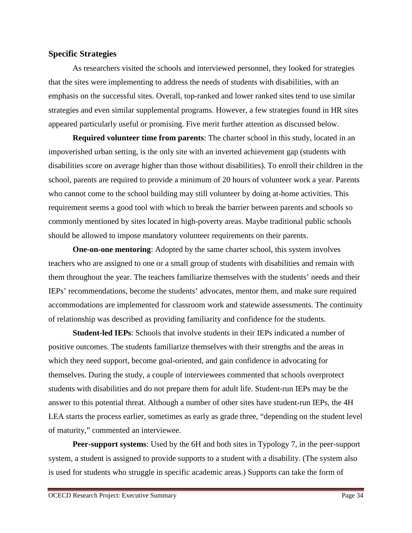## **Specific Strategies**

As researchers visited the schools and interviewed personnel, they looked for strategies that the sites were implementing to address the needs of students with disabilities, with an emphasis on the successful sites. Overall, top-ranked and lower ranked sites tend to use similar strategies and even similar supplemental programs. However, a few strategies found in HR sites appeared particularly useful or promising. Five merit further attention as discussed below.

**Required volunteer time from parents**: The charter school in this study, located in an impoverished urban setting, is the only site with an inverted achievement gap (students with disabilities score on average higher than those without disabilities). To enroll their children in the school, parents are required to provide a minimum of 20 hours of volunteer work a year. Parents who cannot come to the school building may still volunteer by doing at-home activities. This requirement seems a good tool with which to break the barrier between parents and schools so commonly mentioned by sites located in high-poverty areas. Maybe traditional public schools should be allowed to impose mandatory volunteer requirements on their parents.

**One-on-one mentoring:** Adopted by the same charter school, this system involves teachers who are assigned to one or a small group of students with disabilities and remain with them throughout the year. The teachers familiarize themselves with the students' needs and their IEPs' recommendations, become the students' advocates, mentor them, and make sure required accommodations are implemented for classroom work and statewide assessments. The continuity of relationship was described as providing familiarity and confidence for the students.

**Student-led IEPs**: Schools that involve students in their IEPs indicated a number of positive outcomes. The students familiarize themselves with their strengths and the areas in which they need support, become goal-oriented, and gain confidence in advocating for themselves. During the study, a couple of interviewees commented that schools overprotect students with disabilities and do not prepare them for adult life. Student-run IEPs may be the answer to this potential threat. Although a number of other sites have student-run IEPs, the 4H LEA starts the process earlier, sometimes as early as grade three, "depending on the student level of maturity," commented an interviewee.

**Peer-support systems**: Used by the 6H and both sites in Typology 7, in the peer-support system, a student is assigned to provide supports to a student with a disability. (The system also is used for students who struggle in specific academic areas.) Supports can take the form of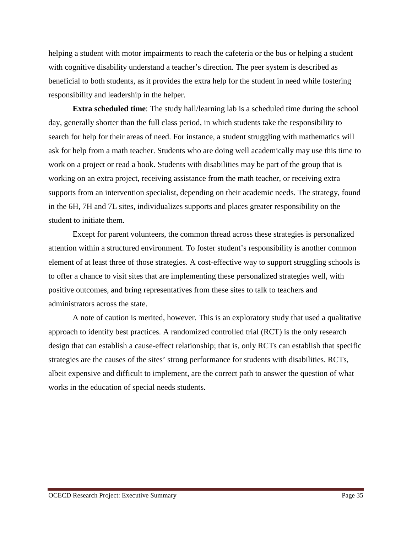helping a student with motor impairments to reach the cafeteria or the bus or helping a student with cognitive disability understand a teacher's direction. The peer system is described as beneficial to both students, as it provides the extra help for the student in need while fostering responsibility and leadership in the helper.

**Extra scheduled time**: The study hall/learning lab is a scheduled time during the school day, generally shorter than the full class period, in which students take the responsibility to search for help for their areas of need. For instance, a student struggling with mathematics will ask for help from a math teacher. Students who are doing well academically may use this time to work on a project or read a book. Students with disabilities may be part of the group that is working on an extra project, receiving assistance from the math teacher, or receiving extra supports from an intervention specialist, depending on their academic needs. The strategy, found in the 6H, 7H and 7L sites, individualizes supports and places greater responsibility on the student to initiate them.

Except for parent volunteers, the common thread across these strategies is personalized attention within a structured environment. To foster student's responsibility is another common element of at least three of those strategies. A cost-effective way to support struggling schools is to offer a chance to visit sites that are implementing these personalized strategies well, with positive outcomes, and bring representatives from these sites to talk to teachers and administrators across the state.

A note of caution is merited, however. This is an exploratory study that used a qualitative approach to identify best practices. A randomized controlled trial (RCT) is the only research design that can establish a cause-effect relationship; that is, only RCTs can establish that specific strategies are the causes of the sites' strong performance for students with disabilities. RCTs, albeit expensive and difficult to implement, are the correct path to answer the question of what works in the education of special needs students.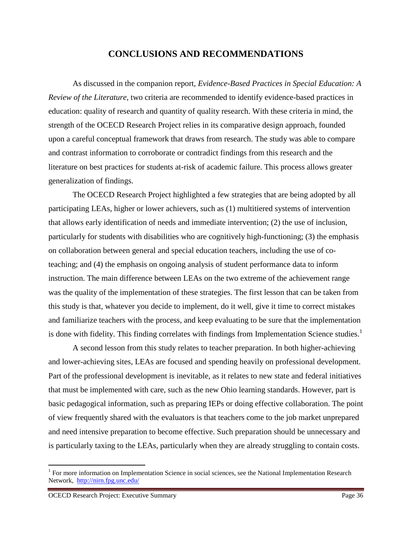# **CONCLUSIONS AND RECOMMENDATIONS**

As discussed in the companion report, *Evidence-Based Practices in Special Education: A Review of the Literature*, two criteria are recommended to identify evidence-based practices in education: quality of research and quantity of quality research. With these criteria in mind, the strength of the OCECD Research Project relies in its comparative design approach, founded upon a careful conceptual framework that draws from research. The study was able to compare and contrast information to corroborate or contradict findings from this research and the literature on best practices for students at-risk of academic failure. This process allows greater generalization of findings.

The OCECD Research Project highlighted a few strategies that are being adopted by all participating LEAs, higher or lower achievers, such as (1) multitiered systems of intervention that allows early identification of needs and immediate intervention; (2) the use of inclusion, particularly for students with disabilities who are cognitively high-functioning; (3) the emphasis on collaboration between general and special education teachers, including the use of coteaching; and (4) the emphasis on ongoing analysis of student performance data to inform instruction. The main difference between LEAs on the two extreme of the achievement range was the quality of the implementation of these strategies. The first lesson that can be taken from this study is that, whatever you decide to implement, do it well, give it time to correct mistakes and familiarize teachers with the process, and keep evaluating to be sure that the implementation is done with fidelity. This finding correlates with findings from Implementation Science studies.<sup>1</sup>

A second lesson from this study relates to teacher preparation. In both higher-achieving and lower-achieving sites, LEAs are focused and spending heavily on professional development. Part of the professional development is inevitable, as it relates to new state and federal initiatives that must be implemented with care, such as the new Ohio learning standards. However, part is basic pedagogical information, such as preparing IEPs or doing effective collaboration. The point of view frequently shared with the evaluators is that teachers come to the job market unprepared and need intensive preparation to become effective. Such preparation should be unnecessary and is particularly taxing to the LEAs, particularly when they are already struggling to contain costs.

 $\overline{a}$ 

<sup>&</sup>lt;sup>1</sup> For more information on Implementation Science in social sciences, see the National Implementation Research Network, http://nirn.fpg.unc.edu/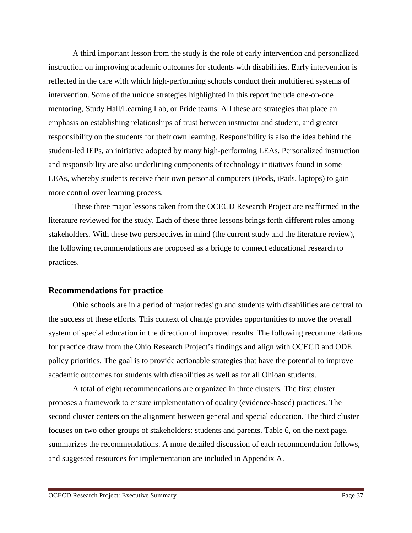A third important lesson from the study is the role of early intervention and personalized instruction on improving academic outcomes for students with disabilities. Early intervention is reflected in the care with which high-performing schools conduct their multitiered systems of intervention. Some of the unique strategies highlighted in this report include one-on-one mentoring, Study Hall/Learning Lab, or Pride teams. All these are strategies that place an emphasis on establishing relationships of trust between instructor and student, and greater responsibility on the students for their own learning. Responsibility is also the idea behind the student-led IEPs, an initiative adopted by many high-performing LEAs. Personalized instruction and responsibility are also underlining components of technology initiatives found in some LEAs, whereby students receive their own personal computers (iPods, iPads, laptops) to gain more control over learning process.

These three major lessons taken from the OCECD Research Project are reaffirmed in the literature reviewed for the study. Each of these three lessons brings forth different roles among stakeholders. With these two perspectives in mind (the current study and the literature review), the following recommendations are proposed as a bridge to connect educational research to practices.

## **Recommendations for practice**

Ohio schools are in a period of major redesign and students with disabilities are central to the success of these efforts. This context of change provides opportunities to move the overall system of special education in the direction of improved results. The following recommendations for practice draw from the Ohio Research Project's findings and align with OCECD and ODE policy priorities. The goal is to provide actionable strategies that have the potential to improve academic outcomes for students with disabilities as well as for all Ohioan students.

A total of eight recommendations are organized in three clusters. The first cluster proposes a framework to ensure implementation of quality (evidence-based) practices. The second cluster centers on the alignment between general and special education. The third cluster focuses on two other groups of stakeholders: students and parents. Table 6, on the next page, summarizes the recommendations. A more detailed discussion of each recommendation follows, and suggested resources for implementation are included in Appendix A.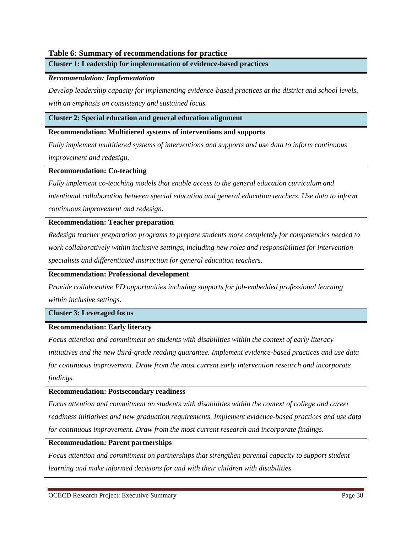### **Table 6: Summary of recommendations for practice**

**Cluster 1: Leadership for implementation of evidence-based practices** 

### *Recommendation: Implementation*

*Develop leadership capacity for implementing evidence-based practices at the district and school levels, with an emphasis on consistency and sustained focus.* 

#### **Cluster 2: Special education and general education alignment**

#### **Recommendation: Multitiered systems of interventions and supports**

*Fully implement multitiered systems of interventions and supports and use data to inform continuous improvement and redesign.* 

#### **Recommendation: Co-teaching**

*Fully implement co-teaching models that enable access to the general education curriculum and intentional collaboration between special education and general education teachers. Use data to inform continuous improvement and redesign.* 

#### **Recommendation: Teacher preparation**

*Redesign teacher preparation programs to prepare students more completely for competencies needed to work collaboratively within inclusive settings, including new roles and responsibilities for intervention specialists and differentiated instruction for general education teachers.* 

#### **Recommendation: Professional development**

*Provide collaborative PD opportunities including supports for job-embedded professional learning within inclusive settings.* 

#### **Cluster 3: Leveraged focus**

#### **Recommendation: Early literacy**

*Focus attention and commitment on students with disabilities within the context of early literacy initiatives and the new third-grade reading guarantee. Implement evidence-based practices and use data for continuous improvement. Draw from the most current early intervention research and incorporate findings.* 

#### **Recommendation: Postsecondary readiness**

*Focus attention and commitment on students with disabilities within the context of college and career readiness initiatives and new graduation requirements. Implement evidence-based practices and use data for continuous improvement. Draw from the most current research and incorporate findings.* 

#### **Recommendation: Parent partnerships**

*Focus attention and commitment on partnerships that strengthen parental capacity to support student learning and make informed decisions for and with their children with disabilities.*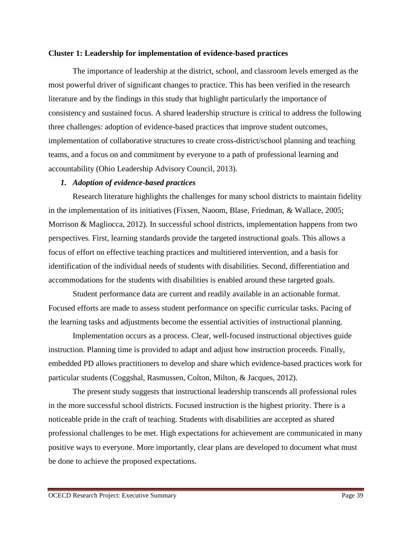### **Cluster 1: Leadership for implementation of evidence-based practices**

The importance of leadership at the district, school, and classroom levels emerged as the most powerful driver of significant changes to practice. This has been verified in the research literature and by the findings in this study that highlight particularly the importance of consistency and sustained focus. A shared leadership structure is critical to address the following three challenges: adoption of evidence-based practices that improve student outcomes, implementation of collaborative structures to create cross-district/school planning and teaching teams, and a focus on and commitment by everyone to a path of professional learning and accountability (Ohio Leadership Advisory Council, 2013).

## *1. Adoption of evidence-based practices*

Research literature highlights the challenges for many school districts to maintain fidelity in the implementation of its initiatives (Fixsen, Naoom, Blase, Friedman, & Wallace, 2005; Morrison & Magliocca, 2012). In successful school districts, implementation happens from two perspectives. First, learning standards provide the targeted instructional goals. This allows a focus of effort on effective teaching practices and multitiered intervention, and a basis for identification of the individual needs of students with disabilities. Second, differentiation and accommodations for the students with disabilities is enabled around these targeted goals.

Student performance data are current and readily available in an actionable format. Focused efforts are made to assess student performance on specific curricular tasks. Pacing of the learning tasks and adjustments become the essential activities of instructional planning.

Implementation occurs as a process. Clear, well-focused instructional objectives guide instruction. Planning time is provided to adapt and adjust how instruction proceeds. Finally, embedded PD allows practitioners to develop and share which evidence-based practices work for particular students (Coggshal, Rasmussen, Colton, Milton, & Jacques, 2012).

 The present study suggests that instructional leadership transcends all professional roles in the more successful school districts. Focused instruction is the highest priority. There is a noticeable pride in the craft of teaching. Students with disabilities are accepted as shared professional challenges to be met. High expectations for achievement are communicated in many positive ways to everyone. More importantly, clear plans are developed to document what must be done to achieve the proposed expectations.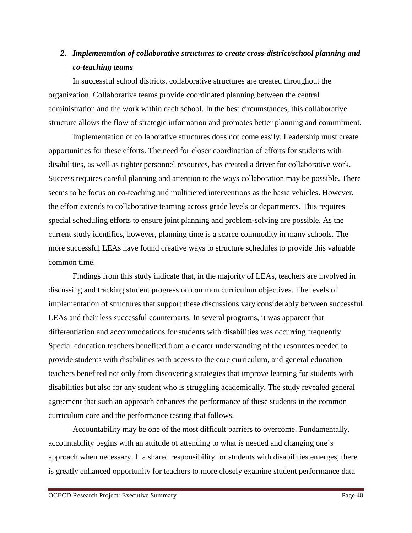# *2. Implementation of collaborative structures to create cross-district/school planning and co-teaching teams*

In successful school districts, collaborative structures are created throughout the organization. Collaborative teams provide coordinated planning between the central administration and the work within each school. In the best circumstances, this collaborative structure allows the flow of strategic information and promotes better planning and commitment.

Implementation of collaborative structures does not come easily. Leadership must create opportunities for these efforts. The need for closer coordination of efforts for students with disabilities, as well as tighter personnel resources, has created a driver for collaborative work. Success requires careful planning and attention to the ways collaboration may be possible. There seems to be focus on co-teaching and multitiered interventions as the basic vehicles. However, the effort extends to collaborative teaming across grade levels or departments. This requires special scheduling efforts to ensure joint planning and problem-solving are possible. As the current study identifies, however, planning time is a scarce commodity in many schools. The more successful LEAs have found creative ways to structure schedules to provide this valuable common time.

Findings from this study indicate that, in the majority of LEAs, teachers are involved in discussing and tracking student progress on common curriculum objectives. The levels of implementation of structures that support these discussions vary considerably between successful LEAs and their less successful counterparts. In several programs, it was apparent that differentiation and accommodations for students with disabilities was occurring frequently. Special education teachers benefited from a clearer understanding of the resources needed to provide students with disabilities with access to the core curriculum, and general education teachers benefited not only from discovering strategies that improve learning for students with disabilities but also for any student who is struggling academically. The study revealed general agreement that such an approach enhances the performance of these students in the common curriculum core and the performance testing that follows.

Accountability may be one of the most difficult barriers to overcome. Fundamentally, accountability begins with an attitude of attending to what is needed and changing one's approach when necessary. If a shared responsibility for students with disabilities emerges, there is greatly enhanced opportunity for teachers to more closely examine student performance data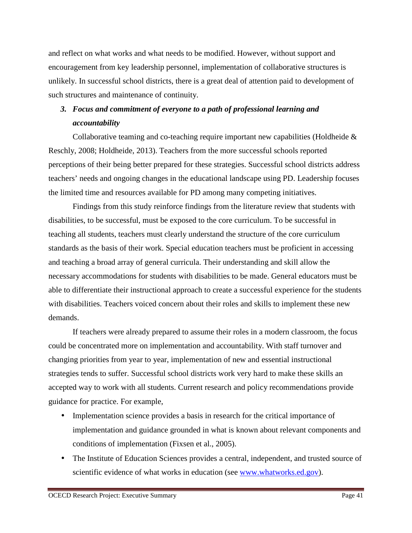and reflect on what works and what needs to be modified. However, without support and encouragement from key leadership personnel, implementation of collaborative structures is unlikely. In successful school districts, there is a great deal of attention paid to development of such structures and maintenance of continuity.

# *3. Focus and commitment of everyone to a path of professional learning and accountability*

Collaborative teaming and co-teaching require important new capabilities (Holdheide & Reschly, 2008; Holdheide, 2013). Teachers from the more successful schools reported perceptions of their being better prepared for these strategies. Successful school districts address teachers' needs and ongoing changes in the educational landscape using PD. Leadership focuses the limited time and resources available for PD among many competing initiatives.

Findings from this study reinforce findings from the literature review that students with disabilities, to be successful, must be exposed to the core curriculum. To be successful in teaching all students, teachers must clearly understand the structure of the core curriculum standards as the basis of their work. Special education teachers must be proficient in accessing and teaching a broad array of general curricula. Their understanding and skill allow the necessary accommodations for students with disabilities to be made. General educators must be able to differentiate their instructional approach to create a successful experience for the students with disabilities. Teachers voiced concern about their roles and skills to implement these new demands.

If teachers were already prepared to assume their roles in a modern classroom, the focus could be concentrated more on implementation and accountability. With staff turnover and changing priorities from year to year, implementation of new and essential instructional strategies tends to suffer. Successful school districts work very hard to make these skills an accepted way to work with all students. Current research and policy recommendations provide guidance for practice. For example,

- Implementation science provides a basis in research for the critical importance of implementation and guidance grounded in what is known about relevant components and conditions of implementation (Fixsen et al., 2005).
- The Institute of Education Sciences provides a central, independent, and trusted source of scientific evidence of what works in education (see www.whatworks.ed.gov).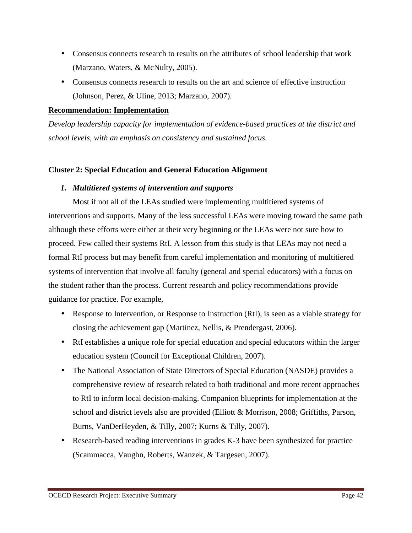- Consensus connects research to results on the attributes of school leadership that work (Marzano, Waters, & McNulty, 2005).
- Consensus connects research to results on the art and science of effective instruction (Johnson, Perez, & Uline, 2013; Marzano, 2007).

## **Recommendation: Implementation**

*Develop leadership capacity for implementation of evidence-based practices at the district and school levels, with an emphasis on consistency and sustained focus.* 

## **Cluster 2: Special Education and General Education Alignment**

## *1. Multitiered systems of intervention and supports*

Most if not all of the LEAs studied were implementing multitiered systems of interventions and supports. Many of the less successful LEAs were moving toward the same path although these efforts were either at their very beginning or the LEAs were not sure how to proceed. Few called their systems RtI. A lesson from this study is that LEAs may not need a formal RtI process but may benefit from careful implementation and monitoring of multitiered systems of intervention that involve all faculty (general and special educators) with a focus on the student rather than the process. Current research and policy recommendations provide guidance for practice. For example,

- Response to Intervention, or Response to Instruction (RtI), is seen as a viable strategy for closing the achievement gap (Martinez, Nellis, & Prendergast, 2006).
- RtI establishes a unique role for special education and special educators within the larger education system (Council for Exceptional Children, 2007).
- The National Association of State Directors of Special Education (NASDE) provides a comprehensive review of research related to both traditional and more recent approaches to RtI to inform local decision-making. Companion blueprints for implementation at the school and district levels also are provided (Elliott & Morrison, 2008; Griffiths, Parson, Burns, VanDerHeyden, & Tilly, 2007; Kurns & Tilly, 2007).
- Research-based reading interventions in grades K-3 have been synthesized for practice (Scammacca, Vaughn, Roberts, Wanzek, & Targesen, 2007).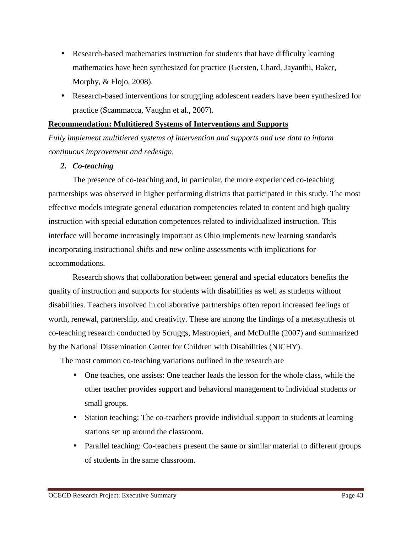- Research-based mathematics instruction for students that have difficulty learning mathematics have been synthesized for practice (Gersten, Chard, Jayanthi, Baker, Morphy, & Flojo, 2008).
- Research-based interventions for struggling adolescent readers have been synthesized for practice (Scammacca, Vaughn et al., 2007).

# **Recommendation: Multitiered Systems of Interventions and Supports**

*Fully implement multitiered systems of intervention and supports and use data to inform continuous improvement and redesign.* 

# *2. Co-teaching*

The presence of co-teaching and, in particular, the more experienced co-teaching partnerships was observed in higher performing districts that participated in this study. The most effective models integrate general education competencies related to content and high quality instruction with special education competences related to individualized instruction. This interface will become increasingly important as Ohio implements new learning standards incorporating instructional shifts and new online assessments with implications for accommodations.

Research shows that collaboration between general and special educators benefits the quality of instruction and supports for students with disabilities as well as students without disabilities. Teachers involved in collaborative partnerships often report increased feelings of worth, renewal, partnership, and creativity. These are among the findings of a metasynthesis of co-teaching research conducted by Scruggs, Mastropieri, and McDuffle (2007) and summarized by the National Dissemination Center for Children with Disabilities (NICHY).

The most common co-teaching variations outlined in the research are

- One teaches, one assists: One teacher leads the lesson for the whole class, while the other teacher provides support and behavioral management to individual students or small groups.
- Station teaching: The co-teachers provide individual support to students at learning stations set up around the classroom.
- Parallel teaching: Co-teachers present the same or similar material to different groups of students in the same classroom.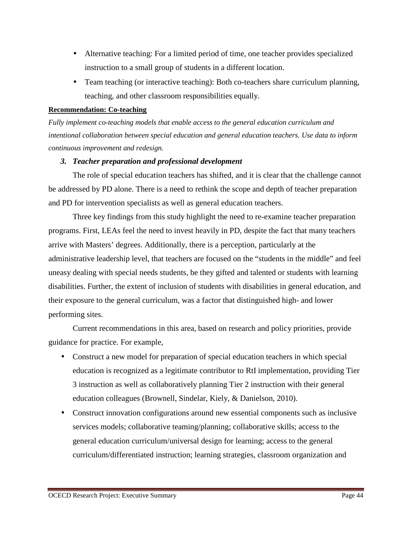- Alternative teaching: For a limited period of time, one teacher provides specialized instruction to a small group of students in a different location.
- Team teaching (or interactive teaching): Both co-teachers share curriculum planning, teaching, and other classroom responsibilities equally.

## **Recommendation: Co-teaching**

*Fully implement co-teaching models that enable access to the general education curriculum and intentional collaboration between special education and general education teachers. Use data to inform continuous improvement and redesign.* 

# *3. Teacher preparation and professional development*

The role of special education teachers has shifted, and it is clear that the challenge cannot be addressed by PD alone. There is a need to rethink the scope and depth of teacher preparation and PD for intervention specialists as well as general education teachers.

Three key findings from this study highlight the need to re-examine teacher preparation programs. First, LEAs feel the need to invest heavily in PD, despite the fact that many teachers arrive with Masters' degrees. Additionally, there is a perception, particularly at the administrative leadership level, that teachers are focused on the "students in the middle" and feel uneasy dealing with special needs students, be they gifted and talented or students with learning disabilities. Further, the extent of inclusion of students with disabilities in general education, and their exposure to the general curriculum, was a factor that distinguished high- and lower performing sites.

Current recommendations in this area, based on research and policy priorities, provide guidance for practice. For example,

- Construct a new model for preparation of special education teachers in which special education is recognized as a legitimate contributor to RtI implementation, providing Tier 3 instruction as well as collaboratively planning Tier 2 instruction with their general education colleagues (Brownell, Sindelar, Kiely, & Danielson, 2010).
- Construct innovation configurations around new essential components such as inclusive services models; collaborative teaming/planning; collaborative skills; access to the general education curriculum/universal design for learning; access to the general curriculum/differentiated instruction; learning strategies, classroom organization and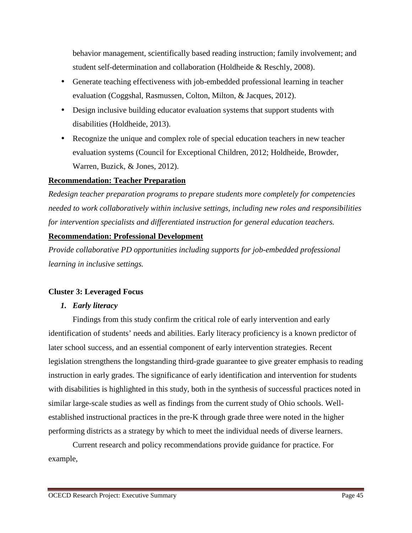behavior management, scientifically based reading instruction; family involvement; and student self-determination and collaboration (Holdheide & Reschly, 2008).

- Generate teaching effectiveness with job-embedded professional learning in teacher evaluation (Coggshal, Rasmussen, Colton, Milton, & Jacques, 2012).
- Design inclusive building educator evaluation systems that support students with disabilities (Holdheide, 2013).
- Recognize the unique and complex role of special education teachers in new teacher evaluation systems (Council for Exceptional Children, 2012; Holdheide, Browder, Warren, Buzick, & Jones, 2012).

# **Recommendation: Teacher Preparation**

*Redesign teacher preparation programs to prepare students more completely for competencies needed to work collaboratively within inclusive settings, including new roles and responsibilities for intervention specialists and differentiated instruction for general education teachers.* 

# **Recommendation: Professional Development**

*Provide collaborative PD opportunities including supports for job-embedded professional learning in inclusive settings.* 

# **Cluster 3: Leveraged Focus**

# *1. Early literacy*

Findings from this study confirm the critical role of early intervention and early identification of students' needs and abilities. Early literacy proficiency is a known predictor of later school success, and an essential component of early intervention strategies. Recent legislation strengthens the longstanding third-grade guarantee to give greater emphasis to reading instruction in early grades. The significance of early identification and intervention for students with disabilities is highlighted in this study, both in the synthesis of successful practices noted in similar large-scale studies as well as findings from the current study of Ohio schools. Wellestablished instructional practices in the pre-K through grade three were noted in the higher performing districts as a strategy by which to meet the individual needs of diverse learners.

Current research and policy recommendations provide guidance for practice. For example,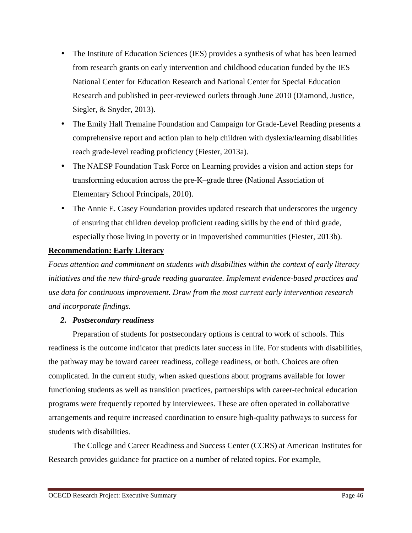- The Institute of Education Sciences (IES) provides a synthesis of what has been learned from research grants on early intervention and childhood education funded by the IES National Center for Education Research and National Center for Special Education Research and published in peer-reviewed outlets through June 2010 (Diamond, Justice, Siegler, & Snyder, 2013).
- The Emily Hall Tremaine Foundation and Campaign for Grade-Level Reading presents a comprehensive report and action plan to help children with dyslexia/learning disabilities reach grade-level reading proficiency (Fiester, 2013a).
- The NAESP Foundation Task Force on Learning provides a vision and action steps for transforming education across the pre-K–grade three (National Association of Elementary School Principals, 2010).
- The Annie E. Casey Foundation provides updated research that underscores the urgency of ensuring that children develop proficient reading skills by the end of third grade, especially those living in poverty or in impoverished communities (Fiester, 2013b).

# **Recommendation: Early Literacy**

*Focus attention and commitment on students with disabilities within the context of early literacy initiatives and the new third-grade reading guarantee. Implement evidence-based practices and use data for continuous improvement. Draw from the most current early intervention research and incorporate findings.* 

# *2. Postsecondary readiness*

Preparation of students for postsecondary options is central to work of schools. This readiness is the outcome indicator that predicts later success in life. For students with disabilities, the pathway may be toward career readiness, college readiness, or both. Choices are often complicated. In the current study, when asked questions about programs available for lower functioning students as well as transition practices, partnerships with career-technical education programs were frequently reported by interviewees. These are often operated in collaborative arrangements and require increased coordination to ensure high-quality pathways to success for students with disabilities.

The College and Career Readiness and Success Center (CCRS) at American Institutes for Research provides guidance for practice on a number of related topics. For example,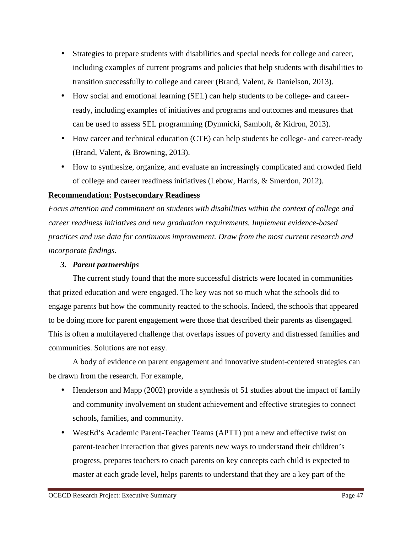- Strategies to prepare students with disabilities and special needs for college and career, including examples of current programs and policies that help students with disabilities to transition successfully to college and career (Brand, Valent, & Danielson, 2013).
- How social and emotional learning (SEL) can help students to be college- and careerready, including examples of initiatives and programs and outcomes and measures that can be used to assess SEL programming (Dymnicki, Sambolt, & Kidron, 2013).
- How career and technical education (CTE) can help students be college- and career-ready (Brand, Valent, & Browning, 2013).
- How to synthesize, organize, and evaluate an increasingly complicated and crowded field of college and career readiness initiatives (Lebow, Harris, & Smerdon, 2012).

# **Recommendation: Postsecondary Readiness**

*Focus attention and commitment on students with disabilities within the context of college and career readiness initiatives and new graduation requirements. Implement evidence-based practices and use data for continuous improvement. Draw from the most current research and incorporate findings.* 

# *3. Parent partnerships*

The current study found that the more successful districts were located in communities that prized education and were engaged. The key was not so much what the schools did to engage parents but how the community reacted to the schools. Indeed, the schools that appeared to be doing more for parent engagement were those that described their parents as disengaged. This is often a multilayered challenge that overlaps issues of poverty and distressed families and communities. Solutions are not easy.

A body of evidence on parent engagement and innovative student-centered strategies can be drawn from the research. For example,

- Henderson and Mapp (2002) provide a synthesis of 51 studies about the impact of family and community involvement on student achievement and effective strategies to connect schools, families, and community.
- WestEd's Academic Parent-Teacher Teams (APTT) put a new and effective twist on parent-teacher interaction that gives parents new ways to understand their children's progress, prepares teachers to coach parents on key concepts each child is expected to master at each grade level, helps parents to understand that they are a key part of the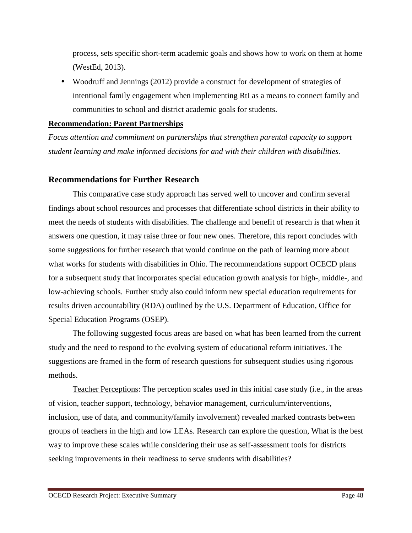process, sets specific short-term academic goals and shows how to work on them at home (WestEd, 2013).

• Woodruff and Jennings (2012) provide a construct for development of strategies of intentional family engagement when implementing RtI as a means to connect family and communities to school and district academic goals for students.

## **Recommendation: Parent Partnerships**

*Focus attention and commitment on partnerships that strengthen parental capacity to support student learning and make informed decisions for and with their children with disabilities.* 

# **Recommendations for Further Research**

This comparative case study approach has served well to uncover and confirm several findings about school resources and processes that differentiate school districts in their ability to meet the needs of students with disabilities. The challenge and benefit of research is that when it answers one question, it may raise three or four new ones. Therefore, this report concludes with some suggestions for further research that would continue on the path of learning more about what works for students with disabilities in Ohio. The recommendations support OCECD plans for a subsequent study that incorporates special education growth analysis for high-, middle-, and low-achieving schools. Further study also could inform new special education requirements for results driven accountability (RDA) outlined by the U.S. Department of Education, Office for Special Education Programs (OSEP).

The following suggested focus areas are based on what has been learned from the current study and the need to respond to the evolving system of educational reform initiatives. The suggestions are framed in the form of research questions for subsequent studies using rigorous methods.

Teacher Perceptions: The perception scales used in this initial case study (i.e., in the areas of vision, teacher support, technology, behavior management, curriculum/interventions, inclusion, use of data, and community/family involvement) revealed marked contrasts between groups of teachers in the high and low LEAs. Research can explore the question, What is the best way to improve these scales while considering their use as self-assessment tools for districts seeking improvements in their readiness to serve students with disabilities?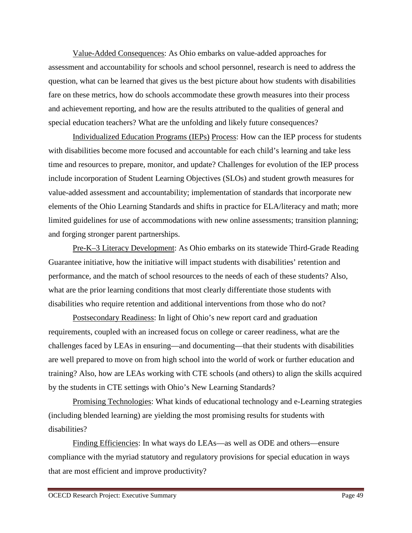Value-Added Consequences: As Ohio embarks on value-added approaches for assessment and accountability for schools and school personnel, research is need to address the question, what can be learned that gives us the best picture about how students with disabilities fare on these metrics, how do schools accommodate these growth measures into their process and achievement reporting, and how are the results attributed to the qualities of general and special education teachers? What are the unfolding and likely future consequences?

Individualized Education Programs (IEPs) Process: How can the IEP process for students with disabilities become more focused and accountable for each child's learning and take less time and resources to prepare, monitor, and update? Challenges for evolution of the IEP process include incorporation of Student Learning Objectives (SLOs) and student growth measures for value-added assessment and accountability; implementation of standards that incorporate new elements of the Ohio Learning Standards and shifts in practice for ELA/literacy and math; more limited guidelines for use of accommodations with new online assessments; transition planning; and forging stronger parent partnerships.

Pre-K–3 Literacy Development: As Ohio embarks on its statewide Third-Grade Reading Guarantee initiative, how the initiative will impact students with disabilities' retention and performance, and the match of school resources to the needs of each of these students? Also, what are the prior learning conditions that most clearly differentiate those students with disabilities who require retention and additional interventions from those who do not?

Postsecondary Readiness: In light of Ohio's new report card and graduation requirements, coupled with an increased focus on college or career readiness, what are the challenges faced by LEAs in ensuring—and documenting—that their students with disabilities are well prepared to move on from high school into the world of work or further education and training? Also, how are LEAs working with CTE schools (and others) to align the skills acquired by the students in CTE settings with Ohio's New Learning Standards?

Promising Technologies: What kinds of educational technology and e-Learning strategies (including blended learning) are yielding the most promising results for students with disabilities?

Finding Efficiencies: In what ways do LEAs—as well as ODE and others—ensure compliance with the myriad statutory and regulatory provisions for special education in ways that are most efficient and improve productivity?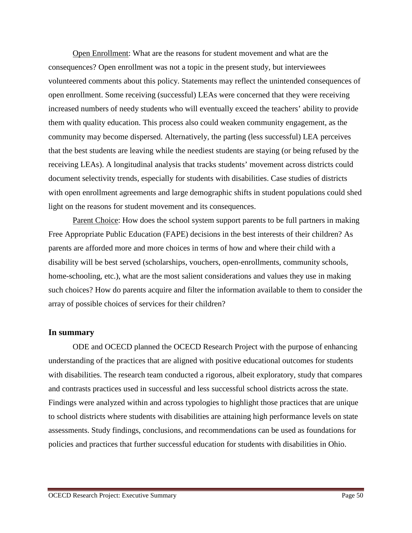Open Enrollment: What are the reasons for student movement and what are the consequences? Open enrollment was not a topic in the present study, but interviewees volunteered comments about this policy. Statements may reflect the unintended consequences of open enrollment. Some receiving (successful) LEAs were concerned that they were receiving increased numbers of needy students who will eventually exceed the teachers' ability to provide them with quality education. This process also could weaken community engagement, as the community may become dispersed. Alternatively, the parting (less successful) LEA perceives that the best students are leaving while the neediest students are staying (or being refused by the receiving LEAs). A longitudinal analysis that tracks students' movement across districts could document selectivity trends, especially for students with disabilities. Case studies of districts with open enrollment agreements and large demographic shifts in student populations could shed light on the reasons for student movement and its consequences.

Parent Choice: How does the school system support parents to be full partners in making Free Appropriate Public Education (FAPE) decisions in the best interests of their children? As parents are afforded more and more choices in terms of how and where their child with a disability will be best served (scholarships, vouchers, open-enrollments, community schools, home-schooling, etc.), what are the most salient considerations and values they use in making such choices? How do parents acquire and filter the information available to them to consider the array of possible choices of services for their children?

### **In summary**

ODE and OCECD planned the OCECD Research Project with the purpose of enhancing understanding of the practices that are aligned with positive educational outcomes for students with disabilities. The research team conducted a rigorous, albeit exploratory, study that compares and contrasts practices used in successful and less successful school districts across the state. Findings were analyzed within and across typologies to highlight those practices that are unique to school districts where students with disabilities are attaining high performance levels on state assessments. Study findings, conclusions, and recommendations can be used as foundations for policies and practices that further successful education for students with disabilities in Ohio.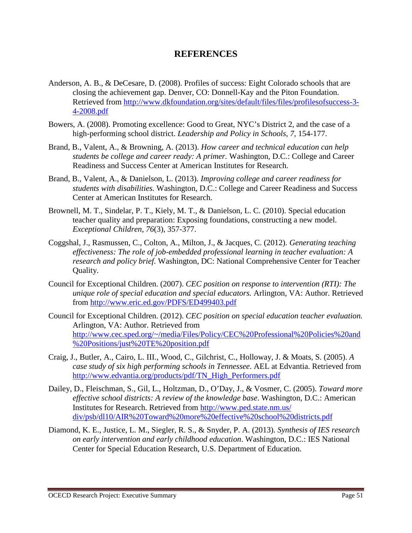# **REFERENCES**

- Anderson, A. B., & DeCesare, D. (2008). Profiles of success: Eight Colorado schools that are closing the achievement gap. Denver, CO: Donnell-Kay and the Piton Foundation. Retrieved from http://www.dkfoundation.org/sites/default/files/files/profilesofsuccess-3- 4-2008.pdf
- Bowers, A. (2008). Promoting excellence: Good to Great, NYC's District 2, and the case of a high-performing school district. *Leadership and Policy in Schools, 7,* 154-177.
- Brand, B., Valent, A., & Browning, A. (2013). *How career and technical education can help students be college and career ready: A primer.* Washington, D.C.: College and Career Readiness and Success Center at American Institutes for Research.
- Brand, B., Valent, A., & Danielson, L. (2013). *Improving college and career readiness for students with disabilities.* Washington, D.C.: College and Career Readiness and Success Center at American Institutes for Research.
- Brownell, M. T., Sindelar, P. T., Kiely, M. T., & Danielson, L. C. (2010). Special education teacher quality and preparation: Exposing foundations, constructing a new model. *Exceptional Children, 76*(3), 357-377.
- Coggshal, J., Rasmussen, C., Colton, A., Milton, J., & Jacques, C. (2012). *Generating teaching effectiveness: The role of job-embedded professional learning in teacher evaluation: A research and policy brief.* Washington, DC: National Comprehensive Center for Teacher Quality.
- Council for Exceptional Children. (2007). *CEC position on response to intervention (RTI): The unique role of special education and special educators.* Arlington, VA: Author. Retrieved from http://www.eric.ed.gov/PDFS/ED499403.pdf
- Council for Exceptional Children. (2012). *CEC position on special education teacher evaluation.*  Arlington, VA: Author. Retrieved from http://www.cec.sped.org/~/media/Files/Policy/CEC%20Professional%20Policies%20and %20Positions/just%20TE%20position.pdf
- Craig, J., Butler, A., Cairo, L. III., Wood, C., Gilchrist, C., Holloway, J. & Moats, S. (2005). *A case study of six high performing schools in Tennessee*. AEL at Edvantia. Retrieved from http://www.edvantia.org/products/pdf/TN\_High\_Performers.pdf
- Dailey, D., Fleischman, S., Gil, L., Holtzman, D., O'Day, J., & Vosmer, C. (2005). *Toward more effective school districts: A review of the knowledge base*. Washington, D.C.: American Institutes for Research. Retrieved from http://www.ped.state.nm.us/ div/psb/dl10/AIR%20Toward%20more%20effective%20school%20districts.pdf
- Diamond, K. E., Justice, L. M., Siegler, R. S., & Snyder, P. A. (2013). *Synthesis of IES research on early intervention and early childhood education*. Washington, D.C.: IES National Center for Special Education Research, U.S. Department of Education.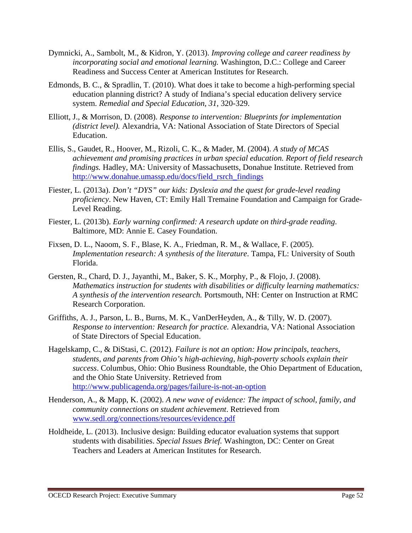- Dymnicki, A., Sambolt, M., & Kidron, Y. (2013). *Improving college and career readiness by incorporating social and emotional learning.* Washington, D.C.: College and Career Readiness and Success Center at American Institutes for Research.
- Edmonds, B. C., & Spradlin, T. (2010). What does it take to become a high-performing special education planning district? A study of Indiana's special education delivery service system. *Remedial and Special Education*, *31*, 320-329.
- Elliott, J., & Morrison, D. (2008). *Response to intervention: Blueprints for implementation (district level).* Alexandria, VA: National Association of State Directors of Special Education.
- Ellis, S., Gaudet, R., Hoover, M., Rizoli, C. K., & Mader, M. (2004). *A study of MCAS achievement and promising practices in urban special education. Report of field research findings.* Hadley, MA: University of Massachusetts, Donahue Institute. Retrieved from http://www.donahue.umassp.edu/docs/field\_rsrch\_findings
- Fiester, L. (2013a). *Don't "DYS" our kids: Dyslexia and the quest for grade-level reading proficiency*. New Haven, CT: Emily Hall Tremaine Foundation and Campaign for Grade-Level Reading.
- Fiester, L. (2013b). *Early warning confirmed: A research update on third-grade reading*. Baltimore, MD: Annie E. Casey Foundation.
- Fixsen, D. L., Naoom, S. F., Blase, K. A., Friedman, R. M., & Wallace, F. (2005). *Implementation research: A synthesis of the literature*. Tampa, FL: University of South Florida.
- Gersten, R., Chard, D. J., Jayanthi, M., Baker, S. K., Morphy, P., & Flojo, J. (2008). *Mathematics instruction for students with disabilities or difficulty learning mathematics: A synthesis of the intervention research.* Portsmouth, NH: Center on Instruction at RMC Research Corporation.
- Griffiths, A. J., Parson, L. B., Burns, M. K., VanDerHeyden, A., & Tilly, W. D. (2007). *Response to intervention: Research for practice.* Alexandria, VA: National Association of State Directors of Special Education.
- Hagelskamp, C., & DiStasi, C. (2012). *Failure is not an option: How principals, teachers, students, and parents from Ohio's high-achieving, high-poverty schools explain their success*. Columbus, Ohio: Ohio Business Roundtable, the Ohio Department of Education, and the Ohio State University. Retrieved from http://www.publicagenda.org/pages/failure-is-not-an-option
- Henderson, A., & Mapp, K. (2002). *A new wave of evidence: The impact of school, family, and community connections on student achievement*. Retrieved from www.sedl.org/connections/resources/evidence.pdf
- Holdheide, L. (2013). Inclusive design: Building educator evaluation systems that support students with disabilities. *Special Issues Brief.* Washington, DC: Center on Great Teachers and Leaders at American Institutes for Research.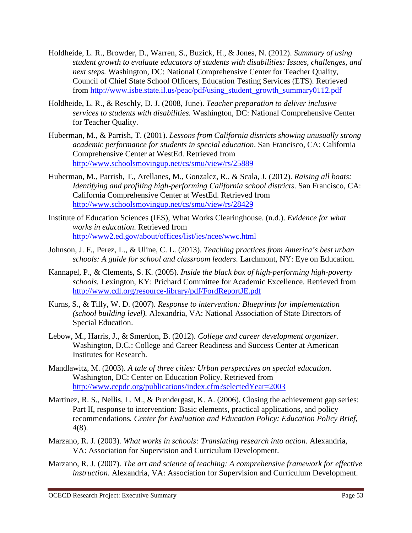- Holdheide, L. R., Browder, D., Warren, S., Buzick, H., & Jones, N. (2012). *Summary of using student growth to evaluate educators of students with disabilities: Issues, challenges, and next steps.* Washington, DC: National Comprehensive Center for Teacher Quality, Council of Chief State School Officers, Education Testing Services (ETS). Retrieved from http://www.isbe.state.il.us/peac/pdf/using\_student\_growth\_summary0112.pdf
- Holdheide, L. R., & Reschly, D. J. (2008, June). *Teacher preparation to deliver inclusive services to students with disabilities.* Washington, DC: National Comprehensive Center for Teacher Quality.
- Huberman, M., & Parrish, T. (2001). *Lessons from California districts showing unusually strong academic performance for students in special education*. San Francisco, CA: California Comprehensive Center at WestEd. Retrieved from http://www.schoolsmovingup.net/cs/smu/view/rs/25889
- Huberman, M., Parrish, T., Arellanes, M., Gonzalez, R., & Scala, J. (2012). *Raising all boats: Identifying and profiling high-performing California school districts*. San Francisco, CA: California Comprehensive Center at WestEd. Retrieved from http://www.schoolsmovingup.net/cs/smu/view/rs/28429
- Institute of Education Sciences (IES), What Works Clearinghouse. (n.d.). *Evidence for what works in education*. Retrieved from http://www2.ed.gov/about/offices/list/ies/ncee/wwc.html
- Johnson, J. F., Perez, L., & Uline, C. L. (2013). *Teaching practices from America's best urban schools: A guide for school and classroom leaders.* Larchmont, NY: Eye on Education.
- Kannapel, P., & Clements, S. K. (2005). *Inside the black box of high-performing high-poverty schools.* Lexington, KY: Prichard Committee for Academic Excellence. Retrieved from http://www.cdl.org/resource-library/pdf/FordReportJE.pdf
- Kurns, S., & Tilly, W. D. (2007). *Response to intervention: Blueprints for implementation (school building level).* Alexandria, VA: National Association of State Directors of Special Education.
- Lebow, M., Harris, J., & Smerdon, B. (2012). *College and career development organizer.* Washington, D.C.: College and Career Readiness and Success Center at American Institutes for Research.
- Mandlawitz, M. (2003). *A tale of three cities: Urban perspectives on special education*. Washington, DC: Center on Education Policy. Retrieved from http://www.cepdc.org/publications/index.cfm?selectedYear=2003
- Martinez, R. S., Nellis, L. M., & Prendergast, K. A. (2006). Closing the achievement gap series: Part II, response to intervention: Basic elements, practical applications, and policy recommendations*. Center for Evaluation and Education Policy: Education Policy Brief, 4*(8).
- Marzano, R. J. (2003). *What works in schools: Translating research into action*. Alexandria, VA: Association for Supervision and Curriculum Development.
- Marzano, R. J. (2007). *The art and science of teaching: A comprehensive framework for effective instruction*. Alexandria, VA: Association for Supervision and Curriculum Development.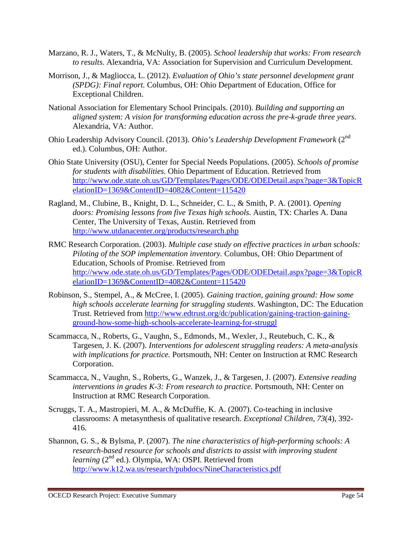- Marzano, R. J., Waters, T., & McNulty, B. (2005). *School leadership that works: From research to results*. Alexandria, VA: Association for Supervision and Curriculum Development.
- Morrison, J., & Magliocca, L. (2012). *Evaluation of Ohio's state personnel development grant (SPDG): Final report.* Columbus, OH: Ohio Department of Education, Office for Exceptional Children.
- National Association for Elementary School Principals. (2010). *Building and supporting an aligned system: A vision for transforming education across the pre-k-grade three years*. Alexandria, VA: Author.
- Ohio Leadership Advisory Council. (2013). *Ohio's Leadership Development Framework* (2nd ed.). Columbus, OH: Author.
- Ohio State University (OSU), Center for Special Needs Populations. (2005). *Schools of promise for students with disabilities.* Ohio Department of Education. Retrieved from http://www.ode.state.oh.us/GD/Templates/Pages/ODE/ODEDetail.aspx?page=3&TopicR elationID=1369&ContentID=4082&Content=115420
- Ragland, M., Clubine, B., Knight, D. L., Schneider, C. L., & Smith, P. A. (2001). *Opening doors: Promising lessons from five Texas high schools*. Austin, TX: Charles A. Dana Center, The University of Texas, Austin. Retrieved from http://www.utdanacenter.org/products/research.php
- RMC Research Corporation. (2003). *Multiple case study on effective practices in urban schools: Piloting of the SOP implementation inventory.* Columbus, OH: Ohio Department of Education, Schools of Promise. Retrieved from http://www.ode.state.oh.us/GD/Templates/Pages/ODE/ODEDetail.aspx?page=3&TopicR elationID=1369&ContentID=4082&Content=115420
- Robinson, S., Stempel, A., & McCree, I. (2005). *Gaining traction, gaining ground: How some high schools accelerate learning for struggling students*. Washington, DC: The Education Trust. Retrieved from http://www.edtrust.org/dc/publication/gaining-traction-gainingground-how-some-high-schools-accelerate-learning-for-struggl
- Scammacca, N., Roberts, G., Vaughn, S., Edmonds, M., Wexler, J., Reutebuch, C. K., & Targesen, J. K. (2007). *Interventions for adolescent struggling readers: A meta-analysis with implications for practice.* Portsmouth, NH: Center on Instruction at RMC Research Corporation.
- Scammacca, N., Vaughn, S., Roberts, G., Wanzek, J., & Targesen, J. (2007). *Extensive reading interventions in grades K-3: From research to practice.* Portsmouth, NH: Center on Instruction at RMC Research Corporation.
- Scruggs, T. A., Mastropieri, M. A., & McDuffie, K. A. (2007). Co-teaching in inclusive classrooms: A metasynthesis of qualitative research. *Exceptional Children, 73*(4), 392- 416.
- Shannon, G. S., & Bylsma, P. (2007). *The nine characteristics of high-performing schools: A research-based resource for schools and districts to assist with improving student*  learning (2<sup>nd</sup> ed.). Olympia, WA: OSPI. Retrieved from http://www.k12.wa.us/research/pubdocs/NineCharacteristics.pdf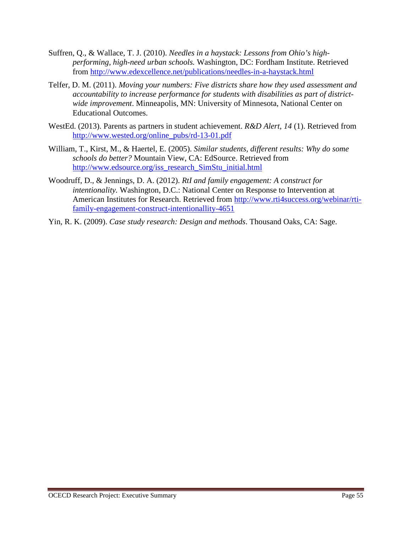- Suffren, Q., & Wallace, T. J. (2010). *Needles in a haystack: Lessons from Ohio's highperforming, high-need urban schools.* Washington, DC: Fordham Institute. Retrieved from http://www.edexcellence.net/publications/needles-in-a-haystack.html
- Telfer, D. M. (2011). *Moving your numbers: Five districts share how they used assessment and accountability to increase performance for students with disabilities as part of districtwide improvement*. Minneapolis, MN: University of Minnesota, National Center on Educational Outcomes.
- WestEd. (2013). Parents as partners in student achievement. *R&D Alert*, *14* (1). Retrieved from http://www.wested.org/online\_pubs/rd-13-01.pdf
- William, T., Kirst, M., & Haertel, E. (2005). *Similar students, different results: Why do some schools do better?* Mountain View, CA: EdSource. Retrieved from http://www.edsource.org/iss\_research\_SimStu\_initial.html
- Woodruff, D., & Jennings, D. A. (2012). *RtI and family engagement: A construct for intentionality.* Washington, D.C.: National Center on Response to Intervention at American Institutes for Research. Retrieved from http://www.rti4success.org/webinar/rtifamily-engagement-construct-intentionallity-4651
- Yin, R. K. (2009). *Case study research: Design and methods*. Thousand Oaks, CA: Sage.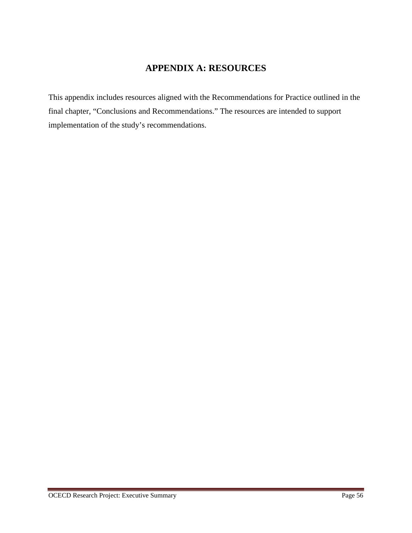# **APPENDIX A: RESOURCES**

This appendix includes resources aligned with the Recommendations for Practice outlined in the final chapter, "Conclusions and Recommendations." The resources are intended to support implementation of the study's recommendations.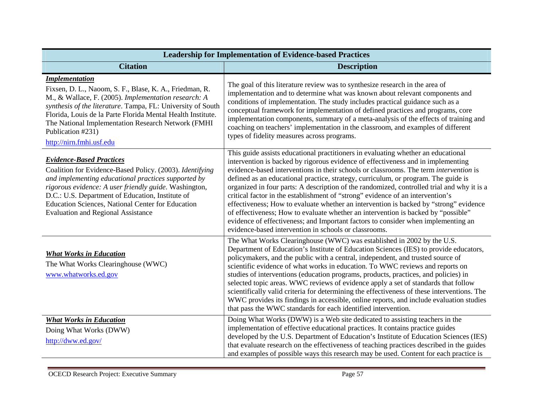| <b>Leadership for Implementation of Evidence-based Practices</b>                                                                                                                                                                                                                                                                                                              |                                                                                                                                                                                                                                                                                                                                                                                                                                                                                                                                                                                                                                                                                                                                                                                                                                                                         |  |
|-------------------------------------------------------------------------------------------------------------------------------------------------------------------------------------------------------------------------------------------------------------------------------------------------------------------------------------------------------------------------------|-------------------------------------------------------------------------------------------------------------------------------------------------------------------------------------------------------------------------------------------------------------------------------------------------------------------------------------------------------------------------------------------------------------------------------------------------------------------------------------------------------------------------------------------------------------------------------------------------------------------------------------------------------------------------------------------------------------------------------------------------------------------------------------------------------------------------------------------------------------------------|--|
| <b>Citation</b>                                                                                                                                                                                                                                                                                                                                                               | <b>Description</b>                                                                                                                                                                                                                                                                                                                                                                                                                                                                                                                                                                                                                                                                                                                                                                                                                                                      |  |
| <b>Implementation</b><br>Fixsen, D. L., Naoom, S. F., Blase, K. A., Friedman, R.<br>M., & Wallace, F. (2005). Implementation research: A<br>synthesis of the literature. Tampa, FL: University of South<br>Florida, Louis de la Parte Florida Mental Health Institute.<br>The National Implementation Research Network (FMHI<br>Publication #231)<br>http://nirn.fmhi.usf.edu | The goal of this literature review was to synthesize research in the area of<br>implementation and to determine what was known about relevant components and<br>conditions of implementation. The study includes practical guidance such as a<br>conceptual framework for implementation of defined practices and programs, core<br>implementation components, summary of a meta-analysis of the effects of training and<br>coaching on teachers' implementation in the classroom, and examples of different<br>types of fidelity measures across programs.                                                                                                                                                                                                                                                                                                             |  |
| <b>Evidence-Based Practices</b><br>Coalition for Evidence-Based Policy. (2003). Identifying<br>and implementing educational practices supported by<br>rigorous evidence: A user friendly guide. Washington,<br>D.C.: U.S. Department of Education, Institute of<br>Education Sciences, National Center for Education<br><b>Evaluation and Regional Assistance</b>             | This guide assists educational practitioners in evaluating whether an educational<br>intervention is backed by rigorous evidence of effectiveness and in implementing<br>evidence-based interventions in their schools or classrooms. The term <i>intervention</i> is<br>defined as an educational practice, strategy, curriculum, or program. The guide is<br>organized in four parts: A description of the randomized, controlled trial and why it is a<br>critical factor in the establishment of "strong" evidence of an intervention's<br>effectiveness; How to evaluate whether an intervention is backed by "strong" evidence<br>of effectiveness; How to evaluate whether an intervention is backed by "possible"<br>evidence of effectiveness; and Important factors to consider when implementing an<br>evidence-based intervention in schools or classrooms. |  |
| <b>What Works in Education</b><br>The What Works Clearinghouse (WWC)<br>www.whatworks.ed.gov                                                                                                                                                                                                                                                                                  | The What Works Clearinghouse (WWC) was established in 2002 by the U.S.<br>Department of Education's Institute of Education Sciences (IES) to provide educators,<br>policymakers, and the public with a central, independent, and trusted source of<br>scientific evidence of what works in education. To WWC reviews and reports on<br>studies of interventions (education programs, products, practices, and policies) in<br>selected topic areas. WWC reviews of evidence apply a set of standards that follow<br>scientifically valid criteria for determining the effectiveness of these interventions. The<br>WWC provides its findings in accessible, online reports, and include evaluation studies<br>that pass the WWC standards for each identified intervention.                                                                                             |  |
| <b>What Works in Education</b><br>Doing What Works (DWW)<br>http://dww.ed.gov/                                                                                                                                                                                                                                                                                                | Doing What Works (DWW) is a Web site dedicated to assisting teachers in the<br>implementation of effective educational practices. It contains practice guides<br>developed by the U.S. Department of Education's Institute of Education Sciences (IES)<br>that evaluate research on the effectiveness of teaching practices described in the guides<br>and examples of possible ways this research may be used. Content for each practice is                                                                                                                                                                                                                                                                                                                                                                                                                            |  |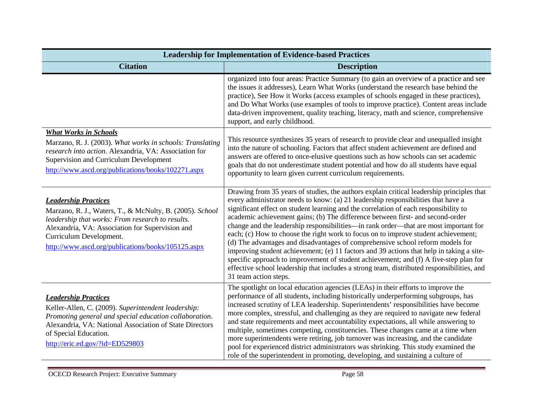| <b>Leadership for Implementation of Evidence-based Practices</b>                                                                                                                                                                                                                |                                                                                                                                                                                                                                                                                                                                                                                                                                                                                                                                                                                                                                                                                                                                                                                                                                                                                                                                      |  |
|---------------------------------------------------------------------------------------------------------------------------------------------------------------------------------------------------------------------------------------------------------------------------------|--------------------------------------------------------------------------------------------------------------------------------------------------------------------------------------------------------------------------------------------------------------------------------------------------------------------------------------------------------------------------------------------------------------------------------------------------------------------------------------------------------------------------------------------------------------------------------------------------------------------------------------------------------------------------------------------------------------------------------------------------------------------------------------------------------------------------------------------------------------------------------------------------------------------------------------|--|
| <b>Citation</b>                                                                                                                                                                                                                                                                 | <b>Description</b>                                                                                                                                                                                                                                                                                                                                                                                                                                                                                                                                                                                                                                                                                                                                                                                                                                                                                                                   |  |
|                                                                                                                                                                                                                                                                                 | organized into four areas: Practice Summary (to gain an overview of a practice and see<br>the issues it addresses), Learn What Works (understand the research base behind the<br>practice), See How it Works (access examples of schools engaged in these practices),<br>and Do What Works (use examples of tools to improve practice). Content areas include<br>data-driven improvement, quality teaching, literacy, math and science, comprehensive<br>support, and early childhood.                                                                                                                                                                                                                                                                                                                                                                                                                                               |  |
| <b>What Works in Schools</b><br>Marzano, R. J. (2003). What works in schools: Translating<br>research into action. Alexandria, VA: Association for<br>Supervision and Curriculum Development<br>http://www.ascd.org/publications/books/102271.aspx                              | This resource synthesizes 35 years of research to provide clear and unequalled insight<br>into the nature of schooling. Factors that affect student achievement are defined and<br>answers are offered to once-elusive questions such as how schools can set academic<br>goals that do not underestimate student potential and how do all students have equal<br>opportunity to learn given current curriculum requirements.                                                                                                                                                                                                                                                                                                                                                                                                                                                                                                         |  |
| <b>Leadership Practices</b><br>Marzano, R. J., Waters, T., & McNulty, B. (2005). School<br>leadership that works: From research to results.<br>Alexandria, VA: Association for Supervision and<br>Curriculum Development.<br>http://www.ascd.org/publications/books/105125.aspx | Drawing from 35 years of studies, the authors explain critical leadership principles that<br>every administrator needs to know: (a) 21 leadership responsibilities that have a<br>significant effect on student learning and the correlation of each responsibility to<br>academic achievement gains; (b) The difference between first- and second-order<br>change and the leadership responsibilities—in rank order—that are most important for<br>each; (c) How to choose the right work to focus on to improve student achievement;<br>(d) The advantages and disadvantages of comprehensive school reform models for<br>improving student achievement; (e) 11 factors and 39 actions that help in taking a site-<br>specific approach to improvement of student achievement; and (f) A five-step plan for<br>effective school leadership that includes a strong team, distributed responsibilities, and<br>31 team action steps. |  |
| <b>Leadership Practices</b><br>Keller-Allen, C. (2009). Superintendent leadership:<br>Promoting general and special education collaboration.<br>Alexandria, VA: National Association of State Directors<br>of Special Education.<br>http://eric.ed.gov/?id=ED529803             | The spotlight on local education agencies (LEAs) in their efforts to improve the<br>performance of all students, including historically underperforming subgroups, has<br>increased scrutiny of LEA leadership. Superintendents' responsibilities have become<br>more complex, stressful, and challenging as they are required to navigate new federal<br>and state requirements and meet accountability expectations, all while answering to<br>multiple, sometimes competing, constituencies. These changes came at a time when<br>more superintendents were retiring, job turnover was increasing, and the candidate<br>pool for experienced district administrators was shrinking. This study examined the<br>role of the superintendent in promoting, developing, and sustaining a culture of                                                                                                                                   |  |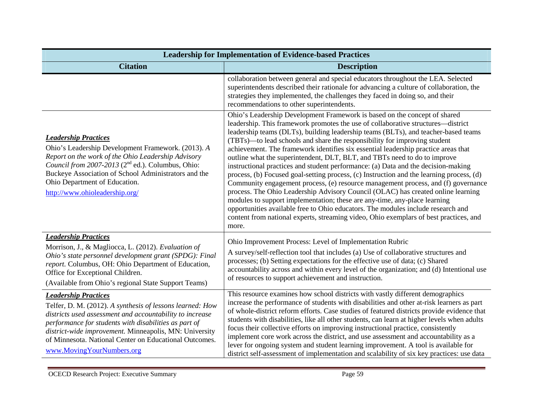| <b>Leadership for Implementation of Evidence-based Practices</b>                                                                                                                                                                                                                                                                                               |                                                                                                                                                                                                                                                                                                                                                                                                                                                                                                                                                                                                                                                                                                                                                                                                                                                                                                                                                                                                                                                                                                                                  |  |
|----------------------------------------------------------------------------------------------------------------------------------------------------------------------------------------------------------------------------------------------------------------------------------------------------------------------------------------------------------------|----------------------------------------------------------------------------------------------------------------------------------------------------------------------------------------------------------------------------------------------------------------------------------------------------------------------------------------------------------------------------------------------------------------------------------------------------------------------------------------------------------------------------------------------------------------------------------------------------------------------------------------------------------------------------------------------------------------------------------------------------------------------------------------------------------------------------------------------------------------------------------------------------------------------------------------------------------------------------------------------------------------------------------------------------------------------------------------------------------------------------------|--|
| <b>Citation</b>                                                                                                                                                                                                                                                                                                                                                | <b>Description</b>                                                                                                                                                                                                                                                                                                                                                                                                                                                                                                                                                                                                                                                                                                                                                                                                                                                                                                                                                                                                                                                                                                               |  |
|                                                                                                                                                                                                                                                                                                                                                                | collaboration between general and special educators throughout the LEA. Selected<br>superintendents described their rationale for advancing a culture of collaboration, the<br>strategies they implemented, the challenges they faced in doing so, and their<br>recommendations to other superintendents.                                                                                                                                                                                                                                                                                                                                                                                                                                                                                                                                                                                                                                                                                                                                                                                                                        |  |
| <b>Leadership Practices</b><br>Ohio's Leadership Development Framework. (2013). A<br>Report on the work of the Ohio Leadership Advisory<br>Council from 2007-2013 (2 <sup>nd</sup> ed.). Columbus, Ohio:<br>Buckeye Association of School Administrators and the<br>Ohio Department of Education.<br>http://www.ohioleadership.org/                            | Ohio's Leadership Development Framework is based on the concept of shared<br>leadership. This framework promotes the use of collaborative structures-district<br>leadership teams (DLTs), building leadership teams (BLTs), and teacher-based teams<br>(TBTs)—to lead schools and share the responsibility for improving student<br>achievement. The framework identifies six essential leadership practice areas that<br>outline what the superintendent, DLT, BLT, and TBTs need to do to improve<br>instructional practices and student performance: (a) Data and the decision-making<br>process, (b) Focused goal-setting process, (c) Instruction and the learning process, (d)<br>Community engagement process, (e) resource management process, and (f) governance<br>process. The Ohio Leadership Advisory Council (OLAC) has created online learning<br>modules to support implementation; these are any-time, any-place learning<br>opportunities available free to Ohio educators. The modules include research and<br>content from national experts, streaming video, Ohio exemplars of best practices, and<br>more. |  |
| <b>Leadership Practices</b><br>Morrison, J., & Magliocca, L. (2012). Evaluation of<br>Ohio's state personnel development grant (SPDG): Final<br>report. Columbus, OH: Ohio Department of Education,<br>Office for Exceptional Children.<br>(Available from Ohio's regional State Support Teams)                                                                | Ohio Improvement Process: Level of Implementation Rubric<br>A survey/self-reflection tool that includes (a) Use of collaborative structures and<br>processes; (b) Setting expectations for the effective use of data; (c) Shared<br>accountability across and within every level of the organization; and (d) Intentional use<br>of resources to support achievement and instruction.                                                                                                                                                                                                                                                                                                                                                                                                                                                                                                                                                                                                                                                                                                                                            |  |
| <b>Leadership Practices</b><br>Telfer, D. M. (2012). A synthesis of lessons learned: How<br>districts used assessment and accountability to increase<br>performance for students with disabilities as part of<br>district-wide improvement. Minneapolis, MN: University<br>of Minnesota. National Center on Educational Outcomes.<br>www.MovingYourNumbers.org | This resource examines how school districts with vastly different demographics<br>increase the performance of students with disabilities and other at-risk learners as part<br>of whole-district reform efforts. Case studies of featured districts provide evidence that<br>students with disabilities, like all other students, can learn at higher levels when adults<br>focus their collective efforts on improving instructional practice, consistently<br>implement core work across the district, and use assessment and accountability as a<br>lever for ongoing system and student learning improvement. A tool is available for<br>district self-assessment of implementation and scalability of six key practices: use data                                                                                                                                                                                                                                                                                                                                                                                           |  |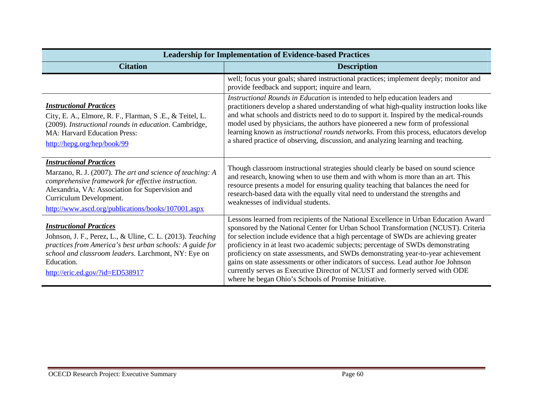| <b>Leadership for Implementation of Evidence-based Practices</b>                                                                                                                                                                                                                      |                                                                                                                                                                                                                                                                                                                                                                                                                                                                                                                                                                                                                                                                        |  |
|---------------------------------------------------------------------------------------------------------------------------------------------------------------------------------------------------------------------------------------------------------------------------------------|------------------------------------------------------------------------------------------------------------------------------------------------------------------------------------------------------------------------------------------------------------------------------------------------------------------------------------------------------------------------------------------------------------------------------------------------------------------------------------------------------------------------------------------------------------------------------------------------------------------------------------------------------------------------|--|
| <b>Citation</b>                                                                                                                                                                                                                                                                       | <b>Description</b>                                                                                                                                                                                                                                                                                                                                                                                                                                                                                                                                                                                                                                                     |  |
|                                                                                                                                                                                                                                                                                       | well; focus your goals; shared instructional practices; implement deeply; monitor and<br>provide feedback and support; inquire and learn.                                                                                                                                                                                                                                                                                                                                                                                                                                                                                                                              |  |
| <b>Instructional Practices</b><br>City, E. A., Elmore, R. F., Flarman, S. E., & Teitel, L.<br>(2009). Instructional rounds in education. Cambridge,<br>MA: Harvard Education Press:<br>http://hepg.org/hep/book/99                                                                    | Instructional Rounds in Education is intended to help education leaders and<br>practitioners develop a shared understanding of what high-quality instruction looks like<br>and what schools and districts need to do to support it. Inspired by the medical-rounds<br>model used by physicians, the authors have pioneered a new form of professional<br>learning known as instructional rounds networks. From this process, educators develop<br>a shared practice of observing, discussion, and analyzing learning and teaching.                                                                                                                                     |  |
| <b>Instructional Practices</b><br>Marzano, R. J. (2007). The art and science of teaching: A<br>comprehensive framework for effective instruction.<br>Alexandria, VA: Association for Supervision and<br>Curriculum Development.<br>http://www.ascd.org/publications/books/107001.aspx | Though classroom instructional strategies should clearly be based on sound science<br>and research, knowing when to use them and with whom is more than an art. This<br>resource presents a model for ensuring quality teaching that balances the need for<br>research-based data with the equally vital need to understand the strengths and<br>weaknesses of individual students.                                                                                                                                                                                                                                                                                    |  |
| <b>Instructional Practices</b><br>Johnson, J. F., Perez, L., & Uline, C. L. (2013). Teaching<br>practices from America's best urban schools: A guide for<br>school and classroom leaders. Larchmont, NY: Eye on<br>Education.<br>http://eric.ed.gov/?id=ED538917                      | Lessons learned from recipients of the National Excellence in Urban Education Award<br>sponsored by the National Center for Urban School Transformation (NCUST). Criteria<br>for selection include evidence that a high percentage of SWDs are achieving greater<br>proficiency in at least two academic subjects; percentage of SWDs demonstrating<br>proficiency on state assessments, and SWDs demonstrating year-to-year achievement<br>gains on state assessments or other indicators of success. Lead author Joe Johnson<br>currently serves as Executive Director of NCUST and formerly served with ODE<br>where he began Ohio's Schools of Promise Initiative. |  |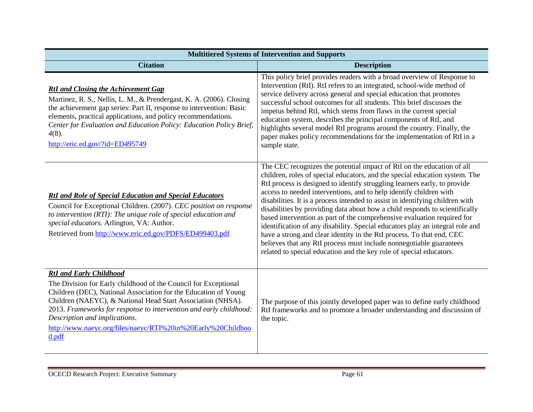| <b>Multitiered Systems of Intervention and Supports</b>                                                                                                                                                                                                                                                                                                                                                             |                                                                                                                                                                                                                                                                                                                                                                                                                                                                                                                                                                                                                                                                                                                                                                                                                                                             |  |
|---------------------------------------------------------------------------------------------------------------------------------------------------------------------------------------------------------------------------------------------------------------------------------------------------------------------------------------------------------------------------------------------------------------------|-------------------------------------------------------------------------------------------------------------------------------------------------------------------------------------------------------------------------------------------------------------------------------------------------------------------------------------------------------------------------------------------------------------------------------------------------------------------------------------------------------------------------------------------------------------------------------------------------------------------------------------------------------------------------------------------------------------------------------------------------------------------------------------------------------------------------------------------------------------|--|
| <b>Citation</b>                                                                                                                                                                                                                                                                                                                                                                                                     | <b>Description</b>                                                                                                                                                                                                                                                                                                                                                                                                                                                                                                                                                                                                                                                                                                                                                                                                                                          |  |
| <b>RtI</b> and Closing the Achievement Gap<br>Martinez, R. S., Nellis, L. M., & Prendergast, K. A. (2006). Closing<br>the achievement gap series: Part II, response to intervention: Basic<br>elements, practical applications, and policy recommendations.<br>Center for Evaluation and Education Policy: Education Policy Brief,<br>$4(8)$ .<br>http://eric.ed.gov/?id=ED495749                                   | This policy brief provides readers with a broad overview of Response to<br>Intervention (RtI). RtI refers to an integrated, school-wide method of<br>service delivery across general and special education that promotes<br>successful school outcomes for all students. This brief discusses the<br>impetus behind RtI, which stems from flaws in the current special<br>education system, describes the principal components of RtI, and<br>highlights several model RtI programs around the country. Finally, the<br>paper makes policy recommendations for the implementation of RtI in a<br>sample state.                                                                                                                                                                                                                                              |  |
| <b>RtI and Role of Special Education and Special Educators</b><br>Council for Exceptional Children. (2007). CEC position on response<br>to intervention (RTI): The unique role of special education and<br>special educators. Arlington, VA: Author.<br>Retrieved from http://www.eric.ed.gov/PDFS/ED499403.pdf                                                                                                     | The CEC recognizes the potential impact of RtI on the education of all<br>children, roles of special educators, and the special education system. The<br>RtI process is designed to identify struggling learners early, to provide<br>access to needed interventions, and to help identify children with<br>disabilities. It is a process intended to assist in identifying children with<br>disabilities by providing data about how a child responds to scientifically<br>based intervention as part of the comprehensive evaluation required for<br>identification of any disability. Special educators play an integral role and<br>have a strong and clear identity in the RtI process. To that end, CEC<br>believes that any RtI process must include nonnegotiable guarantees<br>related to special education and the key role of special educators. |  |
| <b>RtI</b> and Early Childhood<br>The Division for Early childhood of the Council for Exceptional<br>Children (DEC), National Association for the Education of Young<br>Children (NAEYC), & National Head Start Association (NHSA).<br>2013. Frameworks for response to intervention and early childhood:<br>Description and implications.<br>http://www.naeyc.org/files/naeyc/RTI%20in%20Early%20Childhoo<br>d.pdf | The purpose of this jointly developed paper was to define early childhood<br>RtI frameworks and to promote a broader understanding and discussion of<br>the topic.                                                                                                                                                                                                                                                                                                                                                                                                                                                                                                                                                                                                                                                                                          |  |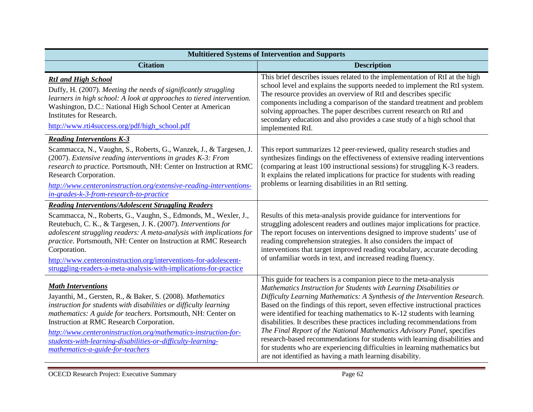| <b>Multitiered Systems of Intervention and Supports</b>                                                                                                                                                                                                                                                                                                                                                                                                                                             |                                                                                                                                                                                                                                                                                                                                                                                                                                                                                                                                                                                                                                                                                                                                                                  |  |
|-----------------------------------------------------------------------------------------------------------------------------------------------------------------------------------------------------------------------------------------------------------------------------------------------------------------------------------------------------------------------------------------------------------------------------------------------------------------------------------------------------|------------------------------------------------------------------------------------------------------------------------------------------------------------------------------------------------------------------------------------------------------------------------------------------------------------------------------------------------------------------------------------------------------------------------------------------------------------------------------------------------------------------------------------------------------------------------------------------------------------------------------------------------------------------------------------------------------------------------------------------------------------------|--|
| <b>Citation</b>                                                                                                                                                                                                                                                                                                                                                                                                                                                                                     | <b>Description</b>                                                                                                                                                                                                                                                                                                                                                                                                                                                                                                                                                                                                                                                                                                                                               |  |
| <b>RtI</b> and <b>High</b> School<br>Duffy, H. (2007). Meeting the needs of significantly struggling<br>learners in high school: A look at approaches to tiered intervention.<br>Washington, D.C.: National High School Center at American<br>Institutes for Research.<br>http://www.rti4success.org/pdf/high_school.pdf                                                                                                                                                                            | This brief describes issues related to the implementation of RtI at the high<br>school level and explains the supports needed to implement the RtI system.<br>The resource provides an overview of RtI and describes specific<br>components including a comparison of the standard treatment and problem<br>solving approaches. The paper describes current research on RtI and<br>secondary education and also provides a case study of a high school that<br>implemented RtI.                                                                                                                                                                                                                                                                                  |  |
| <b>Reading Interventions K-3</b><br>Scammacca, N., Vaughn, S., Roberts, G., Wanzek, J., & Targesen, J.<br>(2007). Extensive reading interventions in grades K-3: From<br>research to practice. Portsmouth, NH: Center on Instruction at RMC<br>Research Corporation.<br>http://www.centeroninstruction.org/extensive-reading-interventions-<br>in-grades-k-3-from-research-to-practice                                                                                                              | This report summarizes 12 peer-reviewed, quality research studies and<br>synthesizes findings on the effectiveness of extensive reading interventions<br>(comparing at least 100 instructional sessions) for struggling K-3 readers.<br>It explains the related implications for practice for students with reading<br>problems or learning disabilities in an RtI setting.                                                                                                                                                                                                                                                                                                                                                                                      |  |
| <b>Reading Interventions/Adolescent Struggling Readers</b><br>Scammacca, N., Roberts, G., Vaughn, S., Edmonds, M., Wexler, J.,<br>Reutebuch, C. K., & Targesen, J. K. (2007). Interventions for<br>adolescent struggling readers: A meta-analysis with implications for<br>practice. Portsmouth, NH: Center on Instruction at RMC Research<br>Corporation.<br>http://www.centeroninstruction.org/interventions-for-adolescent-<br>struggling-readers-a-meta-analysis-with-implications-for-practice | Results of this meta-analysis provide guidance for interventions for<br>struggling adolescent readers and outlines major implications for practice.<br>The report focuses on interventions designed to improve students' use of<br>reading comprehension strategies. It also considers the impact of<br>interventions that target improved reading vocabulary, accurate decoding<br>of unfamiliar words in text, and increased reading fluency.                                                                                                                                                                                                                                                                                                                  |  |
| <b>Math Interventions</b><br>Jayanthi, M., Gersten, R., & Baker, S. (2008). Mathematics<br>instruction for students with disabilities or difficulty learning<br>mathematics: A guide for teachers. Portsmouth, NH: Center on<br>Instruction at RMC Research Corporation.<br>http://www.centeroninstruction.org/mathematics-instruction-for-<br>students-with-learning-disabilities-or-difficulty-learning-<br>mathematics-a-guide-for-teachers                                                      | This guide for teachers is a companion piece to the meta-analysis<br>Mathematics Instruction for Students with Learning Disabilities or<br>Difficulty Learning Mathematics: A Synthesis of the Intervention Research.<br>Based on the findings of this report, seven effective instructional practices<br>were identified for teaching mathematics to K-12 students with learning<br>disabilities. It describes these practices including recommendations from<br>The Final Report of the National Mathematics Advisory Panel, specifies<br>research-based recommendations for students with learning disabilities and<br>for students who are experiencing difficulties in learning mathematics but<br>are not identified as having a math learning disability. |  |

÷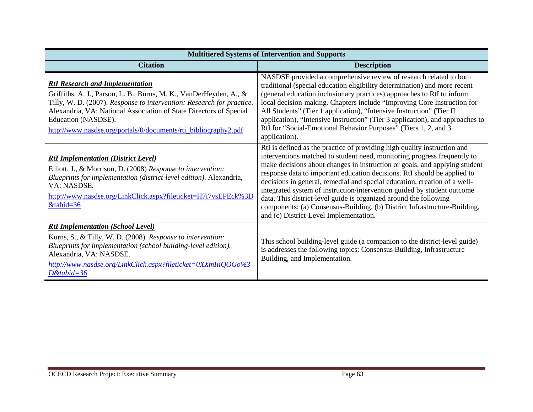| <b>Multitiered Systems of Intervention and Supports</b>                                                                                                                                                                                                                                                                                               |                                                                                                                                                                                                                                                                                                                                                                                                                                                                                                                                                                                                                                                                    |
|-------------------------------------------------------------------------------------------------------------------------------------------------------------------------------------------------------------------------------------------------------------------------------------------------------------------------------------------------------|--------------------------------------------------------------------------------------------------------------------------------------------------------------------------------------------------------------------------------------------------------------------------------------------------------------------------------------------------------------------------------------------------------------------------------------------------------------------------------------------------------------------------------------------------------------------------------------------------------------------------------------------------------------------|
| <b>Citation</b>                                                                                                                                                                                                                                                                                                                                       | <b>Description</b>                                                                                                                                                                                                                                                                                                                                                                                                                                                                                                                                                                                                                                                 |
| <b>RtI Research and Implementation</b><br>Griffiths, A. J., Parson, L. B., Burns, M. K., VanDerHeyden, A., &<br>Tilly, W. D. (2007). Response to intervention: Research for practice.<br>Alexandria, VA: National Association of State Directors of Special<br>Education (NASDSE).<br>http://www.nasdse.org/portals/0/documents/rti_bibliography2.pdf | NASDSE provided a comprehensive review of research related to both<br>traditional (special education eligibility determination) and more recent<br>(general education inclusionary practices) approaches to RtI to inform<br>local decision-making. Chapters include "Improving Core Instruction for<br>All Students" (Tier 1 application), "Intensive Instruction" (Tier II<br>application), "Intensive Instruction" (Tier 3 application), and approaches to<br>RtI for "Social-Emotional Behavior Purposes" (Tiers 1, 2, and 3<br>application).                                                                                                                  |
| <b>RtI Implementation (District Level)</b><br>Elliott, J., & Morrison, D. (2008) Response to intervention:<br>Blueprints for implementation (district-level edition). Alexandria,<br>VA: NASDSE.<br>http://www.nasdse.org/LinkClick.aspx?fileticket=H7i7vsEPEck%3D<br>$&$ tabid=36                                                                    | RtI is defined as the practice of providing high quality instruction and<br>interventions matched to student need, monitoring progress frequently to<br>make decisions about changes in instruction or goals, and applying student<br>response data to important education decisions. RtI should be applied to<br>decisions in general, remedial and special education, creation of a well-<br>integrated system of instruction/intervention guided by student outcome<br>data. This district-level guide is organized around the following<br>components: (a) Consensus-Building, (b) District Infrastructure-Building,<br>and (c) District-Level Implementation. |
| <b>RtI Implementation (School Level)</b><br>Kurns, S., & Tilly, W. D. (2008). Response to intervention:<br>Blueprints for implementation (school building-level edition).<br>Alexandria, VA: NASDSE.<br>http://www.nasdse.org/LinkClick.aspx?fileticket=0XXmIiiQOGo%3<br>$D\&$ tabid=36                                                               | This school building-level guide (a companion to the district-level guide)<br>is addresses the following topics: Consensus Building, Infrastructure<br>Building, and Implementation.                                                                                                                                                                                                                                                                                                                                                                                                                                                                               |

e e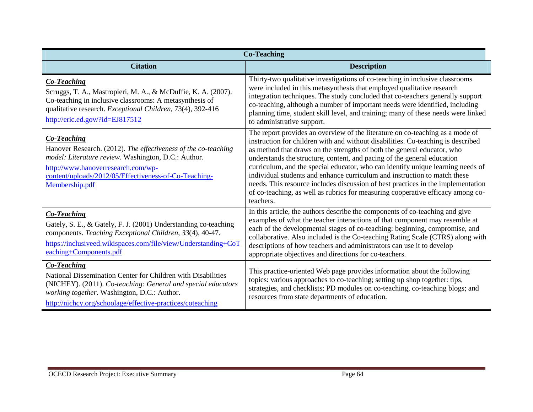| <b>Co-Teaching</b>                                                                                                                                                                                                                                              |                                                                                                                                                                                                                                                                                                                                                                                                                                                                                                                                                                                                                                                                             |  |
|-----------------------------------------------------------------------------------------------------------------------------------------------------------------------------------------------------------------------------------------------------------------|-----------------------------------------------------------------------------------------------------------------------------------------------------------------------------------------------------------------------------------------------------------------------------------------------------------------------------------------------------------------------------------------------------------------------------------------------------------------------------------------------------------------------------------------------------------------------------------------------------------------------------------------------------------------------------|--|
| <b>Citation</b>                                                                                                                                                                                                                                                 | <b>Description</b>                                                                                                                                                                                                                                                                                                                                                                                                                                                                                                                                                                                                                                                          |  |
| <b>Co-Teaching</b><br>Scruggs, T. A., Mastropieri, M. A., & McDuffie, K. A. (2007).<br>Co-teaching in inclusive classrooms: A metasynthesis of<br>qualitative research. Exceptional Children, 73(4), 392-416<br>http://eric.ed.gov/?id=EJ817512                 | Thirty-two qualitative investigations of co-teaching in inclusive classrooms<br>were included in this metasynthesis that employed qualitative research<br>integration techniques. The study concluded that co-teachers generally support<br>co-teaching, although a number of important needs were identified, including<br>planning time, student skill level, and training; many of these needs were linked<br>to administrative support.                                                                                                                                                                                                                                 |  |
| <b>Co-Teaching</b><br>Hanover Research. (2012). The effectiveness of the co-teaching<br>model: Literature review. Washington, D.C.: Author.<br>http://www.hanoverresearch.com/wp-<br>content/uploads/2012/05/Effectiveness-of-Co-Teaching-<br>Membership.pdf    | The report provides an overview of the literature on co-teaching as a mode of<br>instruction for children with and without disabilities. Co-teaching is described<br>as method that draws on the strengths of both the general educator, who<br>understands the structure, content, and pacing of the general education<br>curriculum, and the special educator, who can identify unique learning needs of<br>individual students and enhance curriculum and instruction to match these<br>needs. This resource includes discussion of best practices in the implementation<br>of co-teaching, as well as rubrics for measuring cooperative efficacy among co-<br>teachers. |  |
| Co-Teaching<br>Gately, S. E., & Gately, F. J. (2001) Understanding co-teaching<br>components. Teaching Exceptional Children, 33(4), 40-47.<br>https://inclusiveed.wikispaces.com/file/view/Understanding+CoT<br>eaching+Components.pdf                          | In this article, the authors describe the components of co-teaching and give<br>examples of what the teacher interactions of that component may resemble at<br>each of the developmental stages of co-teaching: beginning, compromise, and<br>collaborative. Also included is the Co-teaching Rating Scale (CTRS) along with<br>descriptions of how teachers and administrators can use it to develop<br>appropriate objectives and directions for co-teachers.                                                                                                                                                                                                             |  |
| <b>Co-Teaching</b><br>National Dissemination Center for Children with Disabilities<br>(NICHEY). (2011). Co-teaching: General and special educators<br>working together. Washington, D.C.: Author.<br>http://nichcy.org/schoolage/effective-practices/coteaching | This practice-oriented Web page provides information about the following<br>topics: various approaches to co-teaching; setting up shop together: tips,<br>strategies, and checklists; PD modules on co-teaching, co-teaching blogs; and<br>resources from state departments of education.                                                                                                                                                                                                                                                                                                                                                                                   |  |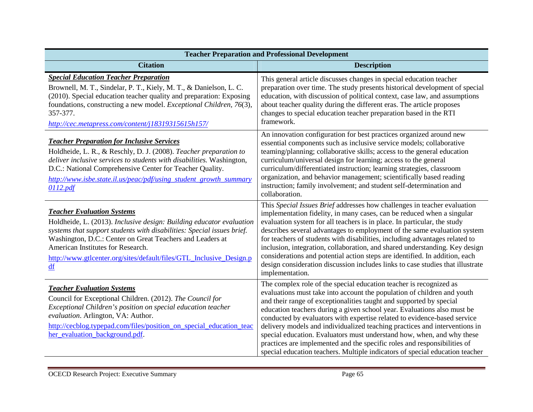| <b>Teacher Preparation and Professional Development</b>                                                                                                                                                                                                                                                                                                            |                                                                                                                                                                                                                                                                                                                                                                                                                                                                                                                                                                                                                                                                                                 |  |
|--------------------------------------------------------------------------------------------------------------------------------------------------------------------------------------------------------------------------------------------------------------------------------------------------------------------------------------------------------------------|-------------------------------------------------------------------------------------------------------------------------------------------------------------------------------------------------------------------------------------------------------------------------------------------------------------------------------------------------------------------------------------------------------------------------------------------------------------------------------------------------------------------------------------------------------------------------------------------------------------------------------------------------------------------------------------------------|--|
| <b>Citation</b>                                                                                                                                                                                                                                                                                                                                                    | <b>Description</b>                                                                                                                                                                                                                                                                                                                                                                                                                                                                                                                                                                                                                                                                              |  |
| <b>Special Education Teacher Preparation</b><br>Brownell, M. T., Sindelar, P. T., Kiely, M. T., & Danielson, L. C.<br>(2010). Special education teacher quality and preparation: Exposing<br>foundations, constructing a new model. Exceptional Children, 76(3),<br>357-377.<br>http://cec.metapress.com/content/j18319315615h157/                                 | This general article discusses changes in special education teacher<br>preparation over time. The study presents historical development of special<br>education, with discussion of political context, case law, and assumptions<br>about teacher quality during the different eras. The article proposes<br>changes to special education teacher preparation based in the RTI<br>framework.                                                                                                                                                                                                                                                                                                    |  |
| <b>Teacher Preparation for Inclusive Services</b><br>Holdheide, L. R., & Reschly, D. J. (2008). Teacher preparation to<br>deliver inclusive services to students with disabilities. Washington,<br>D.C.: National Comprehensive Center for Teacher Quality.<br>http://www.isbe.state.il.us/peac/pdf/using_student_growth_summary<br>0112.pdf                       | An innovation configuration for best practices organized around new<br>essential components such as inclusive service models; collaborative<br>teaming/planning; collaborative skills; access to the general education<br>curriculum/universal design for learning; access to the general<br>curriculum/differentiated instruction; learning strategies, classroom<br>organization, and behavior management; scientifically based reading<br>instruction; family involvement; and student self-determination and<br>collaboration.                                                                                                                                                              |  |
| <b>Teacher Evaluation Systems</b><br>Holdheide, L. (2013). Inclusive design: Building educator evaluation<br>systems that support students with disabilities: Special issues brief.<br>Washington, D.C.: Center on Great Teachers and Leaders at<br>American Institutes for Research.<br>http://www.gtlcenter.org/sites/default/files/GTL Inclusive Design.p<br>df | This Special Issues Brief addresses how challenges in teacher evaluation<br>implementation fidelity, in many cases, can be reduced when a singular<br>evaluation system for all teachers is in place. In particular, the study<br>describes several advantages to employment of the same evaluation system<br>for teachers of students with disabilities, including advantages related to<br>inclusion, integration, collaboration, and shared understanding. Key design<br>considerations and potential action steps are identified. In addition, each<br>design consideration discussion includes links to case studies that illustrate<br>implementation.                                    |  |
| <b>Teacher Evaluation Systems</b><br>Council for Exceptional Children. (2012). The Council for<br>Exceptional Children's position on special education teacher<br>evaluation. Arlington, VA: Author.<br>http://cecblog.typepad.com/files/position_on_special_education_teac<br>her_evaluation_background.pdf.                                                      | The complex role of the special education teacher is recognized as<br>evaluations must take into account the population of children and youth<br>and their range of exceptionalities taught and supported by special<br>education teachers during a given school year. Evaluations also must be<br>conducted by evaluators with expertise related to evidence-based service<br>delivery models and individualized teaching practices and interventions in<br>special education. Evaluators must understand how, when, and why these<br>practices are implemented and the specific roles and responsibilities of<br>special education teachers. Multiple indicators of special education teacher |  |

e e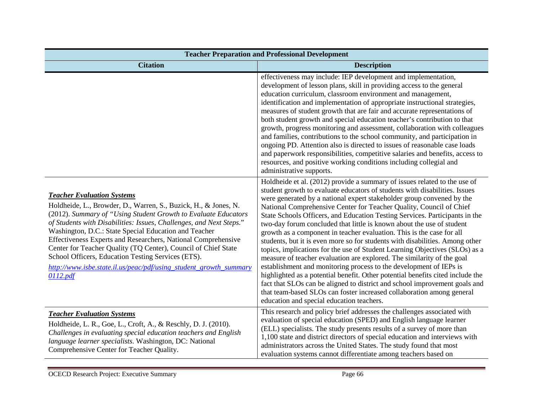| <b>Teacher Preparation and Professional Development</b>                                                                                                                                                                                                                                                                                                                                                                                                                                                                                                                          |                                                                                                                                                                                                                                                                                                                                                                                                                                                                                                                                                                                                                                                                                                                                                                                                                                                                                                                                                                                                                                                                                                                                               |  |
|----------------------------------------------------------------------------------------------------------------------------------------------------------------------------------------------------------------------------------------------------------------------------------------------------------------------------------------------------------------------------------------------------------------------------------------------------------------------------------------------------------------------------------------------------------------------------------|-----------------------------------------------------------------------------------------------------------------------------------------------------------------------------------------------------------------------------------------------------------------------------------------------------------------------------------------------------------------------------------------------------------------------------------------------------------------------------------------------------------------------------------------------------------------------------------------------------------------------------------------------------------------------------------------------------------------------------------------------------------------------------------------------------------------------------------------------------------------------------------------------------------------------------------------------------------------------------------------------------------------------------------------------------------------------------------------------------------------------------------------------|--|
| <b>Citation</b>                                                                                                                                                                                                                                                                                                                                                                                                                                                                                                                                                                  | <b>Description</b>                                                                                                                                                                                                                                                                                                                                                                                                                                                                                                                                                                                                                                                                                                                                                                                                                                                                                                                                                                                                                                                                                                                            |  |
|                                                                                                                                                                                                                                                                                                                                                                                                                                                                                                                                                                                  | effectiveness may include: IEP development and implementation,<br>development of lesson plans, skill in providing access to the general<br>education curriculum, classroom environment and management,<br>identification and implementation of appropriate instructional strategies,<br>measures of student growth that are fair and accurate representations of<br>both student growth and special education teacher's contribution to that<br>growth, progress monitoring and assessment, collaboration with colleagues<br>and families, contributions to the school community, and participation in<br>ongoing PD. Attention also is directed to issues of reasonable case loads<br>and paperwork responsibilities, competitive salaries and benefits, access to<br>resources, and positive working conditions including collegial and<br>administrative supports.                                                                                                                                                                                                                                                                         |  |
| <b>Teacher Evaluation Systems</b><br>Holdheide, L., Browder, D., Warren, S., Buzick, H., & Jones, N.<br>(2012). Summary of "Using Student Growth to Evaluate Educators<br>of Students with Disabilities: Issues, Challenges, and Next Steps."<br>Washington, D.C.: State Special Education and Teacher<br>Effectiveness Experts and Researchers, National Comprehensive<br>Center for Teacher Quality (TQ Center), Council of Chief State<br>School Officers, Education Testing Services (ETS).<br>http://www.isbe.state.il.us/peac/pdf/using_student_growth_summary<br>0112.pdf | Holdheide et al. (2012) provide a summary of issues related to the use of<br>student growth to evaluate educators of students with disabilities. Issues<br>were generated by a national expert stakeholder group convened by the<br>National Comprehensive Center for Teacher Quality, Council of Chief<br>State Schools Officers, and Education Testing Services. Participants in the<br>two-day forum concluded that little is known about the use of student<br>growth as a component in teacher evaluation. This is the case for all<br>students, but it is even more so for students with disabilities. Among other<br>topics, implications for the use of Student Learning Objectives (SLOs) as a<br>measure of teacher evaluation are explored. The similarity of the goal<br>establishment and monitoring process to the development of IEPs is<br>highlighted as a potential benefit. Other potential benefits cited include the<br>fact that SLOs can be aligned to district and school improvement goals and<br>that team-based SLOs can foster increased collaboration among general<br>education and special education teachers. |  |
| <b>Teacher Evaluation Systems</b><br>Holdheide, L. R., Goe, L., Croft, A., & Reschly, D. J. (2010).<br>Challenges in evaluating special education teachers and English<br>language learner specialists. Washington, DC: National<br>Comprehensive Center for Teacher Quality.                                                                                                                                                                                                                                                                                                    | This research and policy brief addresses the challenges associated with<br>evaluation of special education (SPED) and English language learner<br>(ELL) specialists. The study presents results of a survey of more than<br>1,100 state and district directors of special education and interviews with<br>administrators across the United States. The study found that most<br>evaluation systems cannot differentiate among teachers based on                                                                                                                                                                                                                                                                                                                                                                                                                                                                                                                                                                                                                                                                                              |  |

e e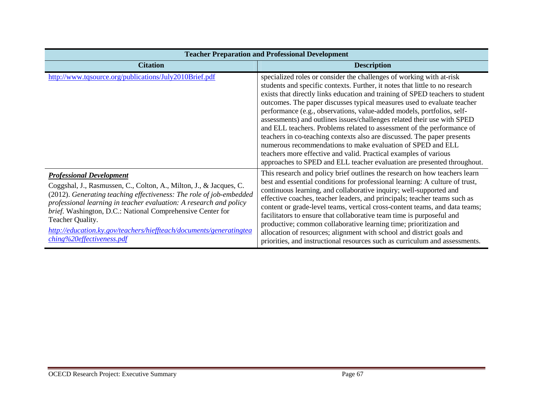| <b>Teacher Preparation and Professional Development</b>                                                                                                                                                                                                                                                                                                                                                                                  |                                                                                                                                                                                                                                                                                                                                                                                                                                                                                                                                                                                                                                                                                                                                                                                                                                          |  |
|------------------------------------------------------------------------------------------------------------------------------------------------------------------------------------------------------------------------------------------------------------------------------------------------------------------------------------------------------------------------------------------------------------------------------------------|------------------------------------------------------------------------------------------------------------------------------------------------------------------------------------------------------------------------------------------------------------------------------------------------------------------------------------------------------------------------------------------------------------------------------------------------------------------------------------------------------------------------------------------------------------------------------------------------------------------------------------------------------------------------------------------------------------------------------------------------------------------------------------------------------------------------------------------|--|
| <b>Citation</b>                                                                                                                                                                                                                                                                                                                                                                                                                          | <b>Description</b>                                                                                                                                                                                                                                                                                                                                                                                                                                                                                                                                                                                                                                                                                                                                                                                                                       |  |
| http://www.tqsource.org/publications/July2010Brief.pdf                                                                                                                                                                                                                                                                                                                                                                                   | specialized roles or consider the challenges of working with at-risk<br>students and specific contexts. Further, it notes that little to no research<br>exists that directly links education and training of SPED teachers to student<br>outcomes. The paper discusses typical measures used to evaluate teacher<br>performance (e.g., observations, value-added models, portfolios, self-<br>assessments) and outlines issues/challenges related their use with SPED<br>and ELL teachers. Problems related to assessment of the performance of<br>teachers in co-teaching contexts also are discussed. The paper presents<br>numerous recommendations to make evaluation of SPED and ELL<br>teachers more effective and valid. Practical examples of various<br>approaches to SPED and ELL teacher evaluation are presented throughout. |  |
| <b>Professional Development</b><br>Coggshal, J., Rasmussen, C., Colton, A., Milton, J., & Jacques, C.<br>(2012). Generating teaching effectiveness: The role of job-embedded<br>professional learning in teacher evaluation: A research and policy<br>brief. Washington, D.C.: National Comprehensive Center for<br>Teacher Quality.<br>http://education.ky.gov/teachers/hieffteach/documents/generatingtea<br>ching%20effectiveness.pdf | This research and policy brief outlines the research on how teachers learn<br>best and essential conditions for professional learning: A culture of trust,<br>continuous learning, and collaborative inquiry; well-supported and<br>effective coaches, teacher leaders, and principals; teacher teams such as<br>content or grade-level teams, vertical cross-content teams, and data teams;<br>facilitators to ensure that collaborative team time is purposeful and<br>productive; common collaborative learning time; prioritization and<br>allocation of resources; alignment with school and district goals and<br>priorities, and instructional resources such as curriculum and assessments.                                                                                                                                      |  |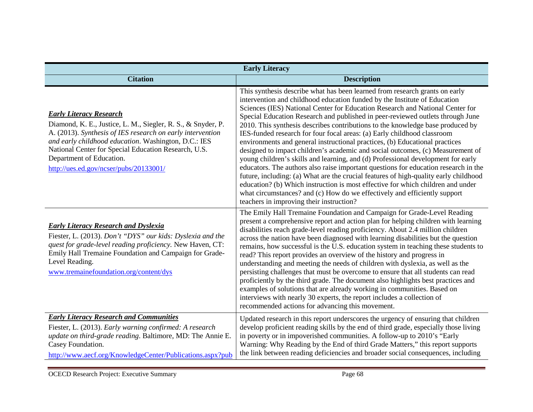| <b>Early Literacy</b>                                                                                                                                                                                                                                                                                                                              |                                                                                                                                                                                                                                                                                                                                                                                                                                                                                                                                                                                                                                                                                                                                                                                                                                                                                                                                                                                                                                                                                                                                          |  |
|----------------------------------------------------------------------------------------------------------------------------------------------------------------------------------------------------------------------------------------------------------------------------------------------------------------------------------------------------|------------------------------------------------------------------------------------------------------------------------------------------------------------------------------------------------------------------------------------------------------------------------------------------------------------------------------------------------------------------------------------------------------------------------------------------------------------------------------------------------------------------------------------------------------------------------------------------------------------------------------------------------------------------------------------------------------------------------------------------------------------------------------------------------------------------------------------------------------------------------------------------------------------------------------------------------------------------------------------------------------------------------------------------------------------------------------------------------------------------------------------------|--|
| <b>Citation</b>                                                                                                                                                                                                                                                                                                                                    | <b>Description</b>                                                                                                                                                                                                                                                                                                                                                                                                                                                                                                                                                                                                                                                                                                                                                                                                                                                                                                                                                                                                                                                                                                                       |  |
| <b>Early Literacy Research</b><br>Diamond, K. E., Justice, L. M., Siegler, R. S., & Snyder, P.<br>A. (2013). Synthesis of IES research on early intervention<br>and early childhood education. Washington, D.C.: IES<br>National Center for Special Education Research, U.S.<br>Department of Education.<br>http://ues.ed.gov/ncser/pubs/20133001/ | This synthesis describe what has been learned from research grants on early<br>intervention and childhood education funded by the Institute of Education<br>Sciences (IES) National Center for Education Research and National Center for<br>Special Education Research and published in peer-reviewed outlets through June<br>2010. This synthesis describes contributions to the knowledge base produced by<br>IES-funded research for four focal areas: (a) Early childhood classroom<br>environments and general instructional practices, (b) Educational practices<br>designed to impact children's academic and social outcomes, (c) Measurement of<br>young children's skills and learning, and (d) Professional development for early<br>educators. The authors also raise important questions for education research in the<br>future, including: (a) What are the crucial features of high-quality early childhood<br>education? (b) Which instruction is most effective for which children and under<br>what circumstances? and (c) How do we effectively and efficiently support<br>teachers in improving their instruction? |  |
| <b>Early Literacy Research and Dyslexia</b><br>Fiester, L. (2013). Don't "DYS" our kids: Dyslexia and the<br>quest for grade-level reading proficiency. New Haven, CT:<br>Emily Hall Tremaine Foundation and Campaign for Grade-<br>Level Reading.<br>www.tremainefoundation.org/content/dys                                                       | The Emily Hall Tremaine Foundation and Campaign for Grade-Level Reading<br>present a comprehensive report and action plan for helping children with learning<br>disabilities reach grade-level reading proficiency. About 2.4 million children<br>across the nation have been diagnosed with learning disabilities but the question<br>remains, how successful is the U.S. education system in teaching these students to<br>read? This report provides an overview of the history and progress in<br>understanding and meeting the needs of children with dyslexia, as well as the<br>persisting challenges that must be overcome to ensure that all students can read<br>proficiently by the third grade. The document also highlights best practices and<br>examples of solutions that are already working in communities. Based on<br>interviews with nearly 30 experts, the report includes a collection of<br>recommended actions for advancing this movement.                                                                                                                                                                     |  |
| <b>Early Literacy Research and Communities</b><br>Fiester, L. (2013). Early warning confirmed: A research<br>update on third-grade reading. Baltimore, MD: The Annie E.<br>Casey Foundation.<br>http://www.aecf.org/KnowledgeCenter/Publications.aspx?pub                                                                                          | Updated research in this report underscores the urgency of ensuring that children<br>develop proficient reading skills by the end of third grade, especially those living<br>in poverty or in impoverished communities. A follow-up to 2010's "Early<br>Warning: Why Reading by the End of third Grade Matters," this report supports<br>the link between reading deficiencies and broader social consequences, including                                                                                                                                                                                                                                                                                                                                                                                                                                                                                                                                                                                                                                                                                                                |  |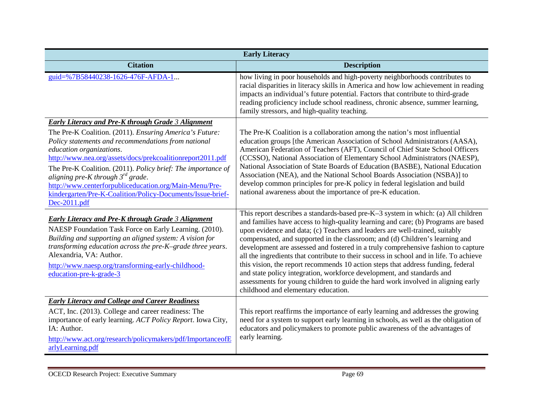| <b>Early Literacy</b>                                                                                                                                                                                                                                                                                                                                                                                                                                        |                                                                                                                                                                                                                                                                                                                                                                                                                                                                                                                                                                                                                                                                                                                                                                                                                |  |
|--------------------------------------------------------------------------------------------------------------------------------------------------------------------------------------------------------------------------------------------------------------------------------------------------------------------------------------------------------------------------------------------------------------------------------------------------------------|----------------------------------------------------------------------------------------------------------------------------------------------------------------------------------------------------------------------------------------------------------------------------------------------------------------------------------------------------------------------------------------------------------------------------------------------------------------------------------------------------------------------------------------------------------------------------------------------------------------------------------------------------------------------------------------------------------------------------------------------------------------------------------------------------------------|--|
| <b>Citation</b>                                                                                                                                                                                                                                                                                                                                                                                                                                              | <b>Description</b>                                                                                                                                                                                                                                                                                                                                                                                                                                                                                                                                                                                                                                                                                                                                                                                             |  |
| guid=%7B58440238-1626-476F-AFDA-1                                                                                                                                                                                                                                                                                                                                                                                                                            | how living in poor households and high-poverty neighborhoods contributes to<br>racial disparities in literacy skills in America and how low achievement in reading<br>impacts an individual's future potential. Factors that contribute to third-grade<br>reading proficiency include school readiness, chronic absence, summer learning,<br>family stressors, and high-quality teaching.                                                                                                                                                                                                                                                                                                                                                                                                                      |  |
| Early Literacy and Pre-K through Grade 3 Alignment                                                                                                                                                                                                                                                                                                                                                                                                           |                                                                                                                                                                                                                                                                                                                                                                                                                                                                                                                                                                                                                                                                                                                                                                                                                |  |
| The Pre-K Coalition. (2011). Ensuring America's Future:<br>Policy statements and recommendations from national<br>education organizations.<br>http://www.nea.org/assets/docs/prekcoalitionreport2011.pdf<br>The Pre-K Coalition. (2011). Policy brief: The importance of<br>aligning pre-K through $3^{rd}$ grade.<br>http://www.centerforpubliceducation.org/Main-Menu/Pre-<br>kindergarten/Pre-K-Coalition/Policy-Documents/Issue-brief-<br>$Dec-2011.pdf$ | The Pre-K Coalition is a collaboration among the nation's most influential<br>education groups [the American Association of School Administrators (AASA),<br>American Federation of Teachers (AFT), Council of Chief State School Officers<br>(CCSSO), National Association of Elementary School Administrators (NAESP),<br>National Association of State Boards of Education (BASBE), National Education<br>Association (NEA), and the National School Boards Association (NSBA)] to<br>develop common principles for pre-K policy in federal legislation and build<br>national awareness about the importance of pre-K education.                                                                                                                                                                            |  |
| <b>Early Literacy and Pre-K through Grade 3 Alignment</b><br>NAESP Foundation Task Force on Early Learning. (2010).<br>Building and supporting an aligned system: A vision for<br>transforming education across the pre-K-grade three years.<br>Alexandria, VA: Author.<br>http://www.naesp.org/transforming-early-childhood-<br>education-pre-k-grade-3                                                                                                     | This report describes a standards-based pre-K-3 system in which: (a) All children<br>and families have access to high-quality learning and care; (b) Programs are based<br>upon evidence and data; (c) Teachers and leaders are well-trained, suitably<br>compensated, and supported in the classroom; and (d) Children's learning and<br>development are assessed and fostered in a truly comprehensive fashion to capture<br>all the ingredients that contribute to their success in school and in life. To achieve<br>this vision, the report recommends 10 action steps that address funding, federal<br>and state policy integration, workforce development, and standards and<br>assessments for young children to guide the hard work involved in aligning early<br>childhood and elementary education. |  |
| <b>Early Literacy and College and Career Readiness</b>                                                                                                                                                                                                                                                                                                                                                                                                       |                                                                                                                                                                                                                                                                                                                                                                                                                                                                                                                                                                                                                                                                                                                                                                                                                |  |
| ACT, Inc. (2013). College and career readiness: The<br>importance of early learning. ACT Policy Report. Iowa City,<br>IA: Author.<br>http://www.act.org/research/policymakers/pdf/ImportanceofE<br>arlyLearning.pdf                                                                                                                                                                                                                                          | This report reaffirms the importance of early learning and addresses the growing<br>need for a system to support early learning in schools, as well as the obligation of<br>educators and policymakers to promote public awareness of the advantages of<br>early learning.                                                                                                                                                                                                                                                                                                                                                                                                                                                                                                                                     |  |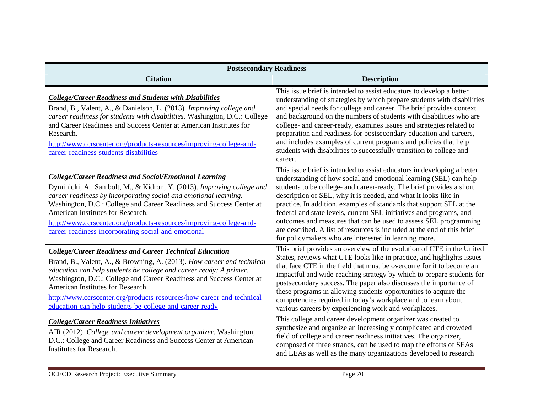| <b>Postsecondary Readiness</b>                                                                                                                                                                                                                                                                                                                                                                                                                                   |                                                                                                                                                                                                                                                                                                                                                                                                                                                                                                                                                                                                                                                |  |
|------------------------------------------------------------------------------------------------------------------------------------------------------------------------------------------------------------------------------------------------------------------------------------------------------------------------------------------------------------------------------------------------------------------------------------------------------------------|------------------------------------------------------------------------------------------------------------------------------------------------------------------------------------------------------------------------------------------------------------------------------------------------------------------------------------------------------------------------------------------------------------------------------------------------------------------------------------------------------------------------------------------------------------------------------------------------------------------------------------------------|--|
| <b>Citation</b>                                                                                                                                                                                                                                                                                                                                                                                                                                                  | <b>Description</b>                                                                                                                                                                                                                                                                                                                                                                                                                                                                                                                                                                                                                             |  |
| <b>College/Career Readiness and Students with Disabilities</b><br>Brand, B., Valent, A., & Danielson, L. (2013). Improving college and<br>career readiness for students with disabilities. Washington, D.C.: College<br>and Career Readiness and Success Center at American Institutes for<br>Research.<br>http://www.ccrscenter.org/products-resources/improving-college-and-<br>career-readiness-students-disabilities                                         | This issue brief is intended to assist educators to develop a better<br>understanding of strategies by which prepare students with disabilities<br>and special needs for college and career. The brief provides context<br>and background on the numbers of students with disabilities who are<br>college- and career-ready, examines issues and strategies related to<br>preparation and readiness for postsecondary education and careers,<br>and includes examples of current programs and policies that help<br>students with disabilities to successfully transition to college and<br>career.                                            |  |
| <b>College/Career Readiness and Social/Emotional Learning</b><br>Dyminicki, A., Sambolt, M., & Kidron, Y. (2013). Improving college and<br>career readiness by incorporating social and emotional learning.<br>Washington, D.C.: College and Career Readiness and Success Center at<br>American Institutes for Research.<br>http://www.ccrscenter.org/products-resources/improving-college-and-<br>career-readiness-incorporating-social-and-emotional           | This issue brief is intended to assist educators in developing a better<br>understanding of how social and emotional learning (SEL) can help<br>students to be college- and career-ready. The brief provides a short<br>description of SEL, why it is needed, and what it looks like in<br>practice. In addition, examples of standards that support SEL at the<br>federal and state levels, current SEL initiatives and programs, and<br>outcomes and measures that can be used to assess SEL programming<br>are described. A list of resources is included at the end of this brief<br>for policymakers who are interested in learning more. |  |
| <b>College/Career Readiness and Career Technical Education</b><br>Brand, B., Valent, A., & Browning, A. (2013). How career and technical<br>education can help students be college and career ready: A primer.<br>Washington, D.C.: College and Career Readiness and Success Center at<br>American Institutes for Research.<br>http://www.ccrscenter.org/products-resources/how-career-and-technical-<br>education-can-help-students-be-college-and-career-ready | This brief provides an overview of the evolution of CTE in the United<br>States, reviews what CTE looks like in practice, and highlights issues<br>that face CTE in the field that must be overcome for it to become an<br>impactful and wide-reaching strategy by which to prepare students for<br>postsecondary success. The paper also discusses the importance of<br>these programs in allowing students opportunities to acquire the<br>competencies required in today's workplace and to learn about<br>various careers by experiencing work and workplaces.                                                                             |  |
| <b>College/Career Readiness Initiatives</b><br>AIR (2012). College and career development organizer. Washington,<br>D.C.: College and Career Readiness and Success Center at American<br>Institutes for Research.                                                                                                                                                                                                                                                | This college and career development organizer was created to<br>synthesize and organize an increasingly complicated and crowded<br>field of college and career readiness initiatives. The organizer,<br>composed of three strands, can be used to map the efforts of SEAs<br>and LEAs as well as the many organizations developed to research                                                                                                                                                                                                                                                                                                  |  |

e e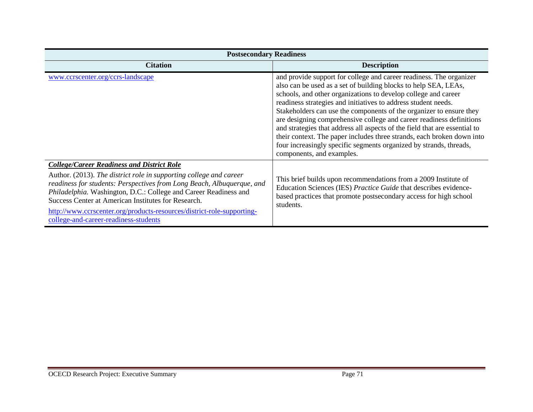| <b>Postsecondary Readiness</b>                                                                                                                                                                                                                                                                                                                                                                                                                  |                                                                                                                                                                                                                                                                                                                                                                                                                                                                                                                                                                                                                                                                                      |  |
|-------------------------------------------------------------------------------------------------------------------------------------------------------------------------------------------------------------------------------------------------------------------------------------------------------------------------------------------------------------------------------------------------------------------------------------------------|--------------------------------------------------------------------------------------------------------------------------------------------------------------------------------------------------------------------------------------------------------------------------------------------------------------------------------------------------------------------------------------------------------------------------------------------------------------------------------------------------------------------------------------------------------------------------------------------------------------------------------------------------------------------------------------|--|
| <b>Citation</b>                                                                                                                                                                                                                                                                                                                                                                                                                                 | <b>Description</b>                                                                                                                                                                                                                                                                                                                                                                                                                                                                                                                                                                                                                                                                   |  |
| www.ccrscenter.org/ccrs-landscape                                                                                                                                                                                                                                                                                                                                                                                                               | and provide support for college and career readiness. The organizer<br>also can be used as a set of building blocks to help SEA, LEAs,<br>schools, and other organizations to develop college and career<br>readiness strategies and initiatives to address student needs.<br>Stakeholders can use the components of the organizer to ensure they<br>are designing comprehensive college and career readiness definitions<br>and strategies that address all aspects of the field that are essential to<br>their context. The paper includes three strands, each broken down into<br>four increasingly specific segments organized by strands, threads,<br>components, and examples. |  |
| <b>College/Career Readiness and District Role</b><br>Author. (2013). The district role in supporting college and career<br>readiness for students: Perspectives from Long Beach, Albuquerque, and<br>Philadelphia. Washington, D.C.: College and Career Readiness and<br>Success Center at American Institutes for Research.<br>http://www.ccrscenter.org/products-resources/district-role-supporting-<br>college-and-career-readiness-students | This brief builds upon recommendations from a 2009 Institute of<br>Education Sciences (IES) Practice Guide that describes evidence-<br>based practices that promote postsecondary access for high school<br>students.                                                                                                                                                                                                                                                                                                                                                                                                                                                                |  |

π